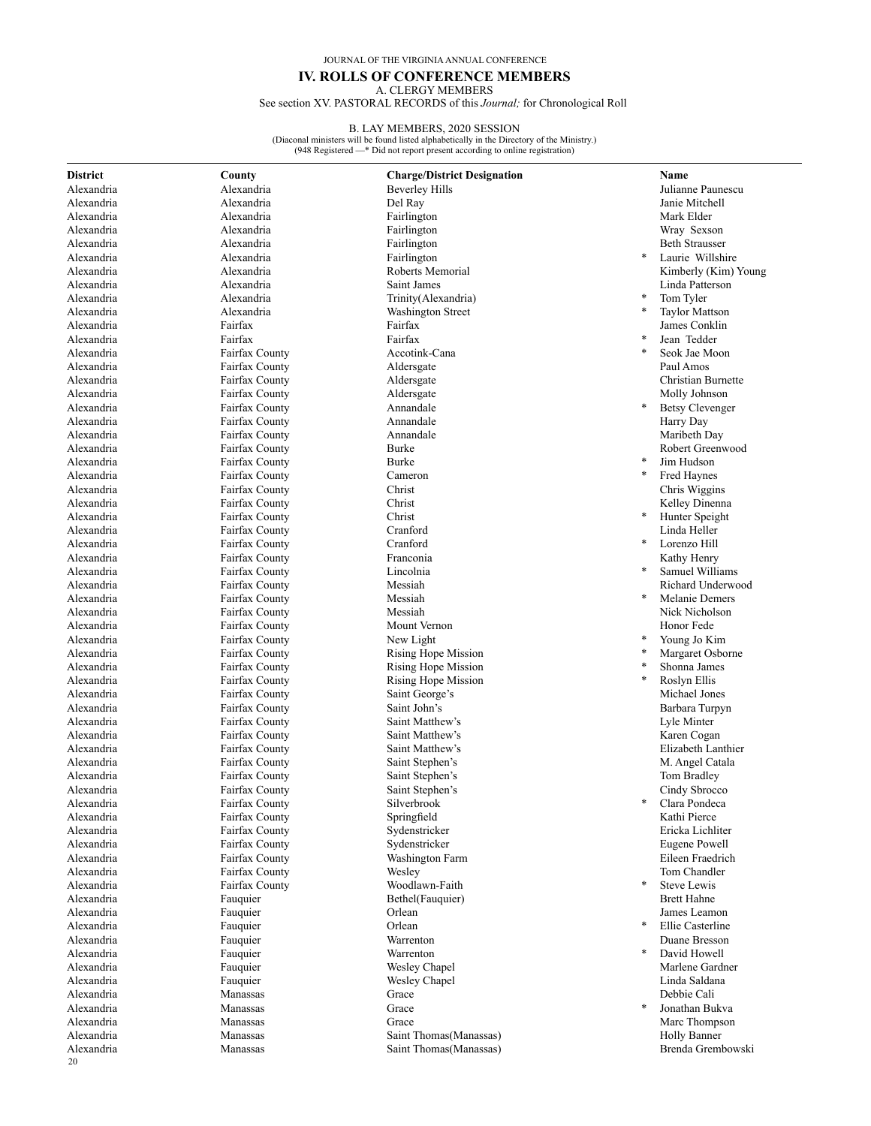JOURNAL OF THE VIRGINIA ANNUAL CONFERENCE

# **IV. ROLLS OF CONFERENCE MEMBERS**

A. CLERGY MEMBERS See section XV. PASTORAL RECORDS of this *Journal;* for Chronological Roll

#### B. LAY MEMBERS, 2020 SESSION

(Diaconal ministers will be found listed alphabetically in the Directory of the Ministry.) (948 Registered —\* Did not report present according to online registration)

| <b>District</b> | County                           | <b>Charge/District Designation</b> |        | Name                   |
|-----------------|----------------------------------|------------------------------------|--------|------------------------|
| Alexandria      | Alexandria                       | <b>Beverley Hills</b>              |        | Julianne Paunescu      |
| Alexandria      | Alexandria                       | Del Ray                            |        | Janie Mitchell         |
| Alexandria      | Alexandria                       | Fairlington                        |        | Mark Elder             |
| Alexandria      | Alexandria                       | Fairlington                        |        | Wray Sexson            |
| Alexandria      | Alexandria                       | Fairlington                        |        | <b>Beth Strausser</b>  |
| Alexandria      | Alexandria                       | Fairlington                        | $\ast$ | Laurie Willshire       |
| Alexandria      | Alexandria                       | Roberts Memorial                   |        | Kimberly (Kim) Young   |
| Alexandria      | Alexandria                       | Saint James                        |        | Linda Patterson        |
| Alexandria      | Alexandria                       | Trinity(Alexandria)                |        | Tom Tyler              |
| Alexandria      | Alexandria                       | <b>Washington Street</b>           | *      | <b>Taylor Mattson</b>  |
| Alexandria      | Fairfax                          | Fairfax                            |        | James Conklin          |
| Alexandria      | Fairfax                          | Fairfax                            |        | Jean Tedder            |
| Alexandria      | Fairfax County                   | Accotink-Cana                      | $\ast$ | Seok Jae Moon          |
| Alexandria      | Fairfax County                   | Aldersgate                         |        | Paul Amos              |
| Alexandria      | Fairfax County                   | Aldersgate                         |        | Christian Burnette     |
| Alexandria      | Fairfax County                   | Aldersgate                         |        | Molly Johnson          |
| Alexandria      | Fairfax County                   | Annandale                          | $\ast$ | <b>Betsy Clevenger</b> |
| Alexandria      | Fairfax County                   | Annandale                          |        | Harry Day              |
| Alexandria      | Fairfax County                   | Annandale                          |        | Maribeth Day           |
| Alexandria      | Fairfax County                   | Burke                              |        | Robert Greenwood       |
| Alexandria      | Fairfax County                   | Burke                              | $\ast$ | Jim Hudson             |
| Alexandria      | Fairfax County                   | Cameron                            | *      | Fred Haynes            |
| Alexandria      | Fairfax County                   | Christ                             |        | Chris Wiggins          |
| Alexandria      | Fairfax County                   | Christ                             |        | Kelley Dinenna         |
| Alexandria      | Fairfax County                   | Christ                             | *      | Hunter Speight         |
| Alexandria      | Fairfax County                   | Cranford                           |        | Linda Heller           |
| Alexandria      |                                  | Cranford                           | $\ast$ | Lorenzo Hill           |
| Alexandria      | Fairfax County<br>Fairfax County | Franconia                          |        | Kathy Henry            |
|                 |                                  |                                    |        | Samuel Williams        |
| Alexandria      | Fairfax County                   | Lincolnia<br>Messiah               |        | Richard Underwood      |
| Alexandria      | Fairfax County                   |                                    | $\ast$ | Melanie Demers         |
| Alexandria      | Fairfax County                   | Messiah                            |        |                        |
| Alexandria      | Fairfax County                   | Messiah                            |        | Nick Nicholson         |
| Alexandria      | Fairfax County                   | Mount Vernon                       |        | Honor Fede             |
| Alexandria      | Fairfax County                   | New Light                          |        | Young Jo Kim           |
| Alexandria      | Fairfax County                   | Rising Hope Mission                | $\ast$ | Margaret Osborne       |
| Alexandria      | Fairfax County                   | Rising Hope Mission                | *      | Shonna James           |
| Alexandria      | Fairfax County                   | Rising Hope Mission                |        | Roslyn Ellis           |
| Alexandria      | Fairfax County                   | Saint George's                     |        | Michael Jones          |
| Alexandria      | Fairfax County                   | Saint John's                       |        | Barbara Turpyn         |
| Alexandria      | Fairfax County                   | Saint Matthew's                    |        | Lyle Minter            |
| Alexandria      | Fairfax County                   | Saint Matthew's                    |        | Karen Cogan            |
| Alexandria      | Fairfax County                   | Saint Matthew's                    |        | Elizabeth Lanthier     |
| Alexandria      | Fairfax County                   | Saint Stephen's                    |        | M. Angel Catala        |
| Alexandria      | Fairfax County                   | Saint Stephen's                    |        | Tom Bradley            |
| Alexandria      | Fairfax County                   | Saint Stephen's                    |        | Cindy Sbrocco          |
| Alexandria      | Fairfax County                   | Silverbrook                        | *      | Clara Pondeca          |
| Alexandria      | Fairfax County                   | Springfield                        |        | Kathi Pierce           |
| Alexandria      | Fairfax County                   | Sydenstricker                      |        | Ericka Lichliter       |
| Alexandria      | Fairfax County                   | Sydenstricker                      |        | <b>Eugene Powell</b>   |
| Alexandria      | Fairfax County                   | Washington Farm                    |        | Eileen Fraedrich       |
| Alexandria      | Fairfax County                   | Wesley                             |        | Tom Chandler           |
| Alexandria      | Fairfax County                   | Woodlawn-Faith                     | *      | Steve Lewis            |
| Alexandria      | Fauquier                         | Bethel(Fauquier)                   |        | <b>Brett Hahne</b>     |
| Alexandria      | Fauquier                         | Orlean                             |        | James Leamon           |
| Alexandria      | Fauquier                         | Orlean                             | $\ast$ | Ellie Casterline       |
| Alexandria      | Fauquier                         | Warrenton                          |        | Duane Bresson          |
| Alexandria      | Fauquier                         | Warrenton                          | *      | David Howell           |
| Alexandria      | Fauquier                         | Wesley Chapel                      |        | Marlene Gardner        |
| Alexandria      | Fauquier                         | Wesley Chapel                      |        | Linda Saldana          |
| Alexandria      | Manassas                         | Grace                              |        | Debbie Cali            |
| Alexandria      | Manassas                         | Grace                              | *      | Jonathan Bukva         |
| Alexandria      | Manassas                         | Grace                              |        | Marc Thompson          |
| Alexandria      | Manassas                         | Saint Thomas (Manassas)            |        | <b>Holly Banner</b>    |

Alexandria Manassas Saint Thomas(Manassas) Brenda Grembowski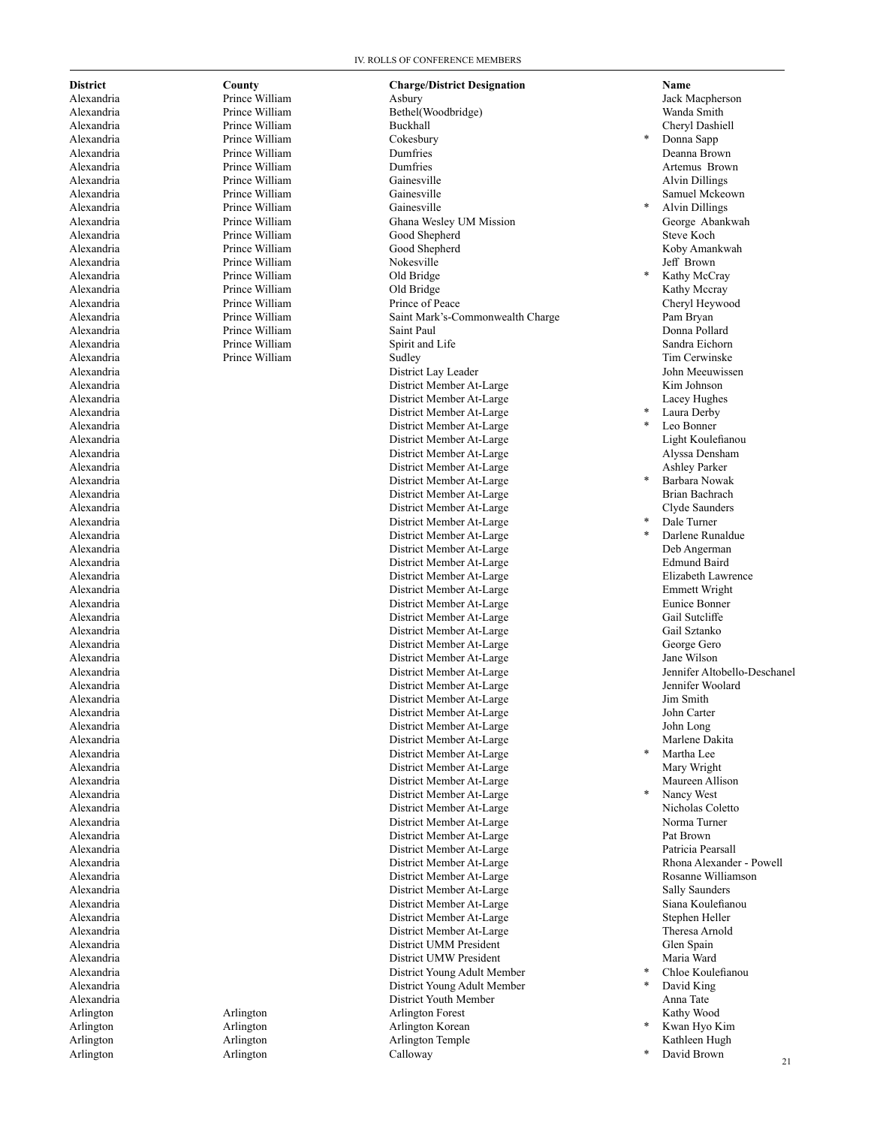Prince William

Prince William

Arlington Calloway

**District County Charge/District Designation Name**  Alexandria Prince William Asbury Jack Macpherson Alexandria Prince William Bethel(Woodbridge) Wanda Smith Alexandria Prince William Buckhall Cheryl Dashiell Alexandria Prince William Dumfries Deanna Brown Alexandria Prince William Dumfries Artemus Brown Alexandria Prince William Gainesville Alvin Dillings Alexandria 1988 Prince William 1988 Gainesville<br>
Alexandria 1989 Prince William 1989 Gainesville 1989 Contract 1989 March 1989 March 1989 Prince William 1989 Alexandria Prince William Ghana Wesley UM Mission George Abankwah Alexandria Prince William Good Shepherd Steve Koch Alexandria Prince William Good Shepherd Koby Amankwah Alexandria **Alexandria Prince William** Nokesville *Notesville Prince William Notesville Mexandria**Jeff Brown* Alexandria Prince William Old Bridge Alexandria **Prince William Cold Bridge** Cold Bridge **Cold Bridge** Kathy Mccray Alexandria Prince William Prince of Peace Cheryl Heywood Alexandria Prince William Saint Mark's-Commonwealth Charge Pam Bryan Alexandria Prince William Saint Paul Donna Pollard Alexandria **Prince William Spirit and Life** Sandra Eichorn Sandra Eichorn Sandra Eichorn Alexandria Prince William Sudley Tim Cerwinske Alexandria District Lay Leader John Meeuwissen Alexandria District Member At-Large Kim Johnson Alexandria and District Member At-Large District Member At-Large District Member At-Large District Member At-Large District Member At-Large Alexandria District Member At-Large Alexandria and the contract of the District Member At-Large Theorem and District Member At-Large Light Koulefianou Alexandria District Member At-Large Alyssa Densham Alexandria and District Member At-Large District Member At-Large and District Member At-Large Alexandria District Member At-Large Alexandria District Member At-Large Brian Bachrach District Member At-Large Alexandria District Member At-Large Alexandria District Member At-Large District Member At-Large Alexandria District Member At-Large Edmund Baird Alexandria **District Member At-Large District Member At-Large** Alexandria District Member At-Large Emmett Wright Alexandria District Member At-Large Eunice Bonner District Member At-Large Alexandria District Member At-Large Gail Sztanko Alexandria District Member At-Large George Gero Alexandria 1992 District Member At-Large Alexandria 2012 District Member At-Large Alexandria Alexandria and a controller and the District Member At-Large and the Member At-Large Jennifer Altobello-Deschanel<br>Alexandria and a controller and District Member At-Large Jennifer Woolard District Member At-Large Jennifer Woolard Alexandria District Member At-Large Jim Smith Alexandria District Member At-Large John Carter District Member At-Large John Long Alexandria 2008 Marlene Dakita 2008 Marlene Dakita 2008 District Member At-Large 2008 Marlene Dakita Alexandria and a controlled a controlled a controlled by District Member At-Large Alexandria and a District Member At-Large Alexandria 1988 and 1999 and 1999 and 1999 and 1999 and 1999 and 1999 and 1999 and 1999 and 1999 and 1999 and 1<br>1999 and 1999 and 1999 and 1999 and 1999 and 1999 and 1999 and 1999 and 1999 and 1999 and 1999 and 1999 and 19 District Member At-Large Maureen Allison Alexandria District Member At-Large Alexandria District Member At-Large Nicholas Coletto Alexandria District Member At-Large Norma Turner District Member At-Large Alexandria District Member At-Large Patricia Pearsall Alexandria District Member At-Large Rhona Alexander - Powell Alexandria District Member At-Large Rosanne Williamson Alexandria 1988 and 1999 and 1999 and 1999 and 1999 and 1999 and 1999 and 1999 and 1999 and 1999 and 1999 and 1<br>1999 and 1999 and 1999 and 1999 and 1999 and 1999 and 1999 and 1999 and 1999 and 1999 and 1999 and 1999 and 19 Alexandria District Member At-Large Siana Koulefianou Alexandria District Member At-Large Stephen Heller District Member At-Large Theresa Arnold Alexandria District UMM President Glen Spain District UMW President Alexandria District Young Adult Member \* Chloe Koulefianou Alexandria District Young Adult Member District Youth Member Anna Tate Arlington Arlington Arlington Forest Kathy Wood Arlington Arlington Arlington Korean Arlington Arlington Arlington Arlington Arlington Arlington Arlington Arlington Arlington Arlington Arlington Arlington Arlington Arlington Arlington Arlington Arlington Arlington Arlington Arlington Arlington Arlington Ar

# Donna Sapp Alvin Dillings Kathy McCray Laura Derby Leo Bonner \* Barbara Nowak Dale Turner Darlene Runaldue<br>Deb Angerman Martha Lee<br>Mary Wright Nancy West David King

- Kwan Hyo Kim
- 
- David Brown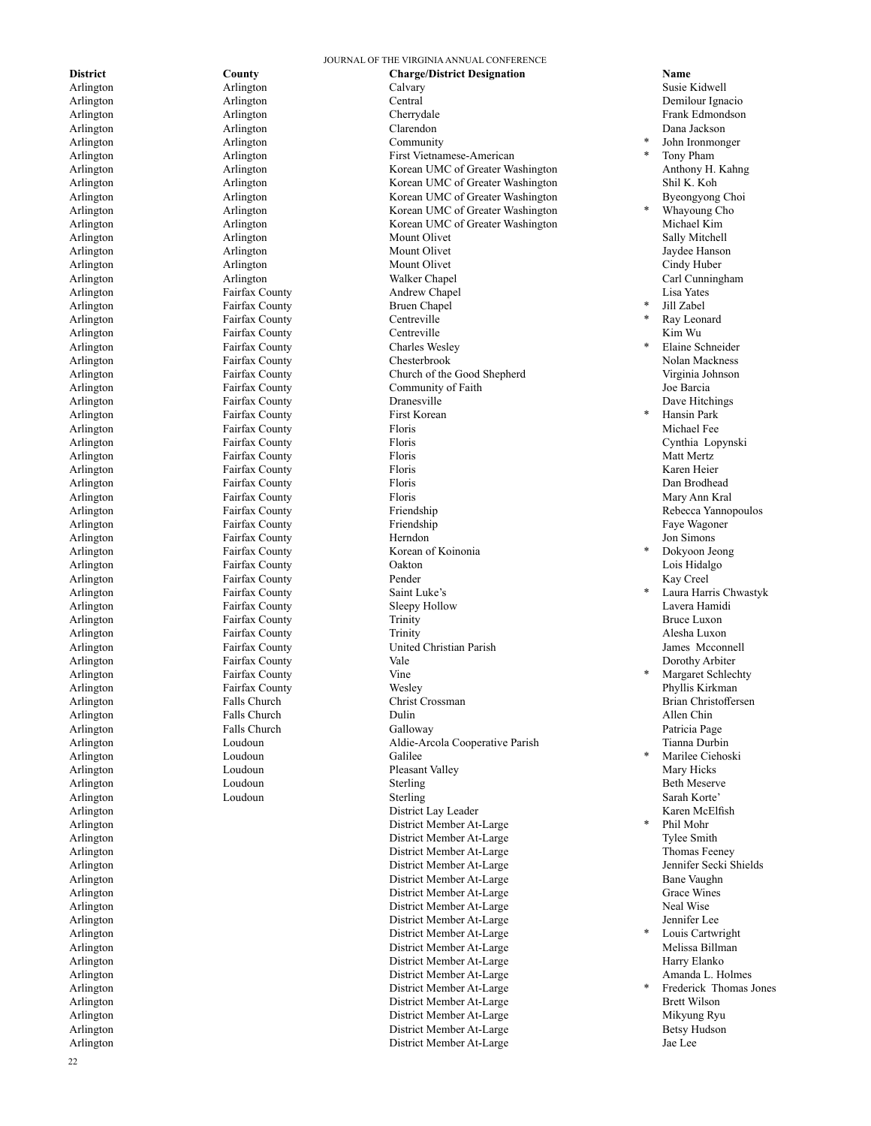Arlington Community Arlington Fairfax County Bruen Chapel<br>
Arlington Fairfax County Centreville Arlington Fairfax County Arlington Fairfax County First Korean<br>Arlington Fairfax County Floris Arlington Fairfax County Saint Luke's Arlington Fairfax County Vine<br>Arlington Fairfax County Wesley Arlington Loudoun **Calilee** 

**District County County Charge/District Designation Mame**<br> **Calvary Calvary** Calvary **Calvary Calvary Calvary Calvary Calvary Calvary Calvary Calvary Calvary** Arlington Arlington Calvary Susie Kidwell Arlington Arlington Central Demilour Ignacio Arlington Arlington Cherrydale Frank Edmondson Arlington Arlington Clarendon Dana Jackson Arlington Arlington First Vietnamese-American Arlington Arlington Arlington Corean UMC of Greater Washington Arlington Arlington Korean UMC of Greater Washington Shil K. Koh Arlington Arlington Arlington Arlington Korean UMC of Greater Washington Byeongyong Choi Arlington Arlington Korean UMC of Greater Washington Arlington Arlington Korean UMC of Greater Washington Michael Kim Arlington Arlington Arlington Arlington Mount Olivet Sally Mitchell Arlington and Arlington and Arlington and Mount Olivet and Arlington Jaydee Hanson Arlington Cindy Huber Arlington Arlington Mount Olivet Cindy Huber Cindy Huber Arlington Arlington Arlington Arlington Walker Chapel Carl Cunningham Arlington Fairfax County Andrew Chapel Lisa Yates Arlington Fairfax County Centreville Kim Wu Arlington Fairfax County Charles Wesley<br>Arlington Fairfax County Chesterbrook Arlington Fairfax County Chesterbrook Nolan Mackness Arlington Fairfax County Church of the Good Shepherd Arlington **Fairfax County** Community of Faith **Fairly** Joe Barcia Arlington **Fairfax County** Dranesville **County** Dranesville **Dave Hitchings** Dave Hitchings Arlington Fairfax County Floris Michael Fee Arlington Fairfax County Floris Cynthia Lopynski Arlington Fairfax County Floris Matt Mertz Arlington Fairfax County Floris Karen Heier Arlington **Example Provide Fairfax County** Floris Floris **Floris** Pain Brodhead Dan Brodhead Arlington Fairfax County Floris Mary Ann Kral Arlington **Fairfax County** Friendship **Friendship** Rebecca Yannopoulos Arlington Fairfax County Friendship Faye Wagoner Arlington Fairfax County Herndon Jon Simons Arlington Fairfax County Korean of Koinonia Arlington Fairfax County Oakton Lois Hidalgo Arlington **Fairfax County** Pender Pender **Fairfax** County Pender **Fairfax** County Arlington Fairfax County Sleepy Hollow Arlington **Fairfax County Fairfax County Finity Bruce Luxon** Arlington Fairfax County Trinity Alesha Luxon Arlington Fairfax County United Christian Parish James Mcconnell Arlington **Fairfax County Fairfax County** Vale **Communist Vale** Dorothy Arbiter Arlington Fairfax County Wesley Phyllis Kirkman Arlington Falls Church Christ Crossman Brian Christoffersen Arlington Falls Church Dulin Allen Chin Arlington Falls Church Galloway Patricia Page Arlington Loudoun Aldie-Arcola Cooperative Parish Tianna Durbin Arlington 1988 (Arrival Loudoun 1988) Pleasant Valley (Arrival Mary Hicks Mary Hicks 1988) Arrival Development<br>Arlington 1998 (Arrival Loudoun 1998) Sterling Sterling (Arrival 1999) Arrival Development 1999) Arrival Deve Arlington Beth Meserve Loudoun Sterling Sterling Sterling Sterling Beth Meserve Arlington Loudoun Sterling Sarah Korte' Arlington **Example 2** Contract McClinum District Lay Leader **Contract Contract McClinum Contract Contract Contract McClinum** Karen McElfish Arlington District Member At-Large Arlington District Member At-Large Tylee Smith Principles Smith District Member At-Large Tylee Smith Principles Smith District Member At-Large Thomas Feeney District Member At-Large Arlington District Member At-Large Jennifer Secki Shields Arlington Bane Vaughn and District Member At-Large Bane Vaughn Bane Vaughn Bane Vaughn and Bane Vaughn Bane Vaughn and Bane Vaughn and Bane Vaughn and Bane Vaughn and Bane Vaughn and Bane Vaughn and Bane Vaughn and Bane Va Arlington and Communication and District Member At-Large Grace Wines (Grace Wines Arlington and District Member At-Large Grace Wines Arlington and District Member At-Large Shell Wise Arlington District Member At-Large Neal Wise Arlington District Member At-Large<br>
Arlington District Member At Large Arlington District Member At-Large Arlington District Member At-Large Melissa Billman Arlington District Member At-Large Arlington District Member At-Large Amanda L. Holmes District Member At-Large Arlington District Member At-Large Brett Wilson Arlington District Member At-Large Mikyung Ryu Arlington District Member At-Large Betsy Hudson Arlington District Member At-Large Jae Lee

JOURNAL OF THE VIRGINIA ANNUAL CONFERENCE

John Ironmonger

- Tony Pham<br>Anthony H. Kahng
- Whayoung Cho

Jill Zabel

- Ray Leonard<br>Kim Wu
- Elaine Schneider
- Hansin Park<br>Michael Fee
- Dokyoon Jeong
- Laura Harris Chwastyk<br>Lavera Hamidi
- Margaret Schlechty<br>Phyllis Kirkman
- Marilee Ciehoski
- Phil Mohr<br>Tylee Smith
- Louis Cartwright
- Frederick Thomas Jones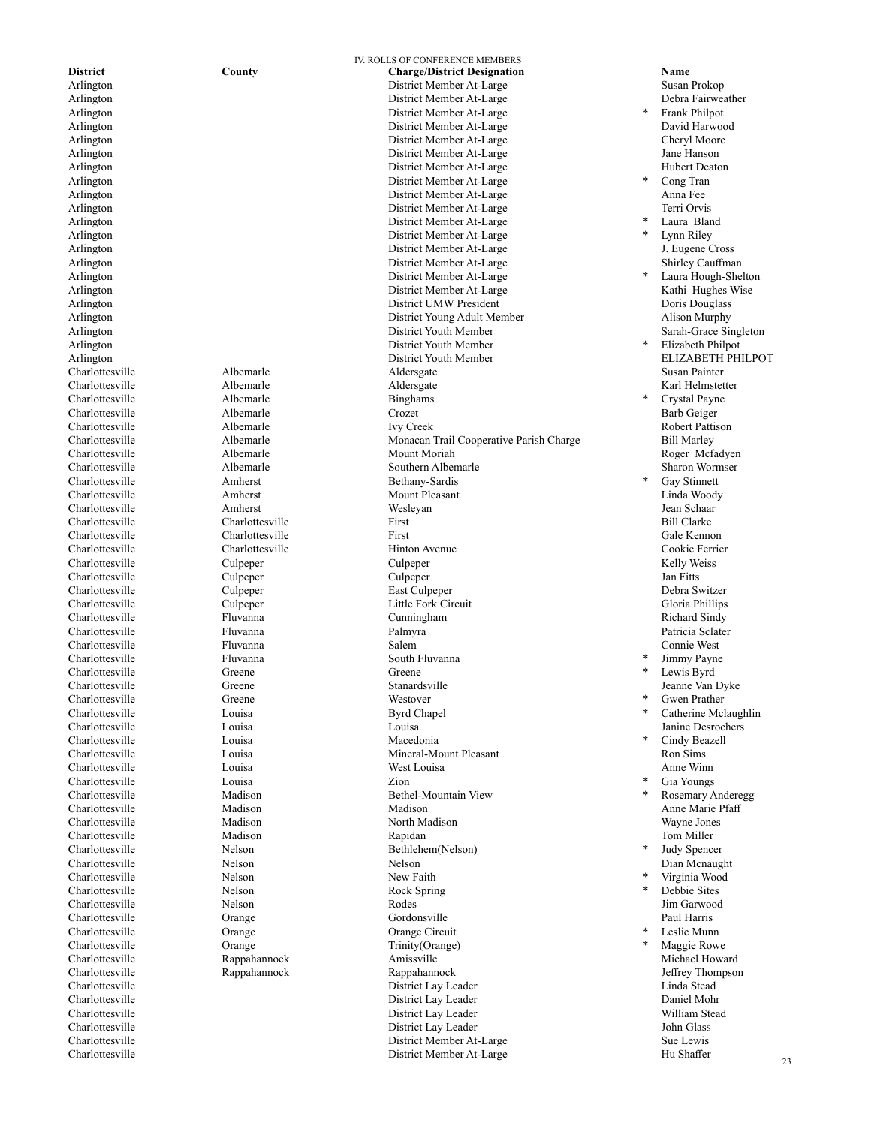Charlottesville Albemarle<br>Charlottesville Albemarle Charlottesville Greene Greene Charlottesville Greene Westover Charlottesville Couisa Byrd Chapel Charlottesville<br>Charlottesville Charlottesville Louisa Macedonia Charlottesville Louisa Zion Charlottesville Nelson New Faith<br>
Charlottesville Nelson New Tail Rock Sprin

IV. ROLLS OF CONFERENCE MEMBERS **District County Charge/District Designation Name**  Arlington District Member At-Large Susan Prokop District Member At-Large Arlington District Member At-Large Arlington District Member At-Large David Harwood District Member At-Large Arlington and the Community of the District Member At-Large Jane Hanson Jane Hanson<br>
District Member At-Large Thibert Deaton Hubert Deaton Arlington District Member At-Large Arlington District Member At-Large Arlington and the Community of the District Member At-Large Anna Fee Anna Fee Anna Fee Anna Fee Anna Fee Anna Fee Anna Fee Anna Fee Anna Fee Anna Fee Anna Fee Anna Fee Anna Fee Anna Fee Anna Fee Anna Fee Anna Fee Anna Fee Arlington District Member At-Large Terri Orvis Arlington District Member At-Large Arlington District Member At-Large Arlington District Member At-Large Arlington Shirley Cauffman District Member At-Large Shirley Cauffman Arlington District Member At-Large Arlington 2008 and 2012 and 2013 and 2014 and 2015 and 2017 and 2018 and 2019 and 2019 and 2019 and 2019 and 2019 and 2019 and 2019 and 2019 and 2019 and 2019 and 2019 and 2019 and 2019 and 2019 and 2019 and 2019 and 2019 District UMW President Arlington and a state of the District Young Adult Member Alison Murphy Arlington District Youth Member Sarah-Grace Singleton Arlington District Youth Member Arlington ELIZABETH District Youth Member ELIZABETH Charlottesville Susan Painter Charlottesville Albemarle Aldersgate Susan Painter Charlottesville Albemarle Albemarle Aldersgate Karl Helmstetter Charlottesville Albemarle Albemarle Binghams \* Crystal Payne Charlottesville Albemarle Crozet Barb Geiger Charlottesville Albemarle Ivy Creek Robert Pattison Charlottesville Albemarle Monacan Trail Cooperative Parish Charge Bill Marley Charlottesville Albemarle Albemarle Mount Moriah Roger Mcfadyen<br>Charlottesville Albemarle Albemarle Southern Albemarle Sharon Wormser Charlottesville Albemarle Southern Albemarle Sharon Wormser Amherst Bethany-Sardis Charlottesville Amherst Mount Pleasant Linda Woody Charlottesville Amherst Wesleyan Jean Schaar Charlottesville Charlottesville First Bill Clarke Charlottesville Charlottesville First Gale Kennon Charlottesville Charlottesville Hinton Avenue Cookie Ferrier Charlottesville Culpeper Culpeper Kelly Weiss Charlottesville Culpeper Culpeper Jan Fitts Charlottesville Culpeper East Culpeper Debra Switzer Charlottesville Culpeper Little Fork Circuit Gloria Phillips Charlottesville Fluvanna Cunningham Richard Sindy Charlottesville Fluvanna Palmyra Patricia Sclater Charlottesville Fluvanna Salem Connie West Charlottesville Fluvanna South Fluvanna Charlottesville Greene Stanardsville Jeanne Van Dyke Louisa Louisa Louisa Louisa Desrochers Charlottesville Louisa Mineral-Mount Pleasant Ron Sims Charlottesville Louisa West Louisa Anne Winn Charlottesville Madison Bethel-Mountain View<br>
Charlottesville Madison Madison Madison Charlottesville Madison Madison Anne Marie Pfaff Charlottesville Madison North Madison Wayne Jones Charlottesville Madison Rapidan Tom Miller Charlottesville Nelson Nelson Bethlehem(Nelson) Charlottesville Nelson Nelson Dian Mcnaught Rock Spring Charlottesville Nelson Rodes Jim Garwood Charlottesville Orange Gordonsville Paul Harris Charlottesville Orange Orange Circuit Charlottesville Charlottesville Orange Trinity(Orange)<br>
Charlottesville Rannahannock Amissville Charlottesville **Rappahannock** Amissville Amissville Michael Howard<br>Charlottesville Rappahannock Rappahannock Rappahannock Jeffrey Thompson Charlottesville Rappahannock Rappahannock Jeffrey Thompson Charlottesville District Lay Leader Linda Stead District Lay Leader Charlottesville District Lay Leader William Stead Charlottesville District Lay Leader John Glass Charlottesville Sue Lewis Charlottesville District Member At-Large Sue Lewis Charlottesville Sue Lewis Charlottesville Sue Lewis Charlottesville Sue Lewis Charlottesville Sue Lewis District Member At-Large Hu Shaffer District Member At-Large

**Frank Philpot** Cong Tran Laura Bland Lynn Riley<br>J. Eugene Cross Laura Hough-Shelton<br>Kathi Hughes Wise Elizabeth Philpot<br>ELIZABETH PHILPOT Crystal Payne<br>Barb Geiger Gay Stinnett Jimmy Payne Lewis Byrd Gwen Prather Catherine Mclaughlin Cindy Beazell Gia Youngs Rosemary Anderegg Judy Spencer Virginia Wood Debbie Sites Leslie Munn Maggie Rowe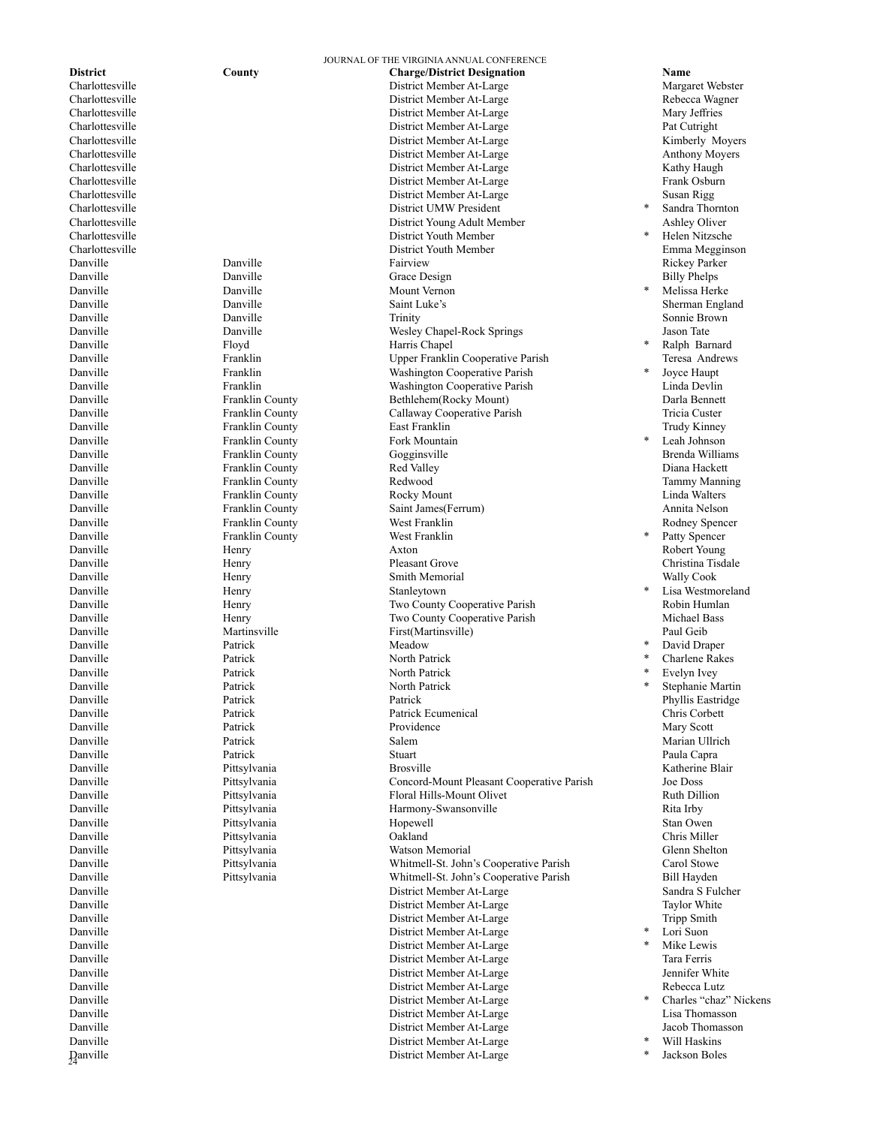**D**anville

Danville Danville Mount Vernon Danville Floyd Harris Chapel Franklin County Danville Franklin County Franklin County West Franklin<br>
Danville Henry Henry Axton Danville **1986** Henry Henry Stanleytown<br>
Danville Henry Two County Danville **Patrick** Patrick Meadow Danville Patrick North Patrick Danville Patrick North Patrick

JOURNAL OF THE VIRGINIA ANNUAL CONFERENCE **District County Charge/District Designation Name**  Charlottesville District Member At-Large Margaret Webster Charlottesville District Member At-Large Rebecca Wagner Charlottesville District Member At-Large Mary Jeffries Charlottesville District Member At-Large Pat Cutright District Member At-Large Charlottesville **Charlottesville** 2014 and 2015 and 2016 and 2016 and 2016 and 2016 and 2016 and 2016 and 2016 and 2016 and 2016 and 2016 and 2016 and 2016 and 2016 and 2016 and 2016 and 2016 and 2016 and 2016 and 2016 and Charlottesville District Member At-Large Kathy Haugh Charlottesville District Member At-Large Frank Osburn District Member At-Large Charlottesville **District UMW President** Charlottesville District Young Adult Member Ashley Oliver Charlottesville District Youth Member Charlottesville District Youth Member Emma Megginson Danville Danville Fairview Rickey Parker Danville **Danville** Danville Grace Design **Billy Phelps** Billy Phelps Danville Danville Trinity Sonnie Brown Danville Danville Wesley Chapel-Rock Springs Jason Tate Upper Franklin Cooperative Parish Teresa Andrews Danville Franklin Washington Cooperative Parish Danville Franklin Washington Cooperative Parish Linda Devlin Danville Franklin County Bethlehem(Rocky Mount) Darla Bennett Franklin County Callaway Cooperative Parish Danville Franklin County East Franklin Trudy Kinney Franklin County Fork Mountain Danville Franklin County Gogginsville Brenda Williams Danville Franklin County Redwood Tammy Manning Danville Franklin County Rocky Mount Linda Walters Danville Franklin County Saint James(Ferrum) Annita Nelson Danville Henry Axton Robert Young Danville Henry Pleasant Grove Christina Tisdale Danville **Henry** Henry Smith Memorial Service Ally Cook Henry Two County Cooperative Parish Danville **1988** Henry Henry Two County Cooperative Parish Michael Bass<br>
Danville Paul Geib Martinsville First(Martinsville) Paul Geib First(Martinsville) North Patrick Patrick Patrick Phyllis Eastridge Danville Patrick Patrick Ecumenical Chris Corbett Danville **Patrick** Providence Providence **Providence** Mary Scott Danville Patrick Salem Marian Ullrich Danville Patrick Stuart Paula Capra Danville Pittsylvania Brosville Katherine Blair Danville Pittsylvania Concord-Mount Pleasant Cooperative Parish Joe Doss Danville Pittsylvania Floral Hills-Mount Olivet Ruth Dillion Pittsylvania and Harmony-Swansonville and Rita Irby Danville Pittsylvania Hopewell Stan Owen Danville Pittsylvania Oakland Chris Miller Danville Pittsylvania Watson Memorial Glenn Shelton Danville Pittsylvania Whitmell-St. John's Cooperative Parish Carol Stowe Danville Pittsylvania Whitmell-St. John's Cooperative Parish Bill Hayden District Member At-Large District Member At-Large Taylor White Taylor White District Member At-Large Taylor White Danville District Member At-Large Tripp Smith Danville District Member At-Large District Member At-Large Danville District Member At-Large Tara Ferris Danville District Member At-Large Jennifer White Danville District Member At-Large Rebecca Lutz Danville District Member At-Large District Member At-Large Danville District Member At-Large Jacob Thomasson Danville District Member At-Large District Member At-Large

Sandra Thornton Helen Nitzsche Melissa Herke Sherman England Ralph Barnard Joyce Haupt Leah Johnson Rodney Spencer Patty Spencer Lisa Westmoreland<br>Robin Humlan David Draper Charlene Rakes Evelyn Ivey Stephanie Martin Lori Suon

- Mike Lewis
- Charles "chaz" Nickens<br>Lisa Thomasson
- \* Will Haskins
- Jackson Boles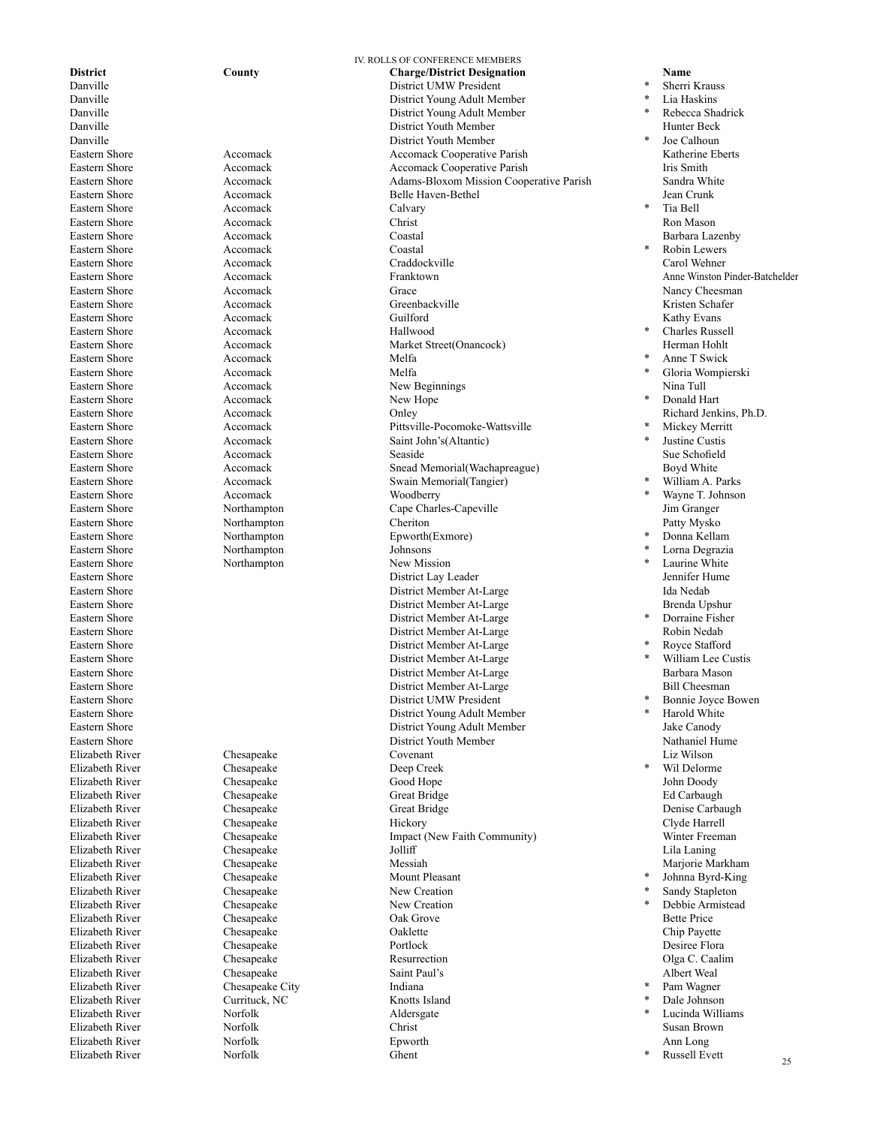Eastern Shore **Accomack** Calvary Eastern Shore Accomack Coastal Eastern Shore **Accomack** Hallwood Eastern Shore Accomack Melfa Eastern Shore **Accomack** Accomack Melfa Eastern Shore Accomack New Hope Eastern Shore **Accomack** Moodberry Eastern Shore Northampton Johnsons Eastern Shore Northampton New Mission Elizabeth River Chesapeake Deep Creek Elizabeth River Chesapeake Elizabeth River Chesapeake New Creation Elizabeth River Chesapeake City Indiana<br>
Elizabeth River Currituck NC Knotts I Elizabeth River Norfolk Norfolk Aldersgate Elizabeth River Norfolk Ghent

IV. ROLLS OF CONFERENCE MEMBERS **District County Charge/District Designation Name**  Danville District UMW President District Young Adult Member Danville District Young Adult Member Danville **District Youth Member** District Youth Member Danville **District Youth Member** District Youth Member District Youth Member Eastern Shore **Accomack Accomack Accomack Accomack Cooperative Parish Katherine Eberts** Katherine Eberts Eastern Shore Accomack Accomack Cooperative Parish Iris Smith Eastern Shore Accomack Adams-Bloxom Mission Cooperative Parish Sandra White Belle Haven-Bethel Eastern Shore **Accomack** Accomack Christ Christ Christ Ron Mason Eastern Shore **Accomack** Coastal Coastal **Coastal Barbara Lazenby** Eastern Shore **Accomack** Craddockville Carol Wehner Carol Wehner Eastern Shore Accomack Franktown Anne Winston Pinder-Batchelder Eastern Shore **Accomack** Accomack Grace **Grace** Accomack Grace Nancy Cheesman Eastern Shore Accomack Greenbackville Kristen Schafer Eastern Shore **Accomack** Accomack Guilford Guilford **Communist Communist Communist Communist Communist Communist Communist Communist Communist Communist Communist Communist Communist Communist Communist Communist Communist** Eastern Shore Accomack Market Street(Onancock) Herman Hohlt Eastern Shore Accomack New Beginnings Nina Tull Accomack Onley Onley Accomack Onley Accomack Accomack Onley Accomack Accomack Accomack Onley Accomache  $\mathbb{R}$ . Eastern Shore Accomack Pittsville-Pocomoke-Wattsville Eastern Shore Accomack Saint John's(Altantic) Eastern Shore **Sue Schoffeld** Accomack **Seaside** Seaside Sue Schoffeld Eastern Shore **Accomack** Accomack Snead Memorial(Wachapreague) Boyd White Eastern Shore **Accomack** Accomack Swain Memorial(Tangier) Eastern Shore Northampton Cape Charles-Capeville Jim Granger Eastern Shore Northampton Cheriton Patty Mysko Eastern Shore Northampton Epworth(Exmore) Eastern Shore **Eastern Shore District Lay Leader District Lay Leader District Lay Leader Jennifer Hume** Eastern Shore District Member At-Large Ida Nedab District Member At-Large Eastern Shore **Eastern Shore Eastern Shore Eastern Shore** District Member At-Large **Eastern Shore** 2.1 **District Member At-Large** District Member At-Large Eastern Shore **Eastern Shore Eastern Shore Contract Contract Member At-Large \*** Royce Stafford Eastern Shore **Eastern Shore Eastern Shore Eastern Shore** District Member At-Large **Eastern Shore Eastern Shore** District Member At-Large Eastern Shore **Eastern Shore** Bill Cheesman **District Member At-Large Bill Cheesman** Eastern Shore District UMW President Eastern Shore District Young Adult Member Eastern Shore **Eastern Shore** 2 and 2 and 2 and 2 and 2 and 2 and 2 and 2 and 2 and 2 and 2 and 2 and 2 and 2 and 2 and 2 and 2 and 2 and 2 and 2 and 2 and 2 and 2 and 2 and 2 and 2 and 2 and 2 and 2 and 2 and 2 and 2 and District Youth Member Elizabeth River Chesapeake Covenant Liz Wilson Elizabeth River Chesapeake Good Hope John Doody Elizabeth River Chesapeake Great Bridge Ed Carbaugh Elizabeth River Chesapeake Great Bridge Denise Carbaugh Elizabeth River Chesapeake Hickory Clyde Harrell Elizabeth River Chesapeake Impact (New Faith Community) Winter Freeman Elizabeth River Chesapeake Jolliff Lila Laning Elizabeth River Chesapeake Messiah Marjorie Markham Chesapeake Mount Pleasar<br>
Chesapeake Mew Creation Elizabeth River Chesapeake Oak Grove Bette Price Elizabeth River Chesapeake Oaklette Chip Payette Elizabeth River Chesapeake Portlock Desiree Flora Elizabeth River Chesapeake Resurrection Chesapeake Resurrection Chesapeake Resurrection Chesapeake Resurrection Elizabeth River Chesapeake Saint Paul's Albert Weal Elizabeth River Currituck, NC<br>
Norfolk Aldersgate Elizabeth River Norfolk Christ Susan Brown Elizabeth River Norfolk Epworth Ann Long

Sherri Krauss Lia Haskins \* Rebecca Shadrick Joe Calhoun Tia Bell Robin Lewers<br>Carol Wehner Charles Russell Anne T Swick Gloria Wompierski Donald Hart **Mickey Merritt** Justine Custis William A. Parks Wayne T. Johnson Donna Kellam Lorna Degrazia Laurine White Dorraine Fisher<br>Robin Nedab William Lee Custis<br>Barbara Mason Bonnie Joyce Bowen Harold White Wil Delorme Johnna Byrd-King Sandy Stapleton Debbie Armistead Pam Wagner Dale Johnson Lucinda Williams

\* Russell Evett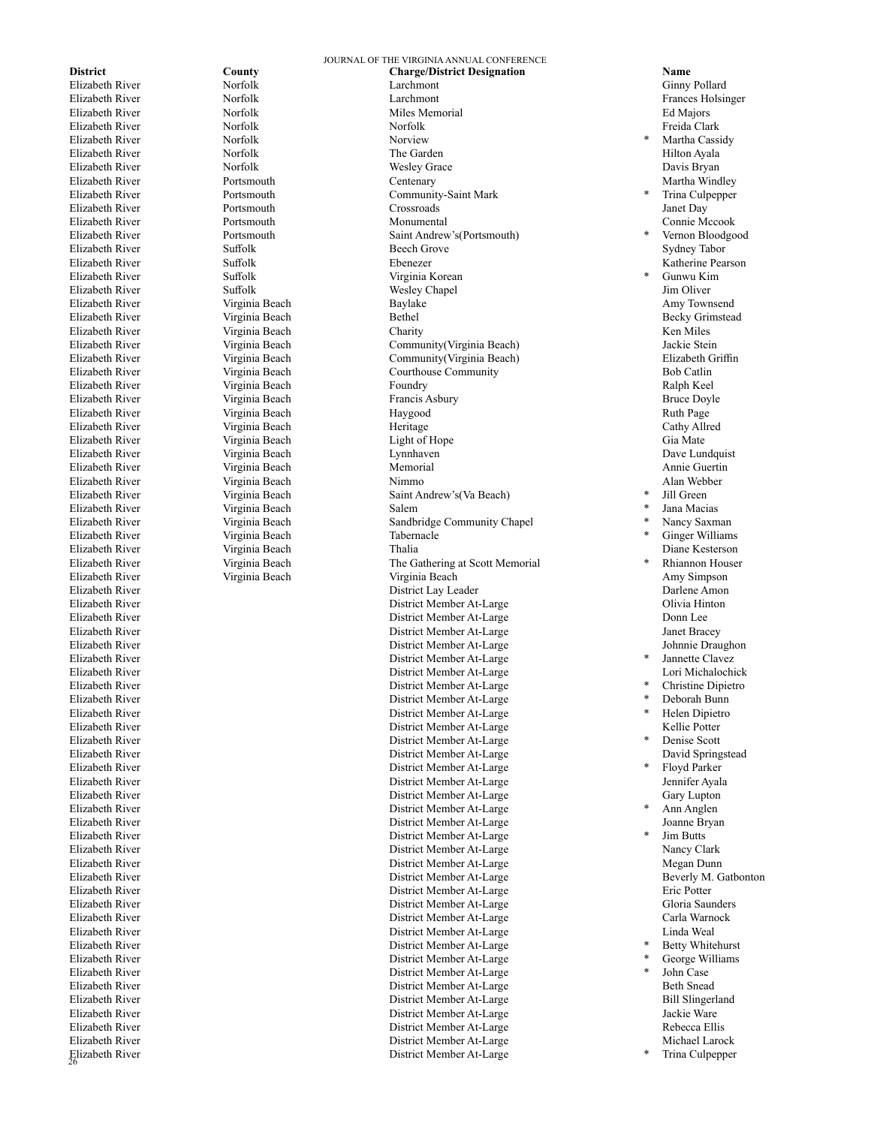Elizabeth River Elizabeth River Norfolk Nortour Norview Elizabeth River Virginia Beach Tabernacle

Virginia Beach

JOURNAL OF THE VIRGINIA ANNUAL CONFERENCE **District County Charge/District Designation Name**  Elizabeth River Norfolk Larchmont Ginny Pollard Elizabeth River Norfolk Larchmont Frances Holsinger Elizabeth River Norfolk Miles Memorial Ed Majors Elizabeth River Norfolk Norfolk Freida Clark Elizabeth River **Norfolk** Norfolk The Garden **The Garden** Hilton Ayala Elizabeth River **Norfolk** Norfolk Wesley Grace **Nortol** Bryan Davis Bryan Elizabeth River **Portsmouth** Portsmouth Centenary Centenary **Martha Windley** Martha Windley Elizabeth River Portsmouth Community-Saint Mark Elizabeth River Portsmouth Crossroads Janet Day Elizabeth River Portsmouth Monumental Connie Mccook Elizabeth River Portsmouth Saint Andrew's(Portsmouth) Elizabeth River Suffolk Beech Grove Sydney Tabor Elizabeth River Suffolk Suffolk Ebenezer **Example 2008** Ebenezer **Suffolk** Ebenezer **Suffolk** Ebenezer **Reserves** Elizabeth River Suffolk Suffolk Virginia Korean \* Gunwu Kim<br>
Elizabeth River Suffolk Suffolk Wesley Chapel Mesley Chapel Jim Oliver Elizabeth River Suffolk Wesley Chapel Jim Oliver Elizabeth River Virginia Beach Baylake Amy Townsend Elizabeth River Virginia Beach Bethel Becky Grimstead Elizabeth River Virginia Beach Charity Ken Miles Elizabeth River Virginia Beach Community(Virginia Beach) Jackie Stein Elizabeth River Virginia Beach Community(Virginia Beach) Elizabeth Griffin Courthouse Community Bob Catlin Elizabeth River Virginia Beach Foundry Ralph Keel Elizabeth River Virginia Beach Francis Asbury Bruce Doyle Elizabeth River Virginia Beach Haygood Ruth Page Elizabeth River Virginia Beach Heritage Cathy Allred Elizabeth River Virginia Beach Light of Hope Gia Mate Elizabeth River Virginia Beach Lynnhaven Dave Lundquist Elizabeth River Virginia Beach Memorial Annie Guertin Elizabeth River Virginia Beach Nimmo Alan Webber Elizabeth River Virginia Beach Saint Andrew's(Va Beach) Elizabeth River Virginia Beach Sandbridge Community Chapel Elizabeth River **1988** Virginia Beach 1988 Thalia 1989 Thalia 1989 Thalia 1989 Diane Kesterson<br>
Elizabeth River 1988 Virginia Beach 1988 The Gathering at Scott Memorial 1988 The Sathering at Scott Memorial Elizabeth River Virginia Beach The Gathering at Scott Memorial Elizabeth River Virginia Beach Virginia Beach Amy Simpson Elizabeth River District Lay Leader Darlene Amon Elizabeth River Clivia Hinton (Elizabeth River Clivia Hinton District Member At-Large Clivia Hinton (Divia Hinton District Member At-Large Clivia Hinton Donn Lee (Divia Hinton District Member At-Large Clivia Hinton Donn Le Elizabeth River District Member At-Large Donn Lee District Member At-Large Elizabeth River School and The Draughon District Member At-Large Mohnnie Draughon District Member At-Large Johnnie Draughon District Member At-Large Johnnie Draughon District Member At-Large Johnnie Draughon (1989) Elizabeth River District Member At-Large Elizabeth River District Member At-Large Lori Michalochick Elizabeth River District Member At-Large Elizabeth River District Member At-Large Elizabeth River District Member At-Large Elizabeth River At-Large Kellie Potter<br>
River At-Large Kellie Potter<br>
Rapisc Section Elizabeth River District Member At-Large Elizabeth River District Member At-Large David Springstead Elizabeth River District Member At-Large District Member At-Large Elizabeth River Gary Lupton<br>
Elizabeth River Gary Lupton<br>
District Member At-Large Sammen (1999)<br>
Pustrict Member At-Large Sammen (1999)<br>
Pustrict Member At-Large Sammen (1999)<br>
Pustrict Member At-Large Sammen (1999) Elizabeth River District Member At-Large Elizabeth River District Member At-Large Joanne Bryan Elizabeth River District Member At-Large District Member At-Large Nancy Clark Elizabeth River Megan Dunn (Elizabeth River Megan Dunn (Elizabeth River Megan Dunn (Elizabeth River Megan Dunn (Elizabeth River Megan Dunn (Elizabeth River Megan Dunn (Elizabeth River Megan Dunn (Elizabeth River Megan Dunn Elizabeth River District Member At-Large Beverly M. Gatbonton District Member At-Large Elizabeth River District Member At-Large Gloria Saunders Elizabeth River **Elizabeth River Carla Warnock Elizabeth River Carla Warnock Carla Warnock Carla Warnock Carla W**<br>District Member At-Large Carla Warnock Carla Warnock Carla Warnock Carla Warnock Carla Warnock Carla Warnock Elizabeth River District Member At-Large Linda Weal Elizabeth River District Member At-Large Elizabeth River District Member At-Large Elizabeth River District Member At-Large Elizabeth River District Member At-Large Beth Snead District Member At-Large Elizabeth River District Member At-Large Jackie Ware Elizabeth River Rebecca Ellis<br>
Elizabeth River Rebecca Ellis<br>
District Member At-Large Rebecca Ellis<br>
District Member At-Large Rebecca Ellis<br>
Michael Larock Elizabeth River At-Large Michael Larock Member At-Large Michael Larock Member At-Large Michael Larock Michael Larock Michael Larock Michael Larock Michael Larock Michael Larock Michael Larock Michael Larock Michael Larock District Member At-Large

Martha Cassidy Trina Culpepper Vernon Bloodgood<br>Sydney Tabor Jill Green Jana Macias Nancy Saxman Ginger Williams Khiannon Houser<br>Amy Simpson Jannette Clavez Christine Dipietro Deborah Bunn Helen Dipietro Denise Scott Floyd Parker<br>Jennifer Ayala Ann Anglen Jim Butts Betty Whitehurst George Williams John Case

Trina Culpepper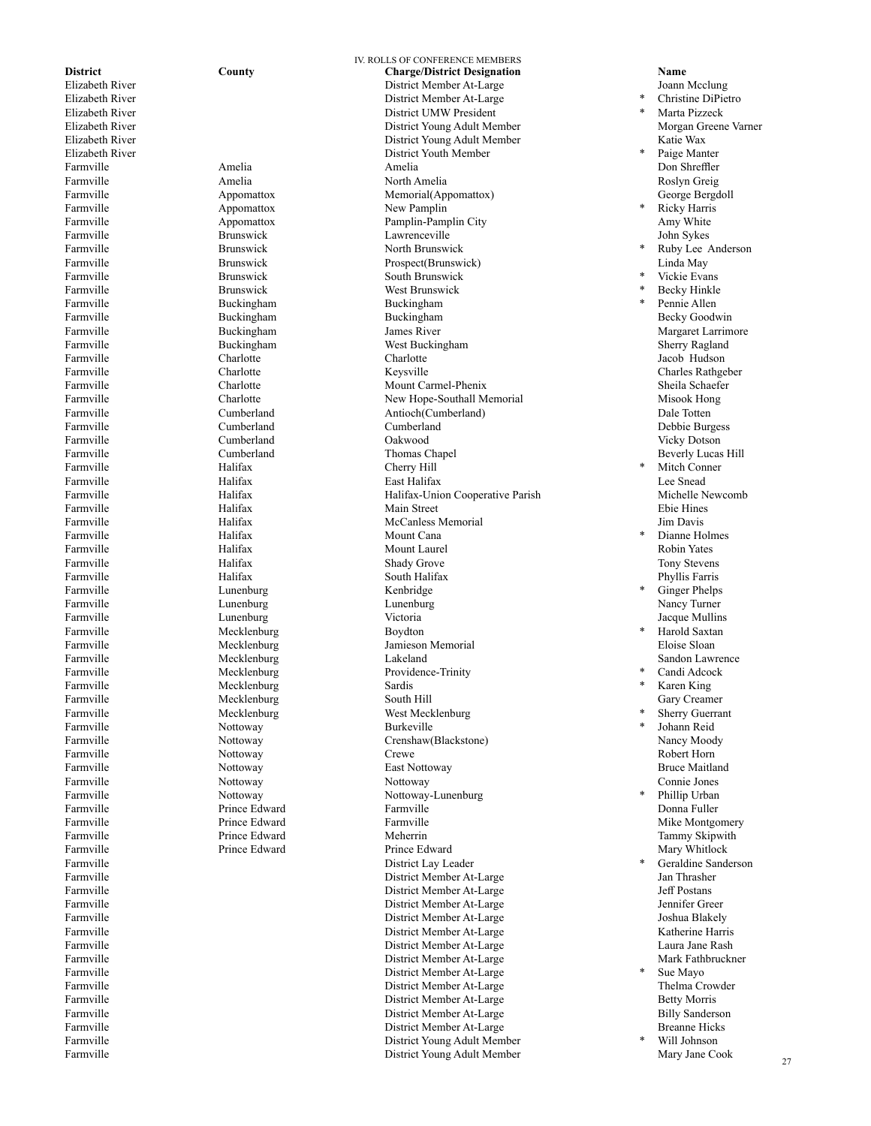Farmville Buckingham<br>
Farmville Buckingham Farmville Halifax Cherry Hill Farmville Halifax Mount Cana Farmville Lunenburg Lunenburg Kenbridge Mecklenburg Farmville Mecklenburg Sardis Farmville **Nottoway** Nottoway Burkeville

IV. ROLLS OF CONFERENCE MEMBERS **District County County Charge/District Designation Name Elizabeth River Charge/District Member At-Large** *Joann* Elizabeth River Joann Mcclung<br>
Elizabeth River Joann Mcclung<br>
District Member At-Large Schrift Member At-Large Schrift Member At-Large Schrift Member At-Large Schrift Member At-Large Joann Mcclung Schrift Member At-Large S District Member At-Large Elizabeth River and the state of the control of the District UMW President Elizabeth River and the District Voung Adult Me Elizabeth River **Elizabeth River Schwarter Schwarter Elizabeth River Morgan Greene Varner** District Young Adult Member Morgan Greene Varner Purcher Morgan Greene Varner Elizabeth River Morgan Greene Varner Blizabeth River District Young Adult Member Elizabeth River **District Youth Member**<br>
Farmville **Amelia** Amelia **Amelia** Amelia Farmville Amelia Amelia Don Shreffler Farmville Amelia North Amelia Roslyn Greig Farmville Appomattox Memorial(Appomattox) George Bergdoll Farmville Appomattox New Pamplin Farmville Appomattox Pamplin-Pamplin City Amy White Farmville Brunswick Lawrenceville John Sykes Farmville Brunswick Brunswick North Brunswick Farmville Brunswick Brunswick Prospect(Brunswick) Einda May Farmville Brunswick South Brunswick Farmville Brunswick West Brunswick Farmville Buckingham Buckingham Becky Goodwin Farmville Buckingham James River Margaret Larrimore Farmville Buckingham West Buckingham Sherry Ragland Farmville Charlotte Charlotte Jacob Hudson Farmville Charlotte Keysville Charles Rathgeber Farmville Charlotte Mount Carmel-Phenix Sheila Schaefer Farmville Samman Charlotte Charlotte New Hope-Southall Memorial Misook Hongham Misook Hongham Cumberland Antioch (Cumberland) Dale Totten Antioch(Cumberland)<br>Cumberland Farmville Cumberland Cumberland Debbie Burgess Farmville Cumberland Oakwood Vicky Dotson Farmville Cumberland Thomas Chapel Beverly Lucas Hill Farmville Halifax East Halifax Lee Snead Farmville Halifax Halifax-Union Cooperative Parish Michelle Newcomb Farmville Halifax Main Street Ebie Hines Farmville Halifax McCanless Memorial Jim Davis Farmville Halifax Mount Laurel Robin Yates Farmville Tomy Stevens Halifax Shady Grove Shady Grove Tony Stevens Farmville Halifax South Halifax Phyllis Farris Farmville Lunenburg Lunenburg Nancy Turner Farmville Lunenburg Victoria Jacque Mullins Farmville Mecklenburg Jamieson Memorial Eloise Sloan Farmville Mecklenburg Lakeland Sandon Lawrence Farmville Mecklenburg Providence-Trinity<br>Farmville Mecklenburg Sardis Sardis Farmville South Hill Gary Creamer Gary Creamer South Hill South Hill Gary Creamer Farmville Mecklenburg Mecklenburg West Mecklenburg<br>
Farmville Mottoway Nottoway Rurkeyille Farmville Nottoway Nottoway Crenshaw(Blackstone) Nancy Moody Farmville Nottoway Crewe Crewe Robert Horn Farmville Nottoway East Nottoway Bruce Maitland Farmville Nottoway Nottoway Connie Jones Farmville Nottoway Nottoway-Lunenburg Farmville Prince Edward Farmville Donna Fuller Farmville Prince Edward Farmville Mike Montgomery Farmville **Farmulle** Prince Edward Meherrin Meherrin Tammy Skipwith Tammy Skipwith<br>Farmville Prince Edward Prince Edward Prince Edward Prince Edward Mary Whitlock Farmville **Prince Edward** Prince Prince Edward Prince Edward **Prince Prince Edward** Mary Whitlock Farmville<br>
Farmville<br>
District Member At Farmville Samman and District Member At-Large Jan Thrasher Member At-Large Jan Thrasher District Member At-Large Jeff Postans District Member At-Large Farmville District Member At-Large Jennifer Greer Farmville District Member At-Large Joshua Blakely District Member At-Large Farmville Einstein and District Member At-Large Laura Jane Rash<br>Parmville Einstein and District Member At-Large Laura Mark Fathbruckner Farmville District Member At-Large Mark Fathbruckner Farmville<br>
Farmville<br>
District Member At-Large<br>
District Member At-Large Farmville District Member At-Large Thelma Crowder District Member At-Large Farmville **Example 2** Billy Sanderson **District Member At-Large** Billy Sanderson Farmville District Member At-Large Breanne Hicks Farmville District Young Adult Member District Young Adult Member

Christine DiPietro Marta Pizzeck Paige Manter<br>Don Shreffler **Ricky Harris** Ruby Lee Anderson Vickie Evans Becky Hinkle Pennie Allen Mitch Conner Dianne Holmes<br>Robin Yates Ginger Phelps Harold Saxtan Candi Adcock Karen King Sherry Guerrant Johann Reid Phillip Urban Geraldine Sanderson<br>Jan Thrasher Sue Mayo

Will Johnson<br>Mary Jane Cook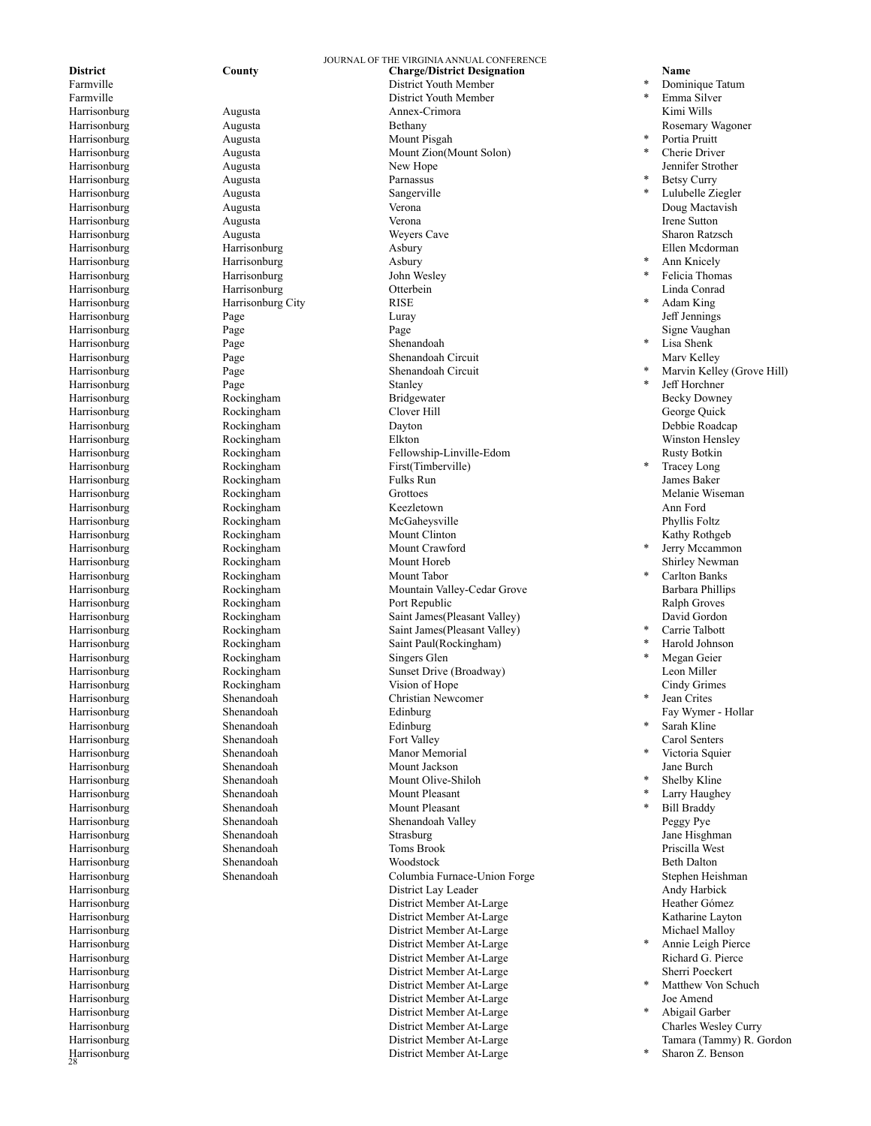Harrisonburg<br>28 Harrisonburg

Harrisonburg Augusta Parnassus Harrisonburg Augusta Augusta Sangerville Harrisonburg Harrisonburg Harrisonburg City RISE Rockingham

JOURNAL OF THE VIRGINIA ANNUAL CONFERENCE **District County County Charge/District Designation Name Name Example Rame Example County County Charge/District Youth Member Accounty Example Example Example Example Example Example P** Farmville **Farmville** District Youth Member<br> **Farmville** District Youth Member District Youth Member Harrisonburg Augusta Annex-Crimora Kimi Wills Harrisonburg Augusta Bethany Rosemary Wagoner Harrisonburg Augusta Mount Pisgah Harrisonburg Augusta Mount Zion(Mount Solon) Harrisonburg and Augusta and Augusta New Hope and Augusta and New Hope Jennifer Strother Harrisonburg Augusta Verona Doug Mactavish Harrisonburg Augusta Verona Irene Sutton Harrisonburg Augusta Weyers Cave Sharon Ratzsch Harrisonburg Harrisonburg Asbury Ellen Mcdorman Harrisonburg Harrisonburg Harrisonburg Asbury<br>
Harrisonburg Harrisonburg John Wesley Harrisonburg Harrisonburg Otterbein Linda Conrad Harrisonburg Page Luray Jeff Jennings Harrisonburg Page Page Page Page Page Page Signe Vaughan Harrisonburg Page Shenandoah Page Shenandoah Circuit Marv Kelley Harrisonburg Page Shenandoah Circuit Harrisonburg **Page** Page Stanley **Stanley Page Stanley Figure 1** Harrisonburg Rockingham Bridgewater Becky Downey Harrisonburg Rockingham Clover Hill George Quick Harrisonburg Rockingham Dayton Debbie Roadcap Harrisonburg Rockingham Elkton Winston Hensley Harrisonburg Rockingham Fellowship-Linville-Edom Rusty Botkin Rockingham First(Timberville) Harrisonburg Rockingham Fulks Run James Baker Harrisonburg Rockingham Grottoes Melanie Wiseman Harrisonburg Rockingham Keezletown Ann Ford Harrisonburg Rockingham McGaheysville Phyllis Foltz Harrisonburg Rockingham Mount Clinton Kathy Rothgeb Harrisonburg Rockingham Mount Crawford Harrisonburg Rockingham Mount Horeb Shirley Newman Harrisonburg Rockingham Mountain Valley-Cedar Grove Barbara Phillips Harrisonburg Rockingham Port Republic Ralph Groves Harrisonburg Rockingham Saint James(Pleasant Valley) David Gordon Harrisonburg Rockingham Saint James(Pleasant Valley) Harrisonburg Rockingham Saint Paul(Rockingham) Harrisonburg Rockingham Singers Glen Harrisonburg Rockingham Sunset Drive (Broadway) Leon Miller Harrisonburg **Rockingham** Vision of Hope **Cindy Grimes** Cindy Grimes Harrisonburg Shenandoah Christian Newcomer Harrisonburg Shenandoah Edinburg Fay Wymer - Hollar Harrisonburg Shenandoah Fort Valley Carol Senters Harrisonburg Shenandoah Manor Memorial Harrisonburg Shenandoah Mount Jackson Jane Burch Harrisonburg Shenandoah Mount Olive-Shiloh Harrisonburg Shenandoah Mount Pleasant Harrisonburg Shenandoah Mount Pleasant Harrisonburg Shenandoah Shenandoah Valley Peggy Pye Harrisonburg Shenandoah Strasburg Jane Hisghman Harrisonburg Shenandoah Toms Brook Priscilla West Harrisonburg Shenandoah Woodstock Beth Dalton Harrisonburg Shenandoah Columbia Furnace-Union Forge Stephen Heishman Harrisonburg District Lay Leader Harrisonburg District Member At-Large Heather Gómez District Member At-Large Harrisonburg Michael Malloy District Member At-Large Michael Malloy Michael Malloy Harrisonburg District Member At-Large Harrisonburg and the District Member At-Large and the Richard G. Pierce Richard G. Pierce Harrisonburg District Member At-Large Sherri Poeckert District Member At-Large Harrisonburg District Member At-Large Joe Amend Harrisonburg District Member At-Large Harrisonburg District Member At-Large Charles Wesley Curry Harrisonburg District Member At-Large Tamara (Tammy) R. Gordon District Member At-Large

Dominique Tatum Emma Silver Portia Pruitt Cherie Driver<br>Jennifer Strother Betsy Curry Lulubelle Ziegler Ann Knicely Felicia Thomas<br>Linda Conrad Adam King<br>Jeff Jennings Lisa Shenk Marvin Kelley (Grove Hill) Tracey Long Jerry Mccammon Carlton Banks Carrie Talbott \* Harold Johnson Megan Geier Jean Crites Sarah Kline Victoria Squier Shelby Kline \* Larry Haughey<br>\* Pill Breddy Bill Braddy Annie Leigh Pierce Matthew Von Schuch Abigail Garber

Sharon Z. Benson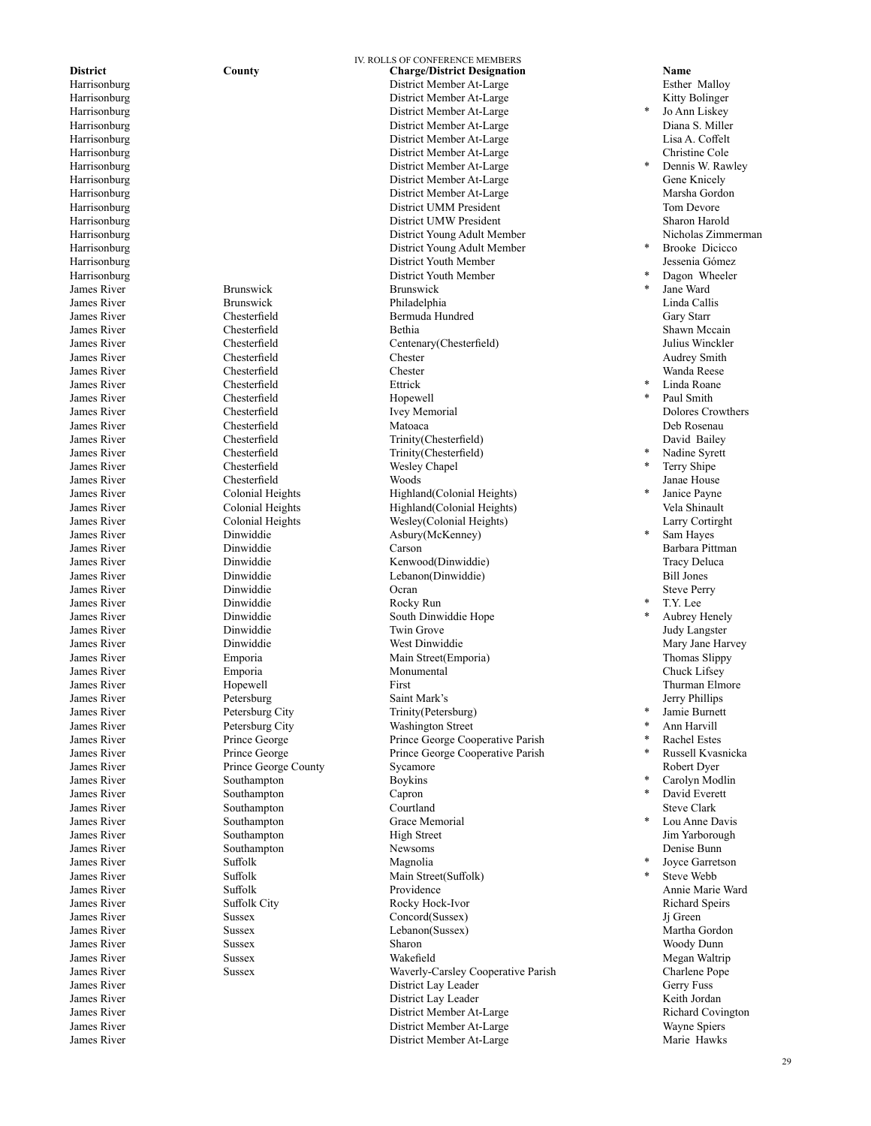James River Brunswick Brunswick James River Dinwiddie Rocky Run James River Petersburg City Trinity(Petersburg) James River **Prince George County** Sycamore<br>
James River Southampton Boykins Southampton James River Southampton Capron James River Southampton Grace Memorial<br>
Iames River Southampton Grace High Street

IV. ROLLS OF CONFERENCE MEMBERS **District County County Charge/District Designation Name Name Charge/District Member At-Large County Charge County Charge County Charge County Charge County County County Charge County** Harrisonburg District Member At-Large Esther Malloy District Member At-Large Harrisonburg District Member At-Large Harrisonburg District Member At-Large Diana S. Miller District Member At-Large Harrisonburg District Member At-Large Christine Cole District Member At-Large Harrisonburg Cene Knicely Communication and District Member At-Large Gene Gene Knicely Harrisonburg District Member At-Large Marsha Gordon Harrisonburg District UMM President Tom Devore Harrisonburg District UMW President Sharon Harold District Young Adult Member Harrisonburg District Young Adult Member Harrisonburg District Youth Member Jessenia Gómez Harrisonburg District Youth Member James River **Brunswick** Brunswick Philadelphia **Philadelphia** Linda Callis James River Chesterfield **Bermuda** Hundred **Gary Starr** James River **Shawn Mccain** Chesterfield **Bethia** Bethia **Bethia** Shawn Mccain James River Chesterfield Centenary(Chesterfield) Julius Winckler James River Chesterfield Chester Audrey Smith James River **State Chesterfield** Chester **Chester** Chester **Chester Chester Chester Chester Chester Chester Chester Chester Chester Chester Chester Chester Chester Chester Chester Chester Ch** James River **Solution Chesterfield** Ettrick **Example 2018** 2014 12:30 American Chesterfield James River Chesterfield Hopewell \* Paul Smith James River Chesterfield Ivey Memorial Dolores Crowthers James River Chesterfield Matoaca Deb Rosenau James River Chesterfield Trinity(Chesterfield) David Bailey Trinity(Chesterfield) \* Nadine Syrett James River **Shiper Chesterfield** Wesley Chapel **Wesley Chapel \*** Terry Shipe James River Chesterfield Woods Janae House James River Colonial Heights (Colonial Heights Highland(Colonial Heights)<br>James River Colonial Heights (Colonial Heights) Highland(Colonial Heights) James River Colonial Heights Wesley(Colonial Heights) Larry Cortirght Dinwiddie Asbury(McKenney)<br>
Dinwiddie Carson James River Dinwiddie Carson Barbara Pittman James River Dinwiddie Kenwood(Dinwiddie) Tracy Deluca Lebanon(Dinwiddie) James River Dinwiddie Ocran Steve Perry South Dinwiddie Hope James River Dinwiddie Twin Grove Judy Langster Vest Dinwiddie Mary James River Mary Jane Harvey Dinwiddie Mary Jane Harvey News Dinwiddie Mary Jane Harvey Dinwiddie Mary Jane Harvey Dinwiddie Mary Jane Harvey Dinwiddie Mary Jane Harvey Dinwiddie Mary Jane Harvey Dinwid Emporia Main Street(Emporia) James River **Emporia** Emporia Nonumental Monumental Chuck Lifsey James River **Hopewell** First First Thurman Elmore James River Petersburg Saint Mark's Jerry Phillips Petersburg City Washington Street James River Prince George Prince George Cooperative Parish James River Prince George Prince George Cooperative Parish James River Southampton Courtland Steve Clark James River Southampton High Street High Street Jim Yarborough Sunning Southampton James River Southampton Newsoms Denise Bunn  $\mu$  James River<br>
James River Suffolk Suffolk Main Street(Suffolk) **1996** Main Street(Suffolk) **1996** Main Street(Suffolk) **1997** Main Street(Suffolk) **1998** Main Street(Suffolk) **1998** Main Street(Suffolk) **1999** Main Str Van Suffolk Main Street(Suffolk)<br>
James River<br>
Suffolk Main Street(Suffolk) Providence Annie Marie Ward James River Suffolk City Rocky Hock-Ivor Richard Speirs Concord(Sussex) Jj Green James River Sussex Lebanon(Sussex) Martha Gordon James River Sussex Sharon Woody Dunn James River Sussex Wakefield Megan Waltrip James River Sussex Sussex Waverly-Carsley Cooperative Parish Charlene Pope<br>James River Gerry Fuss Charlene Pope<br>Gerry Fuss District Lay Leader James River District Lay Leader Keith Jordan James River The Covington Covington (District Member At-Large Richard Covington Politics At-Large Richard Covington (District Member At-Large Richard Covington District Member At-Large Richard Covington (District Member At  $\begin{array}{cccc}\text{James River} & \text{District Member At-Large} \\ \text{James River} & \text{Maire.} \\ \end{array} \end{array} \begin{array}{cccc}\text{Wayne Spiers} \\ \text{District Member At-Large} & \text{Mange} \\ \end{array}$ District Member At-Large Marie Hawks

Jo Ann Liskey<br>Diana S. Miller Dennis W. Rawley **Brooke Dicicco** Dagon Wheeler Jane Ward<br>Linda Callis Janice Payne<br>Vela Shinault Sam Hayes T.Y. Lee Aubrey Henely **Jamie Burnett** Ann Harvill **Rachel Estes** Russell Kvasnicka<br>Robert Dyer Carolyn Modlin David Everett Lou Anne Davis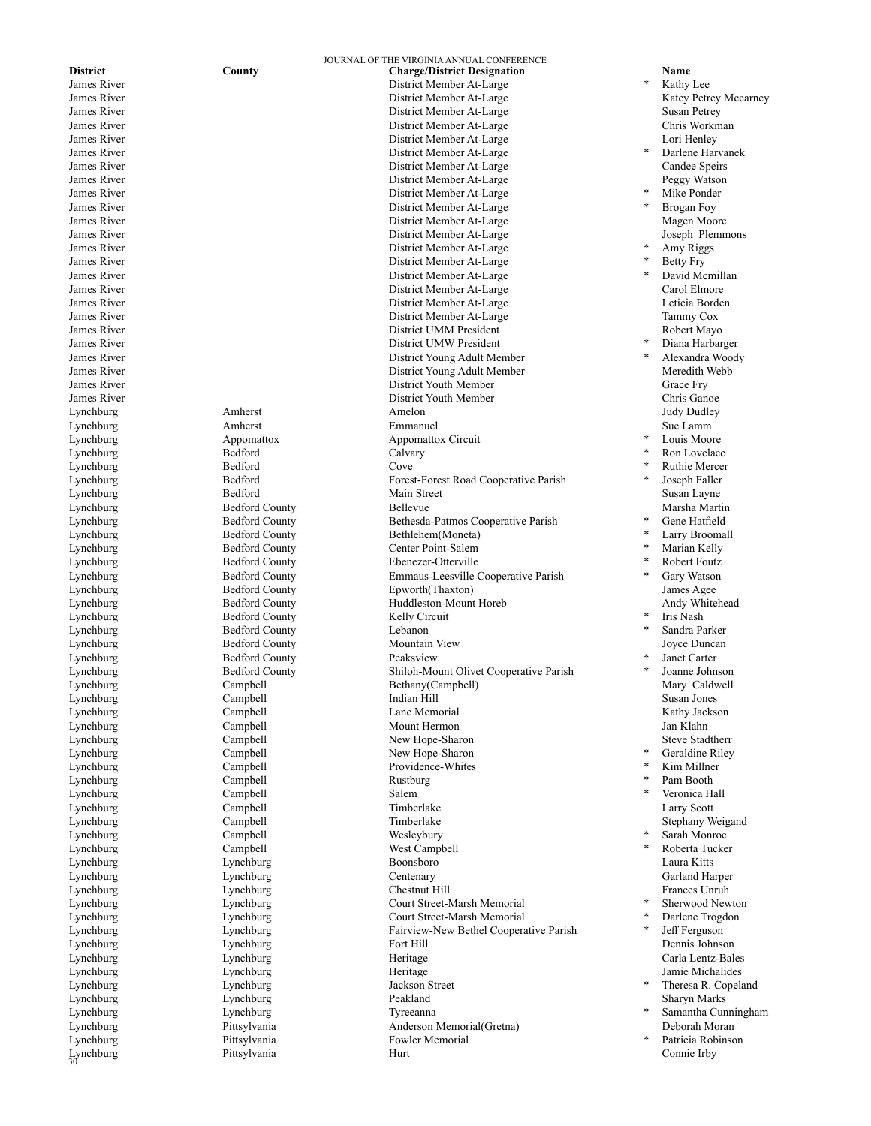$Lynchburg$ Lynchburg

Lynchburg Bedford Calvary Lynchburg Bedford Cove Bedford County Lynchburg Bedford County Peaksview Lynchburg Campbell Salem Lynchburg Campbell Wesleybury Lynchburg Lynchburg Jackson Street Lynchburg Lynchburg Tyreeanna

JOURNAL OF THE VIRGINIA ANNUAL CONFERENCE **District County County Charge/District Designation Name Name** Name **Name**   $\frac{1}{2}$  **County Charge/District Member At-Large**  $\frac{1}{2}$  **Kathy** James River **District Member At-Large**<br> **District Member At-Large**<br> **District Member At-Large** District Member At-Large James River District Member At-Large Susan Petrey James River Chris Workmann and District Member At-Large Chris Workmann Chris Workmann and District Member At-Large Chris Workmann and District Member At-Large Chris Workmann and District Member At-Large Lori Henley District Member At-Large<br>District Member At-Large  $*$ James River District Member At-Large District Member At-Large James River District Member At-Large Peggy Watson James River District Member At-Large James River District Member At-Large  $\begin{tabular}{l} James River \\ James River \\ James River \\ \end{tabular} \begin{tabular}{p{6cm}} {\textbf{I}} \end{tabular} \begin{tabular}{p{6cm}} {\textbf{I}} \end{tabular} \begin{tabular}{p{6cm}} {\textbf{I}} \end{tabular} \begin{tabular}{p{6cm}} {\textbf{I}} \end{tabular} \begin{tabular}{p{6cm}} {\textbf{I}} \end{tabular} \begin{tabular}{p{6cm}} {\textbf{I}} \end{tabular} \begin{tabular}{p{6cm}} {\textbf{I}} \end{tabular} \begin{tabular}{p{6cm}} {\textbf{I}} \end{tabular} \begin{tabular}{p{6cm}} {\textbf$ District Member At-Large James River District Member At-Large James River District Member At-Large James River District Member At-Large James River District Member At-Large Carol Elmore District Member At-Large James River District Member At-Large Tammy Cox James River Nayo November 2012 and 2013 and 2014 and 2013 and 2014 and 2013 and 2014 and 2014 and 2014 and 201 James River District UMW President James River District Young Adult Member James River **School School School School School School School School School School School School School School School School School School School School School School School School School School School School School School** District Youth Member Grace Fry James River District Youth Member Chris Ganoe Lynchburg Amherst Amelon Judy Dudley Lynchburg Amherst Emmanuel Sue Lamm Lynchburg Appomattox Appomattox Circuit Lynchburg Bedford Forest-Forest Road Cooperative Parish Lynchburg Bedford Main Street Susan Layne Lynchburg Bedford County Bellevue Marsha Martin Lynchburg **Bedford County** Bethesda-Patmos Cooperative Parish **\*** Gene Hatfield Lynchburg Bedford County Bethlehem(Moneta) Lynchburg Bedford County Center Point-Salem Lynchburg Bedford County Ebenezer-Otterville Lynchburg Bedford County Emmaus-Leesville Cooperative Parish Lynchburg Bedford County Epworth(Thaxton) James Agee Lynchburg Bedford County Huddleston-Mount Horeb Andy Whitehead Lynchburg Bedford County Lebanon Lynchburg Bedford County Mountain View Joyce Duncan Lynchburg Bedford County Shiloh-Mount Olivet Cooperative Parish Lynchburg Campbell Bethany(Campbell) Mary Caldwell Lynchburg Campbell Indian Hill Susan Jones Lynchburg Campbell Campbell Lane Memorial Lane Campbell Lane Memorial Campbell Campbell Campbell Lane Memorial Lynchburg Campbell Mount Hermon Jan Klahn Lynchburg Campbell New Hope-Sharon Steve Stadtherr Lynchburg Campbell New Hope-Sharon<br>
Lynchburg Campbell Providence-Whites Campbell Providence-Whites<br>
Campbell Rustburg Lynchburg Campbell Timberlake Larry Scott Lynchburg Campbell Timberlake Stephany Weigand Lynchburg Campbell West Campbell Lynchburg Lynchburg Boonsboro Laura Kitts Lynchburg Lynchburg Centenary Garland Harper Lynchburg Lynchburg Chestnut Hill Frances Unruh Lynchburg Lynchburg Lynchburg Court Street-Marsh Memorial<br>
Lynchburg Lynchburg Court Street-Marsh Memorial Court Street-Marsh Memorial Lynchburg and Lynchburg Lynchburg Fairview-New Bethel Cooperative Parish  $*$  Jeff Ferguson Lynchburg Lynchburg Fort Hill Dennis Johnson Lynchburg Lynchburg Heritage Carla Lentz-Bales Lynchburg Lynchburg Heritage Jamie Michalides Lynchburg Lynchburg Peakland Sharyn Marks Lynchburg Pittsylvania Anderson Memorial(Gretna) Deborah Moran Lynchburg Pittsylvania Fowler Memorial Lynchburg Pittsylvania Hurt Connie Irby

Kathy Lee<br>Katey Petrey Mccarney Darlene Harvanek<br>Candee Speirs Mike Ponder Brogan Fov Amy Riggs Betty Fry David Mcmillan<br>Carol Elmore Diana Harbarger Alexandra Woody Louis Moore Ron Lovelace **Ruthie Mercer** Joseph Faller \* Larry Broomall Marian Kelly Robert Foutz Gary Watson Iris Nash Sandra Parker Janet Carter Joanne Johnson Geraldine Riley Kim Millner Pam Booth Veronica Hall Sarah Monroe Roberta Tucker Sherwood Newton Darlene Trogdon Theresa R. Copeland

- Samantha Cunningham
- Patricia Robinson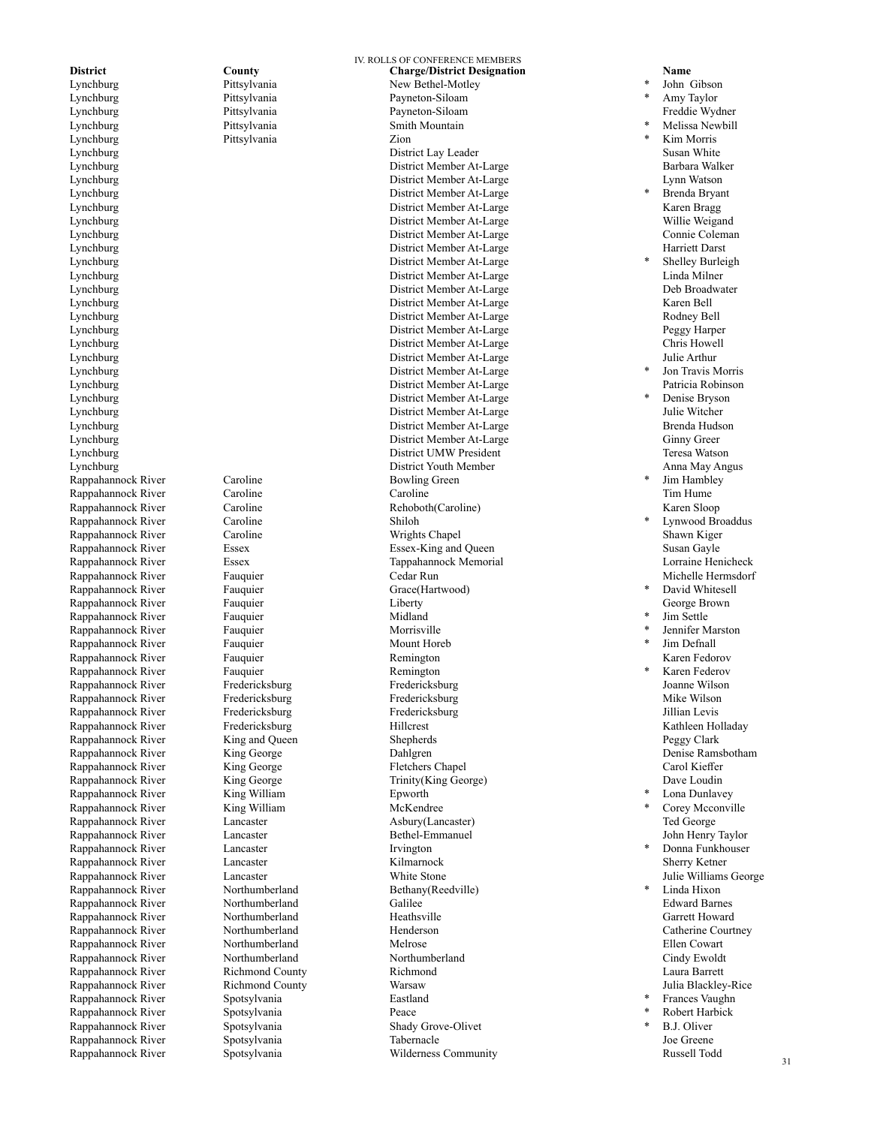Lynchburg Pittsylvania Payneton-Siloam Freddie Wydner Lynchburg Pittsylvania Smith Mountain Rappahannock River Caroline Caroline Bowling Green Rappahannock River Rappahannock River Caroline<br>
Rappahannock River Caroline Shiloh<br>
Caroline Shiloh Wright Rappahannock River Fauquier Rappahannock River Fauquier Fauquier Grace(Hartwood) Rappahannock River Fauquier Rappahannock River Fauquier Fauquier Morrisville<br>Rappahannock River Fauquier Fauquier Mount Horeh Rappahannock River Fauquier Rappahannock River Fauquier Fauquier Remington Rappahannock River Rappahannock River King William Kappahannock River King William King William Kappahannock River King William K Rappahannock River King William McKendree Rappahannock River Lancaster Irvington Rappahannock River Rappahannock River Rappahannock River Rappahannock River Spotsylvania Eastland Rappahannock River Spotsylvania<br>
Rappahannock River Spotsylvania

IV. ROLLS OF CONFERENCE MEMBERS **District County County Charge/District Designation Name**<br>
Lynchburg Pittsylvania **Name Bethel-Motley Picket and** *Pittsylvania* **New Bethel-Motley** *Picket**Picket**Picket**Picket**Picket**Picket**Picket* Lynchburg Pittsylvania New Bethel-Motley Payneton-Siloam Pittsylvania Zion Lynchburg District Lay Leader Susan White District Member At-Large Lynchburg District Member At-Large Lynn Watson Lynchburg District Member At-Large Lynchburg District Member At-Large Karen Bragg Lynchburg District Member At-Large Willie Weigand District Member At-Large Lynchburg District Member At-Large Harriett Darst Lynchburg District Member At-Large Lynchburg District Member At-Large Linda Milner Lynchburg District Member At-Large Deb Broadwater Deb Broadwater at Large Deb Broadwater Deb Broadwater Deb Broadwater District Member At-Large Deb Broadwater Deb Broadwater District Member At-Large Raren Bell District Member At-Large Lynchburg District Member At-Large Rodney Bell Lynchburg District Member At-Large Peggy Harper Lynchburg District Member At-Large Chris Howell District Member At-Large Julie Arthur Lynchburg District Member At-Large Lynchburg District Member At-Large Patricia Robinson District Member At-Large Lynchburg District Member At-Large Julie Witcher Lynchburg District Member At-Large Brenda Hudson District Member At-Large Lynchburg District UMW President Teresa Watson Lynchburg District Youth Member Anna May Angus Rappahannock River Caroline Caroline Caroline Caroline Caroline Caroline Tim Hume<br>
Rappahannock River Caroline Caroline Rehoboth (Caroline) Caroline Caroline Caroline Caroline Caroline Caroline Rappahannock River Caroline Wrights Chapel Shawn Kiger Rappahannock River Essex Essex Essex-King and Queen Susan Gayle Rappahannock River Essex Essex Tappahannock Memorial Corraine Henicheck<br>Rappahannock River Fauquier Cedar Run Cedar Run Cedar Run Michelle Hermsdorf Rappahannock River Fauquier Fauquier Liberty Liberty Ceorge Brown<br>
Rappahannock River Fauquier Hauquier Midland State State State State State Rappahannock River Fauquier Fauquier Remington Remington Remington Remington Karen Fedorov Rappahannock River Fredericksburg Fredericksburg Joanne Wilson Rappahannock River Fredericksburg Fredericksburg Mike Wilson Rappahannock River Fredericksburg Fredericksburg Fredericksburg Fredericksburg Sillian Levis<br>1991 - Fredericksburg Fredericksburg Hillcrest Hillcrest States (Kathleen Holladay Rappahannock River King and Queen Shepherds Shepherds Peggy Clark Rappahannock River King George Bahlgren Dahlgren Dahlgren Denise Ramsbotham<br>
Rappahannock River King George Fletchers Chapel Carol Kieffer Carol Kieffer Rappahannock River King George Fletchers Chapel Carol Kieffer Trinity(King George) Rappahannock River Lancaster Asbury(Lancaster) Ted George Rappahannock River Lancaster Lancaster Bethel-Emmanuel Rappahannock River Lancaster Kilmarnock Sherry Ketner Rappahannock River Lancaster White Stone Julie Williams George Rappahannock River Northumberland Galilee Edward Barnes Rappahannock River Northumberland Henderson Catherine Courtney Rappahannock River Northumberland Melrose Ellen Cowart Rappahannock River Northumberland Northumberland Northumberland Cindy Ewoldt Rappahannock River Richmond County Richmond Laura Barrett Rappahannock River Spotsylvania<br>
Rappahannock River Spotsylvania Shady Grove-Olivet Rappahannock River Spotsylvania and Tabernacle Superintensity and Joe Greene and Superintensity<br>
Rappahannock River Spotsylvania Superintensity Superintensity Superintensity Superintensity Superintensity Superintensity Wilderness Community

# John Gibson Amy Taylor<br>Freddie Wydner Melissa Newbill Kim Morris Brenda Bryant Shelley Burleigh<br>Linda Milner Jon Travis Morris Denise Bryson Jim Hambley Lynwood Broaddus David Whitesell Jim Settle Jennifer Marston Jim Defnall Karen Federov Lona Dunlavey Corey Mcconville Donna Funkhouser Linda Hixon Frances Vaughn **Robert Harbick** B.J. Oliver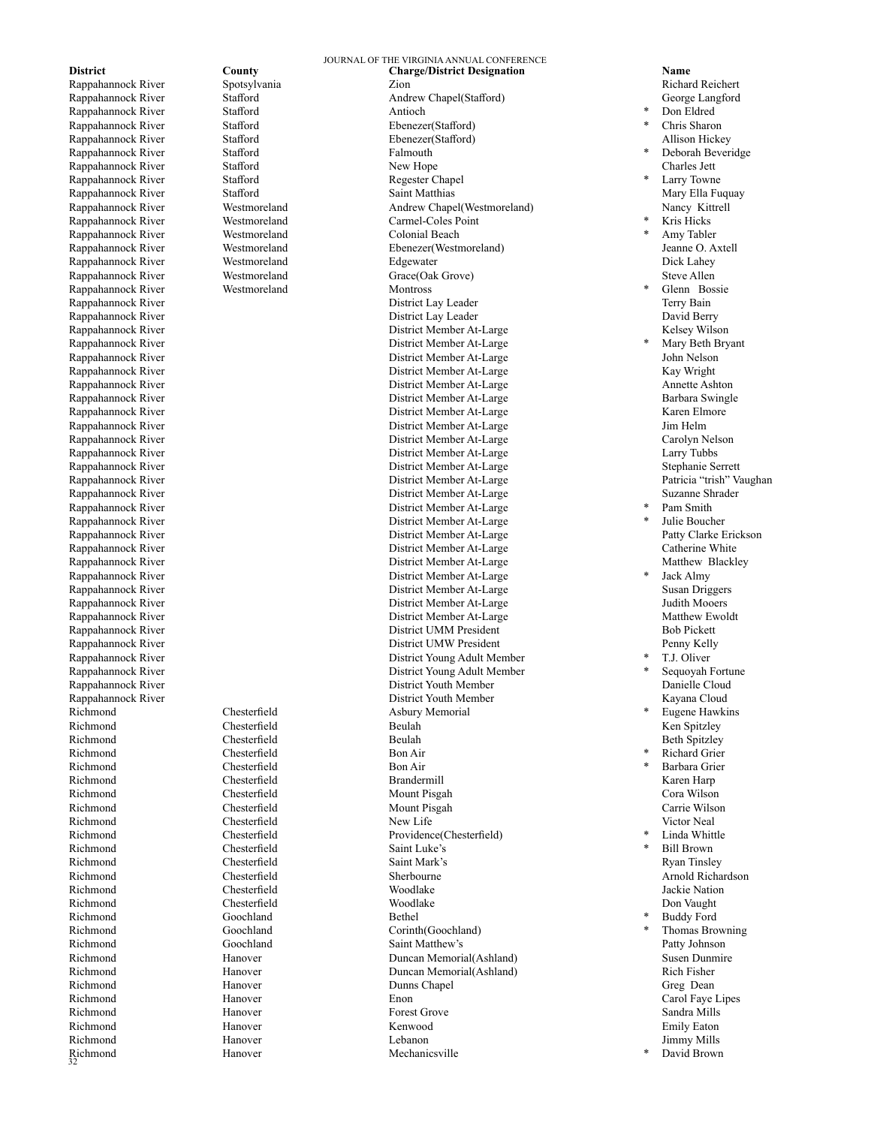Richmond Rappahannock River Rappahannock River Rappahannock River Westmoreland Colonial Beach Rappahannock River Richmond Goochland Bethel

JOURNAL OF THE VIRGINIA ANNUAL CONFERENCE **District County County County Charge/District Designation Name Name Richard Reichert Reproduces** *Richard Reichert* Rappahannock River Spotsylvania 21 Zion 2008 (2019)<br>Rappahannock River Stafford Stafford Andrew Chapel(Stafford) 2008 (39 George Langford Andrew Chapel(Stafford) Rappahannock River Stafford Stafford Antioch Antioch **and Antioch** <sup>\*</sup> Don Eldred<br>
Rappahannock River Stafford Stafford Ebenezer(Stafford) <sup>\*</sup> Chris Sharon Rappahannock River Stafford Ebenezer(Stafford) \* Chris Sharon Rappahannock River Stafford Stafford Falmouth Falmouth  $\qquad$  Peborah Beveridge Stafford Stafford Stafford New Hope Stafford Stafford Republic Rappahannock River Stafford Stafford Stafford New Hope Stafford Stafford Staffor Rappahannock River Stafford Stafford Regester Chapel **Regester Chapel Regester Chapel Regester Chapel Regester Chapel** Rappahannock River Stafford Stafford Saint Matthias Saint Matthias Mary Ella Fuquay Rappahannock River Westmoreland Andrew Chapel(Westmoreland) Nancy Kittrell Rappahannock River Westmoreland Carmel-Coles Point Rappahannock River Westmoreland Ebenezer(Westmoreland) Jeanne O. Axtell Rappahannock River Westmoreland Edgewater Dick Lahey Rappahannock River Westmoreland Grace(Oak Grove) Steve Allen<br>
Rappahannock River Westmoreland Montross Steve Allen Bos Rappahannock River Westmoreland Montross<br>
Rappahannock River Montross<br>
District Lay Leader Rappahannock River **District Lay Leader** District Lay Leader **District Lay Leader** David Berry Rappahannock River **Night At-Large** Communication Communication Communication Communication Communication Communication Communication Communication Communication Communication Communication Communication Communication Comm Rappahannock River District Member At-Large Rappahannock River District Member At-Large John Nelson Rappahannock River and the South Communist Communist Communist Communist Communist Communist Communist Communist<br>Rappahannock River and the Communist Communist Communist Communist Communist Communist Communist Communist Co Rappahannock River **District Member At-Large District Member At-Large** Annet Rappahannock River **Annette Annette At-Large District Member At-Large** District Member At-Large Barbara Swingle Rappahannock River **New Struck Report Contains Container** District Member At-Large Karen Elmore Karen Elmore Rappahannock River and the South Contract Member At-Large and Jim Helm<br>
Rappahannock River Carolyn Nelson<br>
District Member At-Large Carolyn Nelson District Member At-Large Rappahannock River District Member At-Large Larry Tubbs Rappahannock River Stephanie Serrett District Member At-Large Stephanie Serrett Stephanie Serrett Rappahannock River **District Member At-Large** Patricia "trish" Vaughan Rappahannock River Suzanne Shrader New Bistrict Member At-Large Suzanne Shrader Suzanne Shrader Rappahannock River Suzanne Shrader Burgher At-Large Suzanne Shrader Rappahannock River Suzanne Shrader Suzanne Shrader Suzanne District Member At-Large Rappahannock River **District Member At-Large** Rappahannock River **District Member At-Large** Patty Clarke Eric Member At-Large **Patty Clarke Eric Clarke Eric Clarke Eric Solution** Rappahannock River **Catherine White** District Member At-Large Catherine White Rappahannock River and the State of the District Member At-Large Matthew Blackley<br>
District Member At-Large State Matthew Blackley<br>
2015 - District Member At-Large State Matthew Matthew Blackley<br>
2016 - Matthew Blackley District Member At-Large Rappahannock River District Member At-Large Susan Driggers Rappahannock River and the South Communist Communist Communist Communist Communist Communist Communist Communist Communist Communist Communist Communist Communist Communist Communist Communist Communist Communist Communist District Member At-Large Rappahannock River and the second of the District UMM President and the Bob Pickett<br>
District UMW President and the Penny Kelly<br>
District UMW President and the Penny Kelly Rappahannock River **Penny Kelly District UMW President** Penny Kelly Rappahannock River District Young Adult Member Rappahannock River **National State Advances Advances Advances Advances Advances Advances Advances Advances Advances Advances Advances Advances Advances Advances Advances Advances Advances Advances Advances Advances Advance** Rappahannock River and the Cloud Exercise of the District Youth Member and the Cloud Rappahannock River and The Cloud District Youth Member and The Cloud Rappahannock River and The Cloud District Youth Member and The Kayan Rappahannock River **Christene Exampahannock River Christene Exampahannock River Christene Exampahannock Christene Exampahannock Christene Exampahannock Christene Exampahannock Christene Exampahannock Christene Exampahannoc** Richmond Chesterfield Asbury Memorial \* Eugene Hawkins Richmond Chesterfield Beulah Ken Spitzley Richmond Chesterfield Beulah Beth Spitzley Richmond \* Chesterfield Bon Air + Richard Grier Richmond Chesterfield Bon Air \* Barbara Grier Richmond Chesterfield Brandermill Karen Harp Richmond Chesterfield Mount Pisgah Cora Wilson Richmond Chesterfield Mount Pisgah Carrie Wilson Richmond Chesterfield New Life Victor Neal Richmond Chesterfield Providence(Chesterfield) \* Linda Whittle Richmond Chesterfield Saint Luke's \* Bill Brown Richmond Chesterfield Saint Mark's Ryan Tinsley Richmond Chesterfield Sherbourne Arnold Richardson Richmond Chesterfield Woodlake Jackie Nation Richmond Chesterfield Woodlake Don Vaught Richmond Goochland Corinth(Goochland) Richmond Goochland Saint Matthew's Patty Johnson Richmond Hanover Duncan Memorial(Ashland) Susen Dunmire Richmond Hanover Buncan Memorial(Ashland) Rich Fisher<br>Richmond Hanover Dunns Chapel Dunns Chapel Greg Dean Richmond **Hanover** Hanover Dunns Chapel **Dunns Chapel** Greg Dean Richmond Hanover Enon Carol Faye Lipes Richmond **Forest Grove Forest Grove Forest Grove** Sandra Mills Richmond Emily Eaton Hanover Kenwood Kenwood Emily Eaton Emily Eaton Richmond Hanover Lebanon Jimmy Mills Hanover Mechanicsville

Kris Hicks Amy Tabler Glenn Bossie<br>Terry Bain Mary Beth Bryant Pam Smith Julie Boucher<br>Patty Clarke Erickson Jack Almy T.J. Oliver Sequoyah Fortune **Buddy Ford** Thomas Browning

David Brown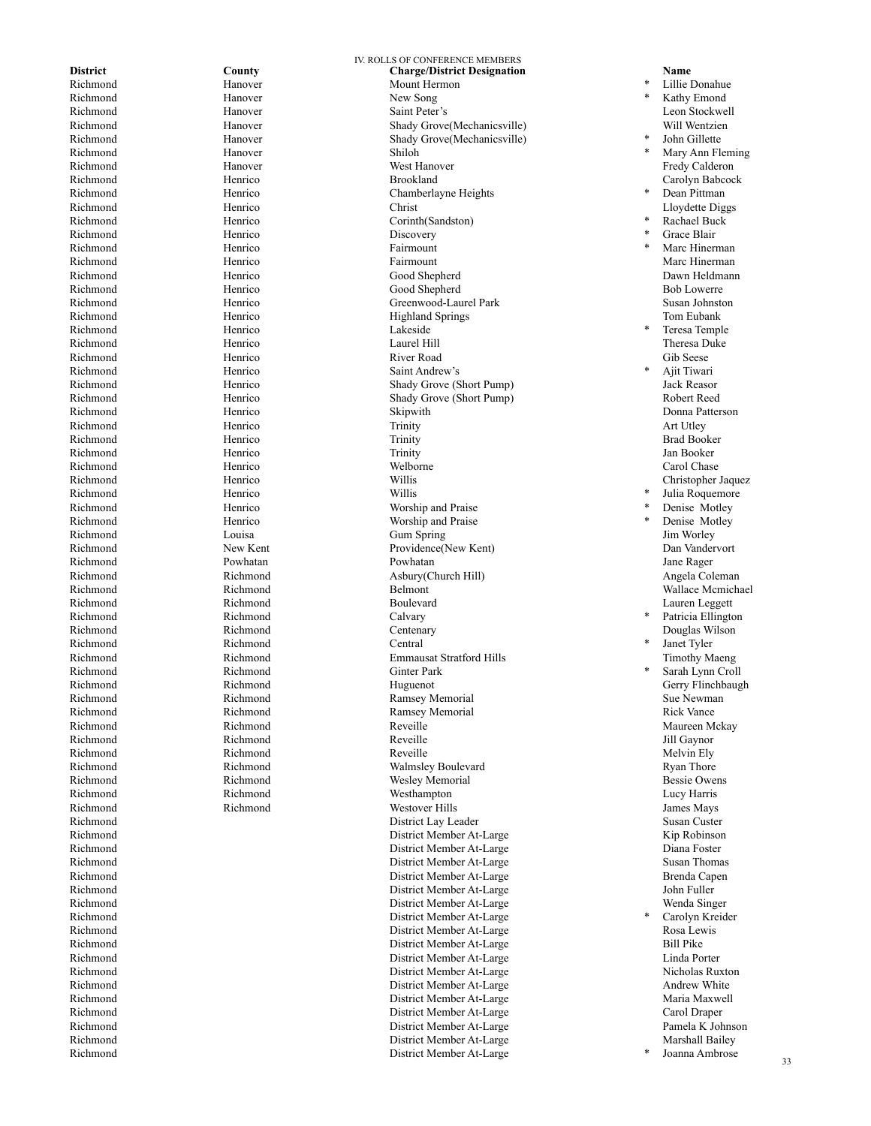Richmond Hanover Shiloh Richmond Henrico Fairmount Richmond Henrico Lakeside Richmond Henrico Willis Richmond Richmond Central

Richmond

IV. ROLLS OF CONFERENCE MEMBERS **District County County Charge/District Designation Name Name Richmond Hanover Mount Hermon Mount Accounty Exhibit Name Exhibit Exhibit Mount Hermon** Richmond Hanover Mount Hermon<br>
Richmond Hanover New Song New Song Richmond **Example Hanover** Hanover Saint Peter's Secret 2012 12:30 Leon Stockwell Richmond Hanover Shady Grove(Mechanicsville) Will Wentzien<br>
Richmond Hanover Shady Grove(Mechanicsville) \* John Gillette Hanover Shady Grove(Mechanicsville) Richmond **Example Hanover** Hanover West Hanover **West Hanover Fredy Calderon** Richmond **Example Henrico** Henrico Brookland Brookland Carolyn Babcock Richmond Henrico Henrico Chamberlayne Heights Richmond Henrico Christ Christ Christ Christ Lloydette Diggs Richmond Henrico Corinth(Sandston)<br>
Richmond Henrico Discovery Discovery Richmond Marc Hinerman Henrico Fairmount Fairmount Alexander Marc Hinerman Richmond Henrico Good Shepherd Dawn Heldmann Richmond Bob Lowerre<br>
Richmond Henrico Greenwood-Laurel Park<br>
Richmond Susan Johnston Greenwood-Laurel Park Richmond **Henrico** Henrico **Highland Springs** Tom Eubank Tom Eubank Richmond **Henrico** Henrico **Laurel Hill Hill Henrico Henrico Henrico Henrico Henrico Henrico Henrico Henrico Henrico Henrico Henrico Henrico Henrico Henrico Henrico Henrico Henrico Hen** Richmond **Henrico** Henrico River Road **River Road** Gib Seese Richmond Henrico Saint Andrew's Richmond **Henrico** Henrico Shady Grove (Short Pump) Jack Reasor Richmond Henrico Shady Grove (Short Pump) Robert Reed Richmond **Henrico** Henrico Skipwith Skipwith Donna Patterson Richmond Henrico Trinity Art Utley Richmond Brad Booker (Henrico Trinity Richmond Brad Booker Richmond Henrico Trinity Jan Booker Richmond **Henrico** Henrico Welborne **Carol Chase** Carol Chase Richmond **Henrico** Henrico Willis **Christopher Jaquez** Worship and Praise Richmond Henrico Worship and Praise Richmond Louisa Gum Spring Jim Worley Richmond New Kent Providence(New Kent) Dan Vandervort Richmond Powhatan Powhatan Jane Rager Richmond Richmond Asbury(Church Hill) Angela Coleman Richmond Richmond Belmont Wallace Mcmichael Richmond Richmond Boulevard Lauren Leggett Richmond Richmond Centenary Douglas Wilson Richmond Richmond Richmond Richmond Emmausat Stratford Hills Timothy Maeng<br>Pichmond Pichmond Richmond (Finance Cinter Park 1995) Richmond Richmond Richmond Ginter Park<br>
Richmond Richmond Huguenot Richmond Richmond Richmond Huguenot Huguenot Gerry Flinchbaugh Richmond Richmond Ramsey Memorial Sue Newman Richmond Richmond Ramsey Memorial Rick Vance Richmond Richmond Richmond Reveille Reveille Revenue and Maureen Mckay Richmond Richmond Reveille Jill Gaynor Richmond Richmond Reveille Melvin Ely Richmond Richmond Richmond Richmond Walmsley Boulevard Ryan Thore<br>Richmond Richmond Richmond Wesley Memorial Wesley in the Bessie Owens Wesley Memorial Richmond Richmond Westhampton Lucy Harris Richmond Richmond Westover Hills James Mays Richmond Susan Custer Custom Custom District Lay Leader Susan Custer Susan Custer Richmond District Member At-Large Kip Robinson District Member At-Large Richmond District Member At-Large Susan Thomas District Member At-Large Brenda Capen<br>
District Member At-Large Brenda Capen<br>
Bohn Fuller Richmond District Member At-Large Richmond District Member At-Large Wenda Singer District Member At-Large Richmond Rosa Lewis Communication Communication Communication Communication Communication Communication Communication Communication Rosa Lewis Richmond District Member At-Large Bill Pike Richmond District Member At-Large Linda Porter Richmond District Member At-Large Nicholas Ruxton District Member At-Large Richmond Maria Maxwell **District Member At-Large** Maria Maxwell Maria Maxwell Richmond District Member At-Large Carol Draper Richmond District Member At-Large Pamela K Johnson Richmond District Member At-Large<br>Richmond District Member At-Large District Member At-Large

Lillie Donahue Kathy Emond John Gillette Mary Ann Fleming<br>Fredy Calderon Dean Pittman \* Rachael Buck Grace Blair Marc Hinerman<br>Marc Hinerman Teresa Temple Ajit Tiwari Julia Roquemore Denise Motley Denise Motley Patricia Ellington Janet Tyler Sarah Lynn Croll Carolyn Kreider Joanna Ambrose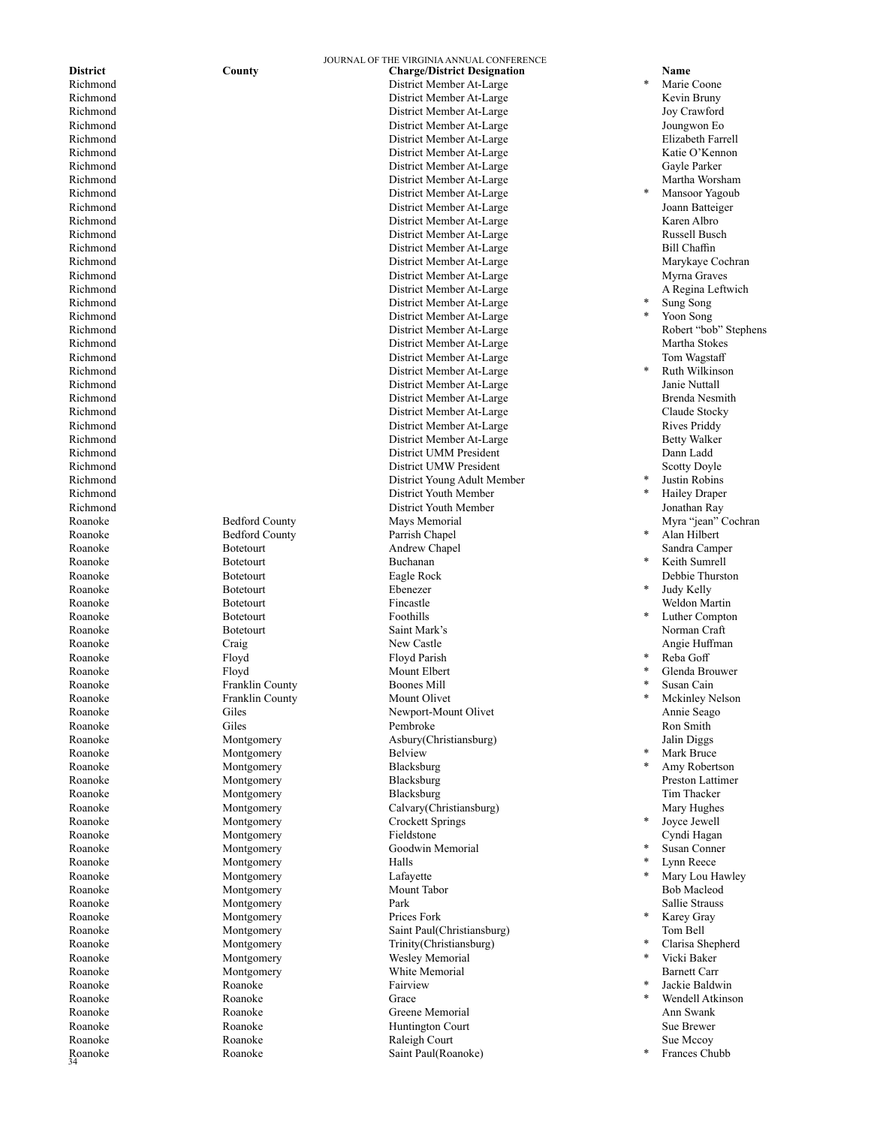Roanoke

Roanoke Bedford County Parrish Chapel Roanoke Botetourt Buchanan Roanoke Botetourt Ebenezer Roanoke Botetourt **Botetourt** Foothills Roanoke Floyd Mount Elbert Roanoke Franklin County Boones Mill Roanoke Franklin County Mount Olivet Roanoke Montgomery Belview<br>Roanoke Montgomery Blacksburg<br>Blacksburg Roanoke Montgomery Blacksburg Roanoke Montgomery Crockett Springs Roanoke Montgomery Halls Roanoke Montgomery Lafayette<br>
Roanoke Montgomery Mount Tabor<br>
Mount Tabor Roanoke Montgomery Prices Fork Roanoke Montgomery Wesley Memorial Roanoke Fairview Roanoke Grace Roanoke Grace

JOURNAL OF THE VIRGINIA ANNUAL CONFERENCE **District County County Charge/District Designation Name Richmond Richmond Richmond Richmond Richmond Property Property Richmond Property Property Property Property Property Property P** Richmond District Member At-Large<br>
Richmond District Member At-Large<br>
District Member At-Large District Member At-Large Kevin Bruny Richmond District Member At-Large Joy Crawford Richmond District Member At-Large Joungwon Eo Richmond District Member At-Large Richmond District Member At-Large Katie O'Kennon District Member At-Large Richmond and the Community of the District Member At-Large and Martha Worsham Martha Worsham Richmond District Member At-Large Richmond District Member At-Large Joann Batteiger Richmond District Member At-Large Karen Albro District Member At-Large Richmond and Bill Chaffin Charles and District Member At-Large and Bill Chaffin Bill Chaffin Richmond **Example 2.1 According to the United States** District Member At-Large Marykaye Cochran Richmond District Member At-Large Myrna Graves Richmond and the Charles Contract Member At-Large A Regina Leftwich<br>
District Member At-Large A Regina Leftwich<br>
District Member At-Large A Regina Leftwich<br>
A Regina Leftwich District Member At-Large Richmond District Member At-Large Richmond District Member At-Large Martha Stokes Richmond Tom Wagstaff and the District Member At-Large Tom Wagstaff and Muslim Controller at the District Member At-Large Tom Wagstaff Richmond District Member At-Large Richmond District Member At-Large Janie Nuttall Richmond District Member At-Large Brenda Nesmi and District Member At-Large Richmond District Member At-Large Claude Stocky Richmond District Member At-Large Rives Priddy District Member At-Large Richmond District UMM President Dann Ladd Richmond Scotty Doyle **District UMW President** Scotty Doyle Richmond District Young Adult Member Richmond District Youth Member District Youth Member Roanoke Bedford County Mays Memorial Myra "jean" Cochran Myra "jean" Cochran Roanoke Botetourt Andrew Chapel Sandra Camper Roanoke Botetourt Eagle Rock Debbie Thurston Roanoke Botetourt Fincastle Weldon Martin Roanoke Botetourt Saint Mark's Norman Craft Roanoke Craig New Castle Angie Huffman Roanoke Floyd Floyd Parish \* Reba Goff Roanoke Giles Newport-Mount Olivet Annie Seago Roanoke Giles Pembroke Ron Smith Roanoke Montgomery Asbury(Christiansburg) Jalin Diggs Roanoke Montgomery Blacksburg Preston Lattimer Roanoke Montgomery Blacksburg Tim Thacker Roanoke Montgomery Calvary(Christiansburg) Mary Hughes Roanoke Montgomery Fieldstone Cyndi Hagan Roanoke Montgomery Goodwin Memorial Roanoke Montgomery Mount Tabor Bob Macleod Roanoke Montgomery Park Sallie Strauss Roanoke Montgomery Saint Paul(Christiansburg) Tom Bell Roanoke Montgomery Trinity(Christiansburg) Roanoke Montgomery White Memorial Barnett Carr<br>Roanoke Roanoke Roanoke Roanoke Eairview Fairwich (1990) Roanoke Roanoke Greene Memorial Ann Swank Roanoke Roanoke Huntington Court Sue Brewer Roanoke Roanoke Raleigh Court Sue Mccoy Roanoke Roanoke Saint Paul(Roanoke)

Marie Coone Mansoor Yagoub Sung Song Yoon Song Richmond District Member At-Large Robert "bob" Stephens **Ruth Wilkinson** Justin Robins **Hailey Draper**<br>Jonathan Ray Alan Hilbert Keith Sumrell<br>Debbie Thurston Judy Kelly Luther Compton Glenda Brouwer Susan Cain **Mckinley Nelson Mark Bruce** Amy Robertson<br>Preston Lattimer Joyce Jewell Susan Conner Lynn Reece Mary Lou Hawley Karey Gray Clarisa Shepherd Vicki Baker Jackie Baldwin Wendell Atkinson Frances Chubb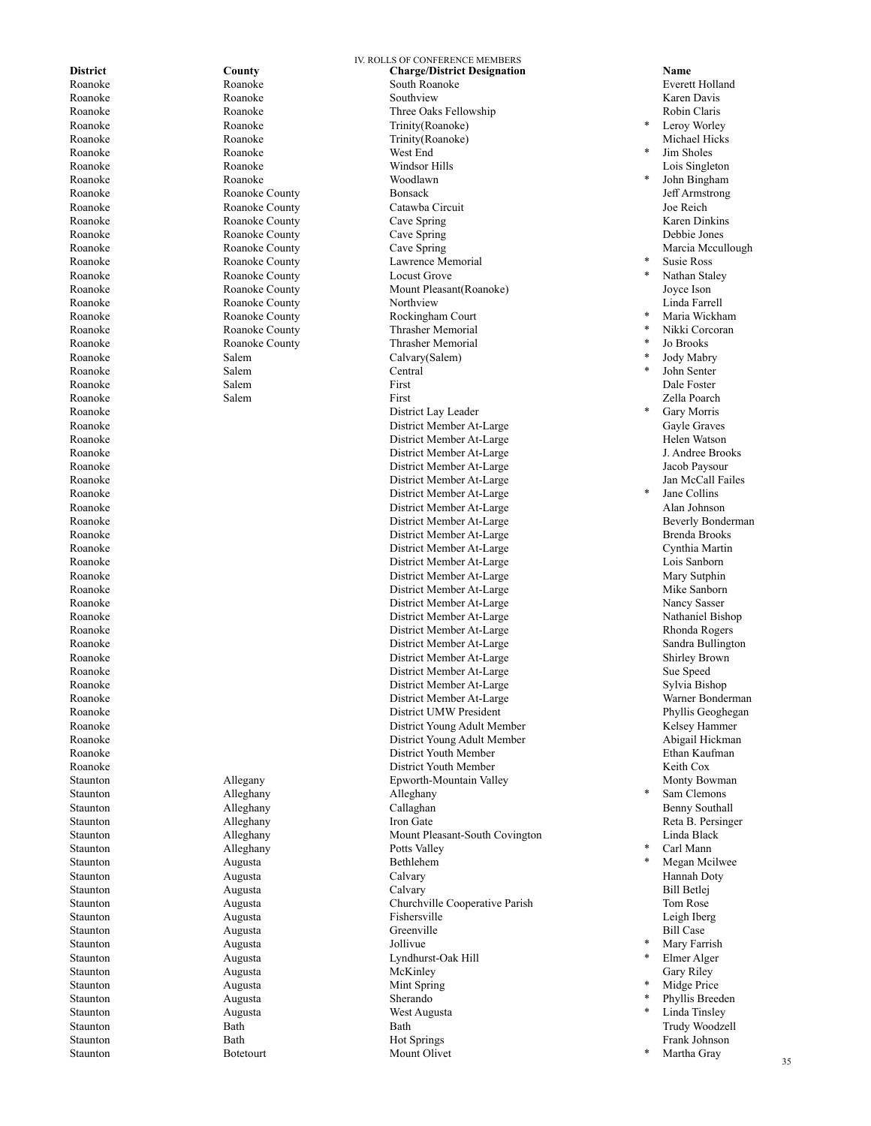Staunton Augusta Jollivue

Roanoke Roanoke Roanoke Trinity(Roanoke)<br>
Roanoke Roanoke Roanoke Trinity(Roanoke) Roanoke West End Roanoke Roanoke Woodlawn Roanoke County Cave Spring Roanoke Roanoke County Locust Grove Roanoke County Roanoke Salem Salem Calvary(Salem) Roanoke Salem Salem Central

IV. ROLLS OF CONFERENCE MEMBERS **District County County County Charge/District Designation Name Name Roanoke Roanoke Roanoke Roanoke Everett Holland** Roanoke Roanoke South Roanoke Everett Holland Roanoke Roanoke Southview Karen Davis Roanoke Roanoke Three Oaks Fellowship Robin Claris Trinity(Roanoke) Roanoke Roanoke Windsor Hills Lois Singleton Roanoke **Roanoke County Bonsack Bonsack** *Deff Armstrong* Roanoke Roanoke County Catawba Circuit Joe Reich Roanoke County Cave Spring Cave Spring Cave Spring Karen Dinkins<br>Roanoke Roanoke County Cave Spring Cave Spring Cave Spring Debbie Jones Roanoke **Roanoke County** Cave Spring Cave County Cave County Cave County Cave County Cave County Cave Spring Cave County Cave County Cave Spring Cave County Cave County Cave Spring Cave County Cave County Cave County Cave Roanoke **Roanoke** Roanoke County **Roanoke** Lawrence Memorial Roanoke Roanoke County Mount Pleasant(Roanoke) Joyce Ison Roanoke Roanoke County Rockingham Court Roanoke **Roanoke County Roanoke Thrasher Memorial** Roanoke Roanoke County Thrasher Memorial Roanoke Salem First Dale Foster Roanoke Salem First Zella Poarch Roanoke District Lay Leader Roanoke District Member At-Large Gayle Graves District Member At-Large Roanoke **Example 2018** District Member At-Large **Constanting 1. Andree Brooks** District Member At-Large J. Andree Brooks Roanoke District Member At-Large Jacob Paysour Roanoke District Member At-Large Jan McCall Failes Roanoke District Member At-Large District Member At-Large Roanoke **Example 2** and the District Member At-Large **Beverly Bonderman** Roanoke **Example 2018** Brooks **District Member At-Large** Brooks **Brenda Brooks** Roanoke District Member At-Large Cynthia Martin Roanoke District Member At-Large Lois Sanborn District Member At-Large Roanoke **New South Accord Contract Member At-Large** Mike Sanborn Mike Sanborn **Mike Sanborn** Roanoke District Member At-Large Nancy Sasser District Member At-Large Nathaniel Bishop Roanoke **Example 2018** Rhonda Rogers **District Member At-Large** Rhonda Rogers Rhonda Rogers Roanoke Sandra Bullington Communication Communication Communication Communication Communication Communication Communication Communication Communication Communication Communication Communication Communication Communication Roanoke District Member At-Large Shirley Brown Roanoke Sue Speed District Member At-Large Sue Speed Sue Speed Roanoke Sylvia Bishop District Member At-Large Sylvia Bishop Roanoke District Member At-Large Warner Bonderman Roanoke District UMW President Phyllis Geoghegan District Young Adult Member Roanoke **Example 2018** 2018 12:30 District Young Adult Member **Abigail Hickman** Roanoke District Youth Member Ethan Kaufman Roanoke District Youth Member Keith Cox Epworth-Mountain Valley Staunton Alleghany Alleghany Alleghany Staunton Alleghany Callaghan Benny Southall Staunton Alleghany March 1983 (2008) Alleghany Iron Gate Contract and Reta B. Persinger Staunton Alleghany Mount Pleasant-South Covington Linda Black Staunton Alleghany Alleghany Potts Valley Staunton Augusta **Bethlehem** Staunton Augusta Calvary Hannah Doty Staunton Augusta Calvary Bill Betlej Staunton Augusta Churchville Cooperative Parish Tom Rose Staunton Augusta Fishersville Leigh Iberg Staunton Bill Case Augusta Creenville Greenville Bill Case Staunton Augusta Lyndhurst-Oak Hill Staunton Augusta McKinley Gary Riley Staunton Augusta Mint Spring Staunton Augusta Sherando Staunton Augusta West Augusta Staunton Bath Bath Trudy Woodzell Staunton Bath Hot Springs Frank Johnson Staunton Botetourt Mount Olivet

Leroy Worley<br>Michael Hicks Jim Sholes<br>Lois Singleton John Bingham Susie Ross Nathan Staley Maria Wickham Nikki Corcoran Jo Brooks Jody Mabry John Senter Gary Morris Jane Collins<br>Alan Johnson Sam Clemons Carl Mann Megan Mcilwee Mary Farrish Elmer Alger Midge Price Phyllis Breeden Linda Tinsley<br>Trudy Woodzell

Martha Gray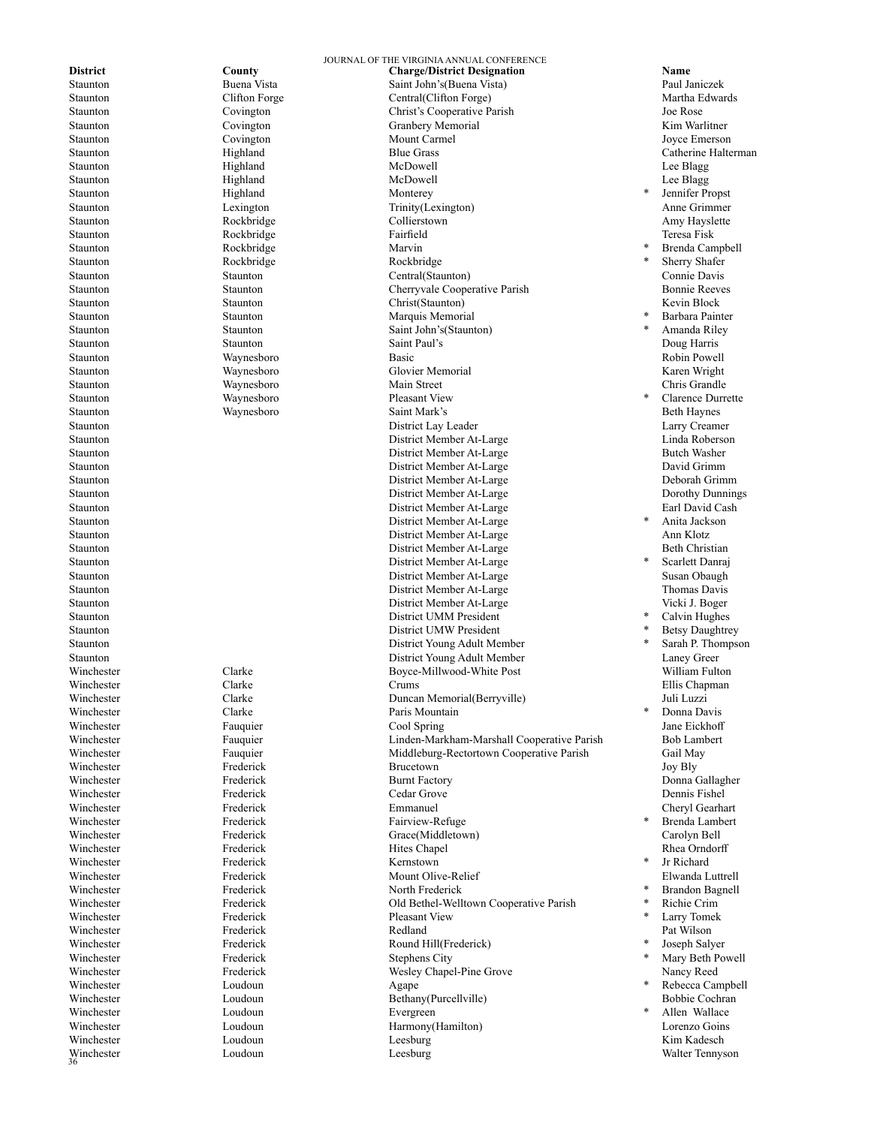Winchester Winchester **Loudoun** Loudoun Agape

Staunton Highland Monterey Staunton Rockbridge Marvin Staunton Rockbridge Rockbridge Rockbridge

JOURNAL OF THE VIRGINIA ANNUAL CONFERENCE **District County County County Charge/District Designation Name Name Name County County County County Charge/District Designation County Paul Ianiczek** Staunton Buena Vista Saint John's(Buena Vista) Paul Janiczek Clifton Forge Central(Clifton Forge) Staunton Covington Christ's Cooperative Parish Joe Rose Staunton Covington Granbery Memorial Kim Warlitner Staunton Covington Covington Mount Carmel 309 Cover Emerson Staunton Highland Blue Grass Catherine Halterman Staunton Highland McDowell Lee Blagg Staunton Highland McDowell Lee Blagg Staunton Lexington Trinity(Lexington) Anne Grimmer Staunton Rockbridge Collierstown Amy Hayslette Staunton Rockbridge Fairfield Teresa Fisk Staunton Staunton Central(Staunton) Connie Davis Staunton Staunton Staunton Cherryvale Cooperative Parish Bonnie Reeves<br>Staunton Staunton Staunton Christ(Staunton) Revin Block Staunton Staunton Christ(Staunton) Staunton Staunton Marquis Memorial Staunton Staunton Saint John's(Staunton) Staunton Staunton Saint Paul's Doug Harris Staunton Waynesboro Basic Robin Powell Staunton Waynesboro Glovier Memorial Karen Wright Staunton Waynesboro Main Street Chris Grandle Staunton Waynesboro Pleasant View Staunton Waynesboro Saint Mark's Beth Haynes Staunton District Lay Leader Larry Creamer Staunton District Member At-Large Staunton District Member At-Large Butch Washer Staunton District Member At-Large David Grimm Staunton District Member At-Large Deborah Grimm Staunton District Member At-Large Dorothy Dunnings District Member At-Large Staunton District Member At-Large Staunton and a member at Large At-Large Ann Klotz Staunton District Member At-Large Beth Christian Staunton District Member At-Large Staunton District Member At-Large Staunton District Member At-Large Thomas Davis Staunton District Member At-Large Vicki J. Boger Staunton District UMM President Staunton District UMW President Staunton **District Young Adult Member** Staunton District Young Adult Member Laney Greer Winchester Clarke Clarke Boyce-Millwood-White Post William Fulton Winchester Clarke Clarke Clarke Crums Crums and the Ellis Chapman Clarke Crums Crums Clarke Clarke Clarke Crums C Winchester Clarke Duncan Memorial(Berryville) Juli Luzzi Winchester Clarke Paris Mountain Winchester **Fauquier** Fauquier Cool Spring Cool Served Cool Served Cool Served Cool Spring Winchester **Fauquier** Fauquier Linden-Markham-Marshall Cooperative Parish Bob Lambert Winchester Fauquier Middleburg-Rectortown Cooperative Parish Gail May Winchester Frederick Brucetown Joy Bly Winchester **Frederick** Frederick Burnt Factory **Burnt Factory Comma Gallagher** Winchester Frederick Cedar Grove Dennis Fishel Winchester Frederick Emmanuel Cheryl Gearhart Winchester Frederick Fairview-Refuge Winchester Frederick Grace(Middletown) Carolyn Bell Winchester **Frederick** Frederick Hites Chapel **Hites Chapel Rhea Orndorff** Winchester Frederick Kernstown Winchester Frederick Mount Olive-Relief Elwanda Luttrell North Frederick Winchester Frederick Old Bethel-Welltown Cooperative Parish Pleasant View Winchester **Frederick** Redland Redland Pat Wilson Winchester Frederick Frederick Round Hill(Frederick) Winchester **Frederick** Stephens City Winchester **Frederick** Frederick Wesley Chapel-Pine Grove Nancy Reed<br>
Winchester I oudour Agane Winchester **Southern Example 2018** Loudoun Bethany(Purcellville) Bobbie Cochran Bobbie Cochran Winchester Loudoun Evergreen Loudoun Harmony(Hamilton) Winchester Loudoun Leesburg Kim Kadesch Loudoun Leesburg Leesburg Leesburg Walter Tennyson

Jennifer Propst Brenda Campbell Sherry Shafer Barbara Painter Amanda Riley Clarence Durrette Anita Jackson Scarlett Danraj<br>Susan Obaugh Calvin Hughes Betsy Daughtrey Sarah P. Thompson Donna Davis<br>Jane Eickhoff Brenda Lambert Jr Richard<br>Elwanda Luttrell **Brandon Bagnell** \* Richie Crim Larry Tomek Joseph Salyer Mary Beth Powell Rebecca Campbell Allen Wallace<br>Lorenzo Goins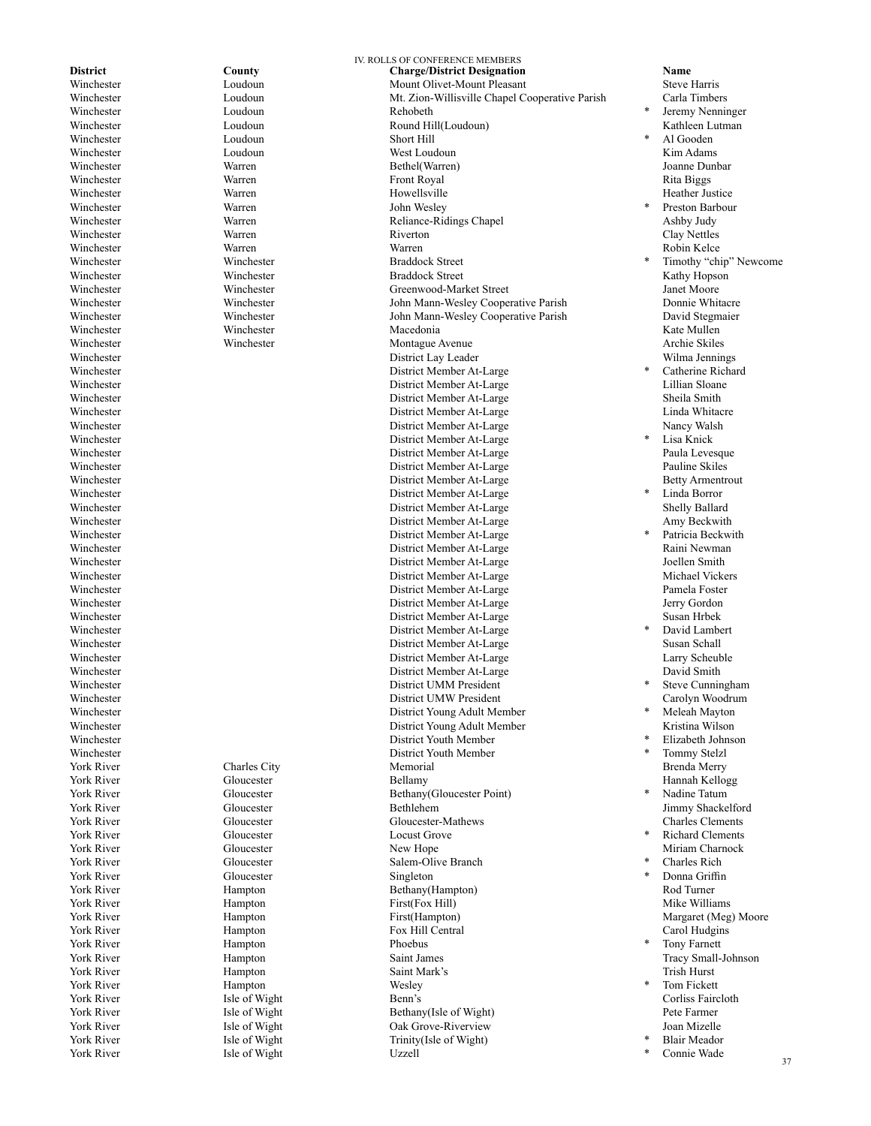Winchester **Loudoun** Loudoun Rehobeth Winchester York River **Hampton** Phoebus York River Hampton Wesley

Isle of Wight

IV. ROLLS OF CONFERENCE MEMBERS **District County County Charge/District Designation Name Name Winchester County County Charge/District Designation County County County Charge/District Designation County County County Cou** Winchester Loudoun Mount Olivet-Mount Pleasant Steve Harris Winchester Loudoun Mt. Zion-Willisville Chapel Cooperative Parish<br>
Winchester Loudoun Rehobeth Rehobers Winchester Loudoun Round Hill(Loudoun) Kathleen Lutman Winchester **Loudoun Loudoun** West Loudoun **West Loudoun Conserversity Conserversity Conserversity Conserversity Conserversity Conserversity Conserversity Conserversity Conserversity Conserversity Co** Winchester Warren Bethel(Warren) Joanne Dunbar Winchester **Warren** Warren Front Royal Front Royal Rita Biggs Winchester **Warren** Warren Howellsville **Heather Justice** Heather Justice Winchester Warren Warren John Wesley Winchester **School Warren** Warren Reliance-Ridings Chapel Ashby Judy Ashby Judy Nettles<br>
Winchester Warren Riverton Riverton Ashby Dudy Nettles Winchester Warren Riverton Clay Nettles Winchester Warren Warren Robin Kelce Winchester Winchester Braddock Street Winchester Winchester Braddock Street Kathy Hopson Winchester Winchester Winchester Greenwood-Market Street Janet Moore<br>1991 - Winchester John Mann-Wesley Cooperative Parish Donnie Whitacre John Mann-Wesley Cooperative Parish Winchester Winchester Winchester John Mann-Wesley Cooperative Parish David Stegmaier Winchester **Winchester** Winchester **Macedonia** Macedonia Kate Mullen Winchester Winchester Montague Avenue Archie Skiles Winchester District Lay Leader Wilma Jennings Winchester District Member At-Large Winchester District Member At-Large Lillian Sloane Winchester District Member At-Large Sheila Smith Winchester District Member At-Large Linda Whitacre Winchester District Member At-Large Nancy Walsh District Member At-Large Winchester District Member At-Large Paula Levesque Winchester District Member At-Large Pauline Skiles Winchester District Member At-Large Betty Armentrout Winchester District Member At-Large District Member At-Large Winchester District Member At-Large Amy Beckwith Winchester District Member At-Large District Member At-Large Winchester District Member At-Large Joellen Smith District Member At-Large Winchester District Member At-Large Pamela Foster Winchester District Member At-Large Jerry Gordon District Member At-Large Winchester District Member At-Large District Member At-Large Winchester District Member At-Large Larry Scheuble Winchester District Member At-Large David Smith Winchester District UMM President Winchester District UMW President Carolyn Woodrum Winchester **District Young Adult Member**<br>
Unit Voung Adult Member<br>
District Young Adult Member District Young Adult Member Winchester District Youth Member Winchester District Youth Member<br>
York River Charles City Memorial York River **State Community Charles City Memorial** Memorial Charles Community Charles City **Memorial** Brenda Merry York River Gloucester Gloucester Bellamy Bellamy Hannah Kellogg York River Gloucester Gloucester Bethany(Gloucester Point) York River Gloucester Bethlehem Jimmy Shackelford York River Gloucester Gloucester-Mathews Charles Clements York River Gloucester Locust Grove York River New Hope New Hope New Hope New Hope Miriam Charnock York River Gloucester Salem-Olive Branch York River **Show Accomplisher Contains Containers** Singleton **Show Accomplisher Show Accomplisher** Singleton **\*** Donna Griffin York River Hampton Bethany(Hampton) Rod Turner York River **First Accompany Accompany** First (Fox Hill) Mike Williams Mike Williams York River Hampton First(Hampton) Margaret (Meg) Moore York River **Fox Hill Central Carol Hudgins** Fox Hill Central Carol Hudgins Carol Hudgins York River Hampton Saint James Tracy Small-Johnson York River **Trish Hampton** Hampton Saint Mark's Saint Mark's Trish Hurst York River Server Assembly 1988 and 1989 and 1989 and 1989 and 1989 and 1989 and 1989 and 1989 and 1989 and 19 York River Isle of Wight Bethany(Isle of Wight) Pete Farmer York River Isle of Wight Oak Grove-Riverview Joan Mizelle York River Isle of Wight Trinity(Isle of Wight)<br>
York River Isle of Wight<br>
I<sub>Izzel</sub>l

Jeremy Nenninger<br>Kathleen Lutman Al Gooden Preston Barbour Timothy "chip" Newcome Catherine Richard Lisa Knick Linda Borror<br>Shelly Ballard Patricia Beckwith<br>Raini Newman David Lambert<br>Susan Schall Steve Cunningham Meleah Mayton<br>Kristina Wilson Elizabeth Johnson Tommy Stelzl<br>Brenda Merry Nadine Tatum Kichard Clements<br>Miriam Charnock Charles Rich<br>Donna Griffin Tony Farnett Tom Fickett

**Blair Meador** 

Connie Wade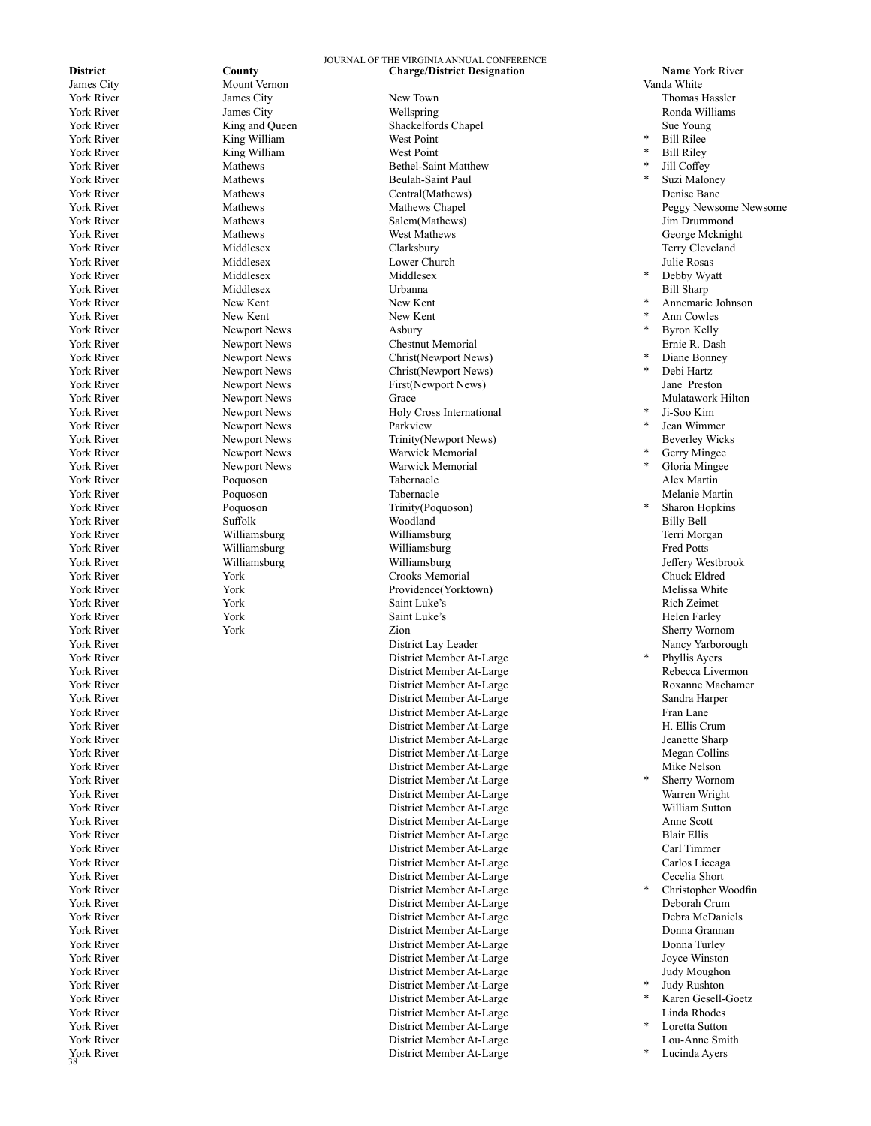York River

James City Mount Vernon Vanda White King William West Point York River **King William** West Point Vork River **West Point** West Point Vork River and Mathews **Mathews** York River **Middlesex** Middlesex Middlesex<br>1998 Middlesex Middlesex Middlesex Middlesex York River New Kent New Kent New Kent York River New Kent New Kent New Kent York River Newport News Asbury York River **Newport News** Parkview<br>1997 - Trinity Newport News Parkview<br>1997 - Trinity Newport News Newport News

# JOURNAL OF THE VIRGINIA ANNUAL CONFERENCE **District County County County Charge/District Designation Name** York River<br> **District Designation Name Accounty Charge/District Designation County Vanda White**

York River **New Town Thomas Hassler** James City **New Town** New Town Thomas Hassler York River **No. 2018** Superson Media Assembly Media Williams and Media Assembly Ronda Williams York River Shackelfords Chapel Sue Young<br>
York River Sue Young King William Shackelfords Chapel Sue Young Sue Young<br>
Shackelfords Chapel Sue Shackelfords Chapel Sue Young Shackelfords Chapel Sue Young Vork River **Mathews** Mathews **Bethel-Saint Matthew**<br>
York River **Mathews** Mathews **Beulah-Saint Paul** Beulah-Saint Paul York River **Mathews** Mathews **Central(Mathews)** Central(Mathews) Denise Bane York River Salem (Mathews Salem (Mathews) and the University of the Salem (Mathews) and the Salem (Mathews Salem (Mathews Salem (Mathews Salem (Mathews Seconds School of George Mcknig York River South Archives Mathews Mest Mathews West Mathews Mest Changes (George Mcknight Mathews Secorge Mcknight<br>Mathews Mathews Clarksbury Clarksbury (Secorge Mcknight Mathews Secorge Mcknight Mathews Secorge Mcknight M York River Terry Cleveland Middlesex Clarksbury Clarksbury Cleveland Terry Cleveland York River States and Middlesex Middlesex Lower Church Louis Church Julie Rosas York River Middlesex Urbanna Bill Sharp Newport News Chestnut Memorial Ernie R. Dash York River Newport News Christ(Newport News) York River Newport News Christ(Newport News) York River South Newport News News First(Newport News) and Preston<br>New Newport News Strace (Price Strace Strate Mulatawork Hilton) York River Newport News Grace Grace States and Mulatawork Hilton York River Newport News Holy Cross International<br>
York River Newport News Parkview<br>
Parkview York River South Newport News Newport News (Newport News) (Newport News) Beverley Wicks<br>New Newport News (News Warwick Memorial Mexicos) (New Minose York River Newport News Warwick Memorial York River **Poquoson** Product **Product Alex Martin** Product **Product Tabernacle** Alex Martin **Alex Martin** York River **Poquoson** Portugalactic Mechanic Mechanic Mechanic Mechanic Mechanic Mechanic Mechanic Mechanic Martin York River Poquoson Trinity(Poquoson) York River Suffolk Suffolk Woodland Woodland Suffolk Billy Bell York River Williamsburg Williamsburg Terri Morgan York River Williamsburg Williamsburg Fred Potts York River **Milliamsburg** Williamsburg Williamsburg Williamsburg<br>
York River Tork Work Crooks Memorial Communication of the Chuck Eldred York River Thus Tooks (Thursday Crooks Memorial Chuck Eldred Chuck Eldred Chuck Eldred Chuck Eldred Chuck Eldred Chuck Eldred Chuck Eldred Chuck Eldred Chuck Eldred Chuck Eldred Chuck Eldred Chuck Eldred Chuck Eldred Chuck Providence(Yorktown) York River Nich Zeimet Nork Saint Luke's Saint Luke's Rich Zeimet Rich Zeimet Nich Zeimet Nord (1990) York River Nelen Farley Nork North Saint Luke's Nelen Farley Helen Farley Nork Albert Saint Luke's Nelen Farley York River Sherry Wornom Nork North Sherry Wornom New York 21:00 North Sherry Wornom Sherry Wornom York River Nancy Yarborough<br>
York River Nancy Yarborough<br>
Nistrict Member At-Large Manuel (1999) + Phyllis Avers District Member At-Large York River District Member At-Large Rebecca Livermon York River District Member At-Large Sandra Harper York River Fran Lane (2012) The Contract Official District Member At-Large The State of Transmission of Fran Lane (2014) The District Member At-Large (2014) The Hullis Crum District Member At-Large York River District Member At-Large Jeanette Sharp Megan Collins (North At-Large Megan Collins and Translationary of District Member At-Large Megan Collins (North At-Large Megan Collins (North At-Large Mike Nelson and Mike Nelson and Mike Nelson and Mike Nelson and Mike Ne York River National State of the United States of District Member At-Large Microsoft Oriental At-Large Microsoft District Member At-Large Microsoft Oriental At-Large States of District Member At-Large States of the United York River District Member At-Large District Member At-Large York River District Member At-Large William Sutton Vork River At-Large Anne Scott Communications of the District Member At-Large Anne Scott Anne Scott Communications of the District Member At-Large Anne Scott Communications of the District Member At-Large Anne Scott Rhair District Member At-Large Blair Ellis York River District Member At-Large Carl Timmer York River District Member At-Large Carlos Liceaga District Member At-Large York River District Member At-Large Deborah Crum York River District Member At-Large Debra McDaniels District Member At-Large York River District Member At-Large Donna Turley York River District Member At-Large Joyce Winston York River District Member At-Large Judy Moughon York River District Member At-Large District Member At-Large York River Einda Rhodes<br>
York River Einda Rhodes<br>
2015 - District Member At-Large State (1996)<br>
2016 - District Member At-Large State (1997)<br>
2016 - District Member At-Large State (1997)<br>
2016 - Loretta Suttor York River District Member At-Large District Member At-Large Lou-Anne Smith District Member At-Large

Bill Rilee Bill Riley<br>Jill Coffey Suzi Maloney York River **National Mathews** Mathews Mathews Chapel **Peggy Newsome Newsome Newsome** Newsome Newsome Newsome Newsome Newsome Newsome Newsome Newsome Newsome Newsome Newsome Newsome Newsome Newsome Newsome Newsome Newsome N Debby Wyatt Annemarie Johnson Ann Cowles Byron Kelly Diane Bonney Debi Hartz<br>Jane Preston Ji-Soo Kim Jean Wimmer Gerry Mingee Gloria Mingee Sharon Hopkins Phyllis Ayers York River District Member At-Large Roxanne Machamer Sherry Wornom<br>Warren Wright York River District Member At-Large Cecelia Short Judy Rushton Karen Gesell-Goetz Loretta Sutton

Lucinda Ayers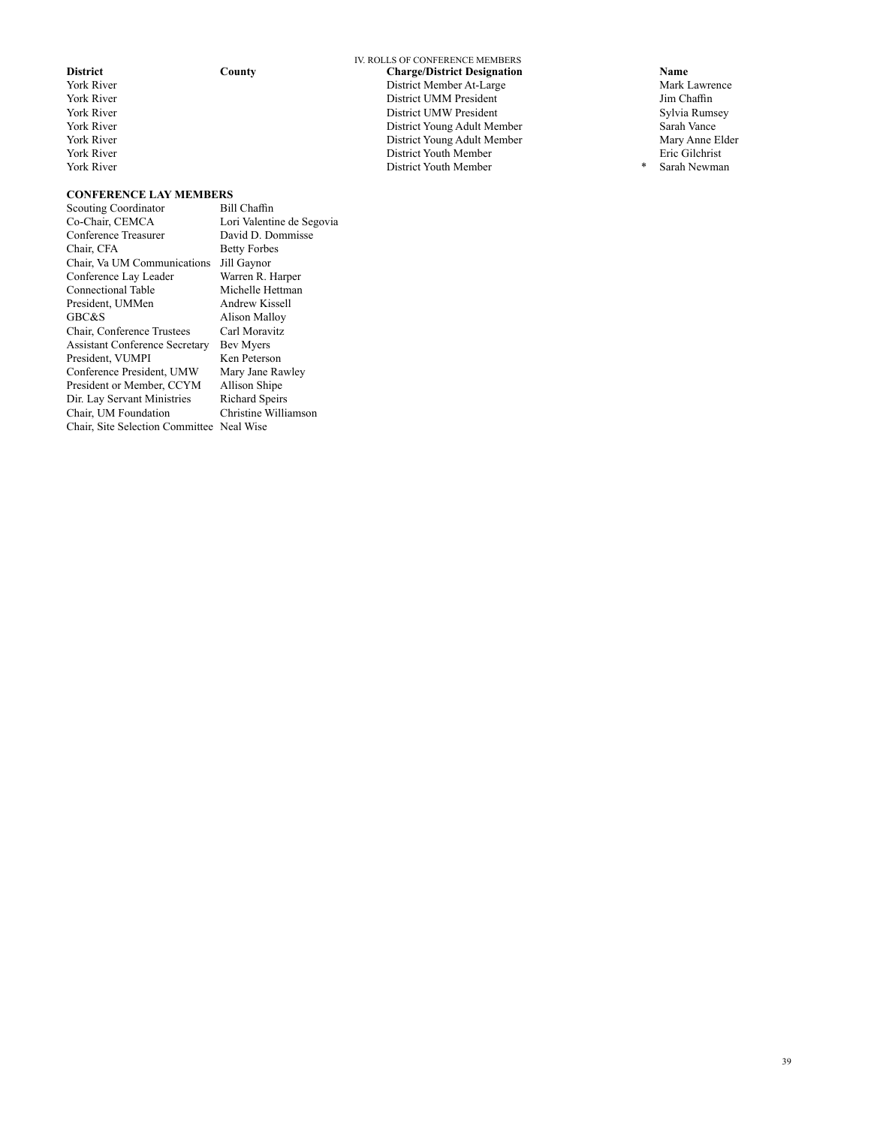- 
- 

#### IV. ROLLS OF CONFERENCE MEMBERS **District County County County Charge/District Designation Name Name Name Name District Member At-Large Mark Lawrence** Vork River Mark Lawrence Mark Lawrence Mark Lawrence District Member At-Large Mark Mark Lawrence Mark Lawrence<br>Mark Lawrence Mark Lawrence District UMM President Mark Jim Chaffin Mork River Solution and More District UMM President More of the Unit of Sylvia Rumsey<br>
District UMW President Sylvia Rumsey<br>
District UMW President Sylvia Rumsey Vork River Sylvia Rums<br>
York River Sarah Vance Sylvia Rums<br>
2015 - District Young Adult Member Sarah Vance Sarah Vance Sarah Vance Sarah Vance Vork River Sarah Vance 1988 (State 1998) Muslim Corp. 2012 (State 1998) District Young Adult Member 1998 (Sarah Vance 1998) Sarah Vance 1998 (Sarah Vance 1999) Muslim Corp. 2014 (State 1999) District Young Adult Member 199 District Young Adult Member Mary Anne El District Youth Member Mary Anne El District Youth Member Mary Anne El District Youth Member Mary Anne El District Youth Member Mary Anne El District Youth Member Mary Anne El Distri York River District Youth Member Eric Gilchrist District Youth Member

# **CONFERENCE LAY MEMBERS**<br>Scouting Coordinator Bill Chaffin

Scouting Coordinator<br>Co-Chair, CEMCA Lori Valentine de Segovia<br>David D. Dommisse Conference Treasurer<br>Chair. CFA **Betty Forbes** Chair, Va UM Communications Jill Gaynor Conference Lay Leader Warren R. Harper Connectional Table Michelle Hettman<br>President, UMMen Andrew Kissell President, UMMen<br>GBC&S Alison Malloy<br>Carl Moravitz Chair, Conference Trustees Assistant Conference Secretary Bev Myers President, VUMPI Ken Peterson<br>
Conference President, UMW Mary Jane Rawley Conference President, UMW Mary Jane Raw<br>President or Member, CCYM Allison Shipe President or Member, CCYM Allison Shipe<br>Dir. Lay Servant Ministries Richard Speirs Dir. Lay Servant Ministries Richard Speirs Chair, UM Foundation Chair, Site Selection Committee Neal Wise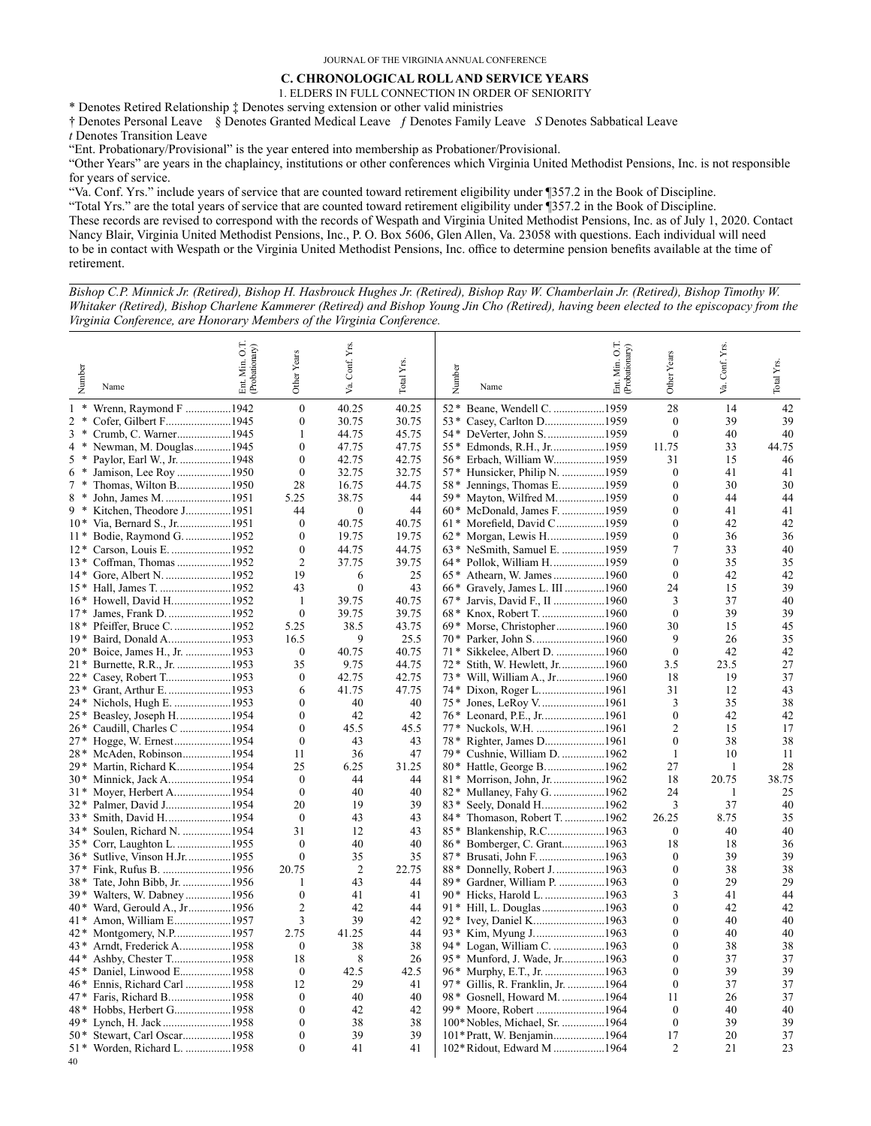# **C. CHRONOLOGICAL ROLL AND SERVICE YEARS**

1. ELDERS IN FULL CONNECTION IN ORDER OF SENIORITY

\* Denotes Retired Relationship ‡ Denotes serving extension or other valid ministries

† Denotes Personal Leave § Denotes Granted Medical Leave ƒ Denotes Family Leave *S* Denotes Sabbatical Leave

*t* Denotes Transition Leave

"Ent. Probationary/Provisional" is the year entered into membership as Probationer/Provisional.

"Other Years" are years in the chaplaincy, institutions or other conferences which Virginia United Methodist Pensions, Inc. is not responsible for years of service.

"Va. Conf. Yrs." include years of service that are counted toward retirement eligibility under ¶357.2 in the Book of Discipline.

"Total Yrs." are the total years of service that are counted toward retirement eligibility under ¶357.2 in the Book of Discipline. These records are revised to correspond with the records of Wespath and Virginia United Methodist Pensions, Inc. as of July 1, 2020. Contact Nancy Blair, Virginia United Methodist Pensions, Inc., P. O. Box 5606, Glen Allen, Va. 23058 with questions. Each individual will need to be in contact with Wespath or the Virginia United Methodist Pensions, Inc. office to determine pension benefits available at the time of retirement.

*Bishop C.P. Minnick Jr. (Retired), Bishop H. Hasbrouck Hughes Jr. (Retired), Bishop Ray W. Chamberlain Jr. (Retired), Bishop Timothy W. Whitaker (Retired), Bishop Charlene Kammerer (Retired) and Bishop Young Jin Cho (Retired), having been elected to the episcopacy from the Virginia Conference, are Honorary Members of the Virginia Conference.*

| Number<br>Name                    | 50<br>Ent. Min. O.T.<br>(Probationary) | Other Years          | Conf. Yrs<br>Уa.  | Total Yrs.     | Number<br>Name                                                 | Ent. Min. O.T.<br>(Probationary) | Other Years          | Conf. Yrs<br>Š. | Total Yrs. |
|-----------------------------------|----------------------------------------|----------------------|-------------------|----------------|----------------------------------------------------------------|----------------------------------|----------------------|-----------------|------------|
| $\ast$<br>Wrenn, Raymond F 1942   |                                        | $\mathbf{0}$         | 40.25             | 40.25          | Beane, Wendell C. 1959<br>$52*$                                |                                  | 28                   | 14              | 42         |
| 2<br>Cofer, Gilbert F1945         |                                        | $\theta$             | 30.75             | 30.75          | Casey, Carlton D1959<br>$53*$                                  |                                  | $\mathbf{0}$         | 39              | 39         |
| 3<br>Crumb, C. Warner1945         |                                        | 1                    | 44.75             | 45.75          | $54*$<br>DeVerter, John S. 1959                                |                                  | $\mathbf{0}$         | 40              | 40         |
| Newman, M. Douglas1945<br>$\ast$  |                                        | $\mathbf{0}$         | 47.75             | 47.75          | Edmonds, R.H., Jr1959<br>$55*$                                 |                                  | 11.75                | 33              | 44.75      |
| Paylor, Earl W., Jr. 1948<br>5    |                                        | $\mathbf{0}$         | 42.75             | 42.75          | Erbach, William W1959<br>$56*$                                 |                                  | 31                   | 15              | 46         |
| Jamison, Lee Roy 1950             |                                        | $\theta$             | 32.75             | 32.75          | Hunsicker, Philip N. 1959<br>$57*$                             |                                  | $\mathbf{0}$         | 41              | 41         |
| Thomas, Wilton B1950<br>$\ast$    |                                        | 28                   | 16.75             | 44.75          | 58* Jennings, Thomas E1959                                     |                                  | $\theta$             | 30              | 30         |
| John, James M. 1951<br>8*         |                                        | 5.25                 | 38.75             | 44             | $59*$<br>Mayton, Wilfred M1959                                 |                                  | $\mathbf{0}$         | 44              | 44         |
| Kitchen, Theodore J1951<br>9 *    |                                        | 44                   | $\mathbf{0}$      | 44             | $60*$<br>McDonald, James F. 1959                               |                                  | $\theta$             | 41              | 41         |
| 10* Via, Bernard S., Jr1951       |                                        | $\theta$             | 40.75             | 40.75          | 61* Morefield, David C1959                                     |                                  | $\theta$             | 42              | 42         |
| Bodie, Raymond G. 1952<br>$11*$   |                                        | $\theta$             | 19.75             | 19.75          | 62* Morgan, Lewis H1959                                        |                                  | $\theta$             | 36              | 36         |
| Carson, Louis E. 1952<br>$12*$    |                                        | $\theta$             | 44.75             | 44.75          | 63* NeSmith, Samuel E. 1959                                    |                                  | 7                    | 33              | 40         |
| Coffman, Thomas 1952<br>$13*$     |                                        | $\overline{2}$<br>19 | 37.75             | 39.75          | 64* Pollok, William H1959                                      |                                  | $\theta$<br>$\theta$ | 35              | 35         |
| $14*$                             |                                        | 43                   | 6<br>$\mathbf{0}$ | 25<br>43       | 65* Athearn, W. James1960                                      |                                  | 24                   | 42<br>15        | 42<br>39   |
| 15* Hall, James T. 1952           |                                        | 1                    | 39.75             |                | 66* Gravely, James L. III 1960                                 |                                  |                      | 37              | 40         |
| 16* Howell, David H1952<br>$17*$  |                                        | $\overline{0}$       | 39.75             | 40.75<br>39.75 | $67*$<br>Jarvis, David F., II 1960<br>68* Knox, Robert T. 1960 |                                  | 3<br>$\mathbf{0}$    | 39              | 39         |
| 18* Pfeiffer, Bruce C1952         |                                        | 5.25                 | 38.5              | 43.75          | Morse, Christopher1960<br>$69*$                                |                                  | 30                   | 15              | 45         |
| Baird, Donald A1953<br>$19*$      |                                        | 16.5                 | 9                 | 25.5           | $70*$                                                          |                                  | 9                    | 26              | 35         |
| 20* Boice, James H., Jr. 1953     |                                        | $\mathbf{0}$         | 40.75             | 40.75          | Sikkelee, Albert D. 1960<br>$71*$                              |                                  | $\theta$             | 42              | 42         |
| Burnette, R.R., Jr. 1953<br>$21*$ |                                        | 35                   | 9.75              | 44.75          | Stith, W. Hewlett, Jr1960<br>$72*$                             |                                  | 3.5                  | 23.5            | 27         |
| Casey, Robert T1953<br>22*        |                                        | $\theta$             | 42.75             | 42.75          | Will, William A., Jr1960<br>$73*$                              |                                  | 18                   | 19              | 37         |
| Grant, Arthur E. 1953<br>$23*$    |                                        | 6                    | 41.75             | 47.75          | 74* Dixon, Roger L1961                                         |                                  | 31                   | 12              | 43         |
| Nichols, Hugh E. 1953<br>24*      |                                        | $\theta$             | 40                | 40             | 75* Jones, LeRoy V1961                                         |                                  | 3                    | 35              | 38         |
| Beasley, Joseph H1954<br>$25*$    |                                        | $\theta$             | 42                | 42             | 76* Leonard, P.E., Jr.      1961                               |                                  | $\mathbf{0}$         | 42              | 42         |
| Caudill, Charles C 1954<br>26*    |                                        | $\theta$             | 45.5              | 45.5           | 77* Nuckols, W.H. 1961                                         |                                  | $\overline{2}$       | 15              | 17         |
| $27*$                             |                                        | $\theta$             | 43                | 43             | 78* Righter, James D1961                                       |                                  | $\theta$             | 38              | 38         |
| McAden, Robinson1954<br>28*       |                                        | 11                   | 36                | 47             | 79* Cushnie, William D. 1962                                   |                                  | $\mathbf{1}$         | 10              | 11         |
| Martin, Richard K1954<br>29*      |                                        | 25                   | 6.25              | 31.25          |                                                                |                                  | 27                   | 1               | 28         |
| 30* Minnick, Jack A1954           |                                        | $\mathbf{0}$         | 44                | 44             | 81 * Morrison, John, Jr. 1962                                  |                                  | 18                   | 20.75           | 38.75      |
| Moyer, Herbert A1954<br>31*       |                                        | $\theta$             | 40                | 40             |                                                                |                                  | 24                   | 1               | 25         |
| Palmer, David J1954<br>32*        |                                        | 20                   | 19                | 39             | $83*$                                                          |                                  | 3                    | 37              | 40         |
| 33*<br>Smith, David H1954         |                                        | $\theta$             | 43                | 43             | 84* Thomason, Robert T. 1962                                   |                                  | 26.25                | 8.75            | 35         |
| Soulen, Richard N. 1954<br>34*    |                                        | 31                   | 12                | 43             | Blankenship, R.C1963<br>$85*$                                  |                                  | $\mathbf{0}$         | 40              | 40         |
| Corr, Laughton L. 1955<br>35*     |                                        | $\theta$             | 40                | 40             | Bomberger, C. Grant1963<br>$86*$                               |                                  | 18                   | 18              | 36         |
| 36* Sutlive, Vinson H.Jr1955      |                                        | $\theta$             | 35                | 35             | 87* Brusati, John F. 1963                                      |                                  | $\theta$             | 39              | 39         |
| $37*$                             |                                        | 20.75                | $\overline{2}$    | 22.75          | 88* Donnelly, Robert J. 1963                                   |                                  | $\mathbf{0}$         | 38              | 38         |
| Tate, John Bibb, Jr. 1956<br>38*  |                                        | $\mathbf{1}$         | 43                | 44             | 89* Gardner, William P. 1963                                   |                                  | $\theta$             | 29              | 29         |
| Walters, W. Dabney 1956<br>39*    |                                        | $\theta$             | 41                | 41             | 90* Hicks, Harold L. 1963                                      |                                  | 3                    | 41              | 44         |
| Ward, Gerould A., Jr1956<br>40*   |                                        | $\overline{2}$       | 42                | 44             | 91 * Hill, L. Douglas 1963                                     |                                  | $\theta$             | 42              | 42         |
| Amon, William E1957<br>41*        |                                        | 3                    | 39                | 42             | 92* Ivey, Daniel K1963                                         |                                  | $\theta$             | 40              | 40         |
| 42 *                              |                                        | 2.75                 | 41.25             | 44             | $93*$                                                          |                                  | $\boldsymbol{0}$     | 40              | 40         |
| Arndt, Frederick A1958<br>43*     |                                        | $\Omega$             | 38                | 38             | 94* Logan, William C. 1963                                     |                                  | $\theta$             | 38              | 38         |
| 44 *                              |                                        | 18                   | 8                 | 26             | 95* Munford, J. Wade, Jr1963                                   |                                  | $\mathbf{0}$         | 37              | 37         |
| 45 * Daniel, Linwood E1958        |                                        | $\mathbf{0}$         | 42.5              | 42.5           |                                                                |                                  | $\mathbf{0}$         | 39              | 39         |
| 46* Ennis, Richard Carl 1958      |                                        | 12                   | 29                | 41             | 97* Gillis, R. Franklin, Jr. 1964                              |                                  | $\theta$             | 37              | 37         |
| 47* Faris, Richard B1958          |                                        | $\mathbf{0}$         | 40                | 40             | 98* Gosnell, Howard M. 1964                                    |                                  | 11                   | 26              | 37         |
| 48* Hobbs, Herbert G1958          |                                        | $\mathbf{0}$         | 42                | 42             | 99* Moore, Robert 1964                                         |                                  | $\mathbf{0}$         | 40              | 40         |
| 49 * Lynch, H. Jack 1958          |                                        | $\theta$             | 38                | 38             | 100* Nobles, Michael, Sr. 1964                                 |                                  | $\theta$             | 39              | 39         |
| 50*<br>Stewart, Carl Oscar1958    |                                        | $\mathbf{0}$         | 39                | 39             | 101* Pratt, W. Benjamin1964                                    |                                  | 17                   | 20              | 37         |
| 51* Worden, Richard L. 1958       |                                        | $\theta$             | 41                | 41             | 102* Ridout, Edward M 1964                                     |                                  | $\overline{2}$       | 21              | 23         |
|                                   |                                        |                      |                   |                |                                                                |                                  |                      |                 |            |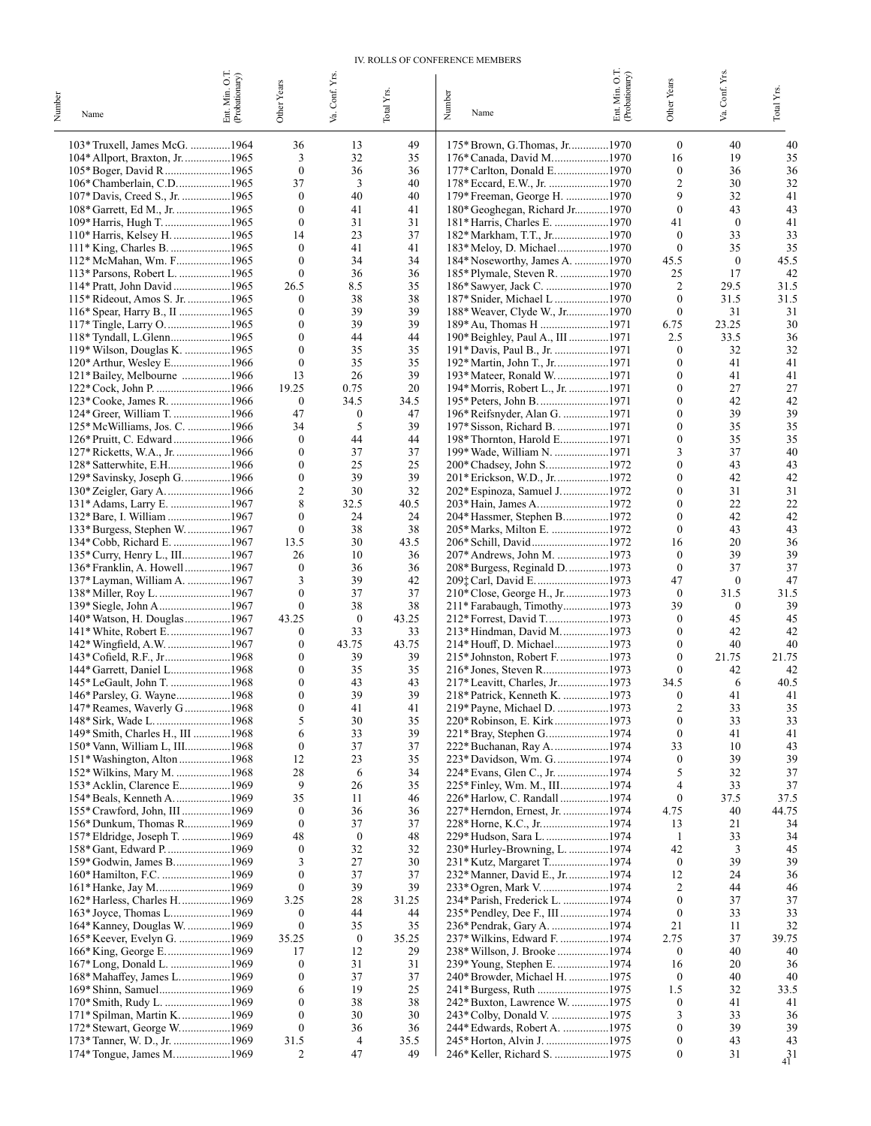#### IV. ROLLS OF CONFERENCE MEMBERS

|        |                                                                 |                                  |                          | Conf. Yrs.               |                         |                                                                |                                  |                                      | Conf. Yrs.       |              |
|--------|-----------------------------------------------------------------|----------------------------------|--------------------------|--------------------------|-------------------------|----------------------------------------------------------------|----------------------------------|--------------------------------------|------------------|--------------|
| Number | Name                                                            | Ent. Min. O.T.<br>(Probationary) | Other Years              | Š.                       | Total Y <sub>IS</sub> . | Number<br>Name                                                 | Ent. Min. O.T.<br>(Probationary) | Other Years                          | Š.               | Total Yrs.   |
|        |                                                                 |                                  |                          |                          |                         |                                                                |                                  |                                      |                  |              |
|        | 103* Truxell, James McG. 1964                                   |                                  | 36                       | 13                       | 49                      | 175* Brown, G.Thomas, Jr1970                                   |                                  | $\boldsymbol{0}$                     | 40               | 40           |
|        | 104* Allport, Braxton, Jr. 1965                                 |                                  | 3                        | 32                       | 35                      | 176* Canada, David M1970                                       |                                  | 16                                   | 19               | 35           |
|        | 105* Boger, David R1965                                         |                                  | $\boldsymbol{0}$         | 36                       | 36                      | 177* Carlton, Donald E. 1970                                   |                                  | $\boldsymbol{0}$                     | 36               | 36           |
|        | 106* Chamberlain, C.D1965                                       |                                  | 37<br>$\boldsymbol{0}$   | 3<br>40                  | 40<br>40                |                                                                |                                  | $\overline{c}$<br>9                  | 30<br>32         | 32<br>41     |
|        | 107* Davis, Creed S., Jr. 1965<br>108* Garrett, Ed M., Jr. 1965 |                                  | $\mathbf{0}$             | 41                       | 41                      | 179* Freeman, George H. 1970<br>180* Geoghegan, Richard Jr1970 |                                  | $\mathbf{0}$                         | 43               | 43           |
|        | 109* Harris, Hugh T. 1965                                       |                                  | $\boldsymbol{0}$         | 31                       | 31                      | 181* Harris, Charles E. 1970                                   |                                  | 41                                   | $\bf{0}$         | 41           |
|        | 110* Harris, Kelsey H. 1965                                     |                                  | 14                       | 23                       | 37                      | 182* Markham, T.T., Jr1970                                     |                                  | $\theta$                             | 33               | 33           |
|        | 111* King, Charles B. 1965                                      |                                  | $\mathbf{0}$             | 41                       | 41                      | 183* Meloy, D. Michael1970                                     |                                  | $\mathbf{0}$                         | 35               | 35           |
|        | 112* McMahan, Wm. F1965                                         |                                  | $\mathbf{0}$             | 34                       | 34                      | 184* Noseworthy, James A. 1970                                 |                                  | 45.5                                 | $\mathbf{0}$     | 45.5         |
|        | 113* Parsons, Robert L. 1965                                    |                                  | $\mathbf{0}$             | 36                       | 36                      | 185* Plymale, Steven R. 1970                                   |                                  | 25                                   | 17               | 42           |
|        | 114* Pratt, John David 1965                                     |                                  | 26.5<br>0                | 8.5<br>38                | 35<br>38                | 186* Sawyer, Jack C. 1970                                      |                                  | $\overline{c}$<br>$\mathbf{0}$       | 29.5<br>31.5     | 31.5<br>31.5 |
|        | 115* Rideout, Amos S. Jr. 1965<br>116* Spear, Harry B., II 1965 |                                  | $\mathbf{0}$             | 39                       | 39                      | 187* Snider, Michael L1970<br>188* Weaver, Clyde W., Jr1970    |                                  | $\mathbf{0}$                         | 31               | 31           |
|        |                                                                 |                                  | $\mathbf{0}$             | 39                       | 39                      | 189* Au, Thomas H 1971                                         |                                  | 6.75                                 | 23.25            | 30           |
|        | 118* Tyndall, L.Glenn1965                                       |                                  | $\overline{0}$           | 44                       | 44                      | 190* Beighley, Paul A., III 1971                               |                                  | 2.5                                  | 33.5             | 36           |
|        | 119* Wilson, Douglas K. 1965                                    |                                  | $\mathbf{0}$             | 35                       | 35                      | 191* Davis, Paul B., Jr. 1971                                  |                                  | $\bf{0}$                             | 32               | 32           |
|        | 120* Arthur, Wesley E1966                                       |                                  | $\mathbf{0}$             | 35                       | 35                      | 192* Martin, John T., Jr. 1971                                 |                                  | $\mathbf{0}$                         | 41               | 41           |
|        | 121* Bailey, Melbourne 1966                                     |                                  | 13                       | 26                       | 39                      | 193* Mateer, Ronald W. 1971                                    |                                  | $\mathbf{0}$                         | 41               | 41           |
|        |                                                                 |                                  | 19.25                    | 0.75                     | 20                      | 194* Morris, Robert L., Jr. 1971                               |                                  | $\theta$                             | 27               | 27           |
|        | 123* Cooke, James R. 1966                                       |                                  | $\boldsymbol{0}$<br>47   | 34.5<br>$\boldsymbol{0}$ | 34.5<br>47              |                                                                |                                  | $\mathbf{0}$<br>$\theta$             | 42<br>39         | 42<br>39     |
|        | 124* Greer, William T. 1966<br>125* McWilliams, Jos. C. 1966    |                                  | 34                       | 5                        | 39                      | 196* Reifsnyder, Alan G. 1971<br>197* Sisson, Richard B. 1971  |                                  | $\boldsymbol{0}$                     | 35               | 35           |
|        | 126* Pruitt, C. Edward1966                                      |                                  | $\theta$                 | 44                       | 44                      | 198* Thornton, Harold E1971                                    |                                  | $\mathbf{0}$                         | 35               | 35           |
|        | 127* Ricketts, W.A., Jr. 1966                                   |                                  | $\mathbf{0}$             | 37                       | 37                      | 199* Wade, William N. 1971                                     |                                  | 3                                    | 37               | 40           |
|        | 128* Satterwhite, E.H1966                                       |                                  | $\mathbf{0}$             | 25                       | 25                      | 200* Chadsey, John S1972                                       |                                  | $\mathbf{0}$                         | 43               | 43           |
|        | 129* Savinsky, Joseph G. 1966                                   |                                  | $\boldsymbol{0}$         | 39                       | 39                      | 201* Erickson, W.D., Jr. 1972                                  |                                  | $\mathbf{0}$                         | 42               | 42           |
|        | 130* Zeigler, Gary A. 1966                                      |                                  | $\overline{c}$           | 30                       | 32                      | 202* Espinoza, Samuel J1972                                    |                                  | $\theta$                             | 31               | 31           |
|        | 131* Adams, Larry E. 1967                                       |                                  | 8                        | 32.5                     | 40.5                    |                                                                |                                  | $\mathbf{0}$                         | 22               | 22           |
|        | 132* Bare, I. William 1967                                      |                                  | $\overline{0}$           | 24                       | 24                      | 204* Hassmer, Stephen B1972                                    |                                  | $\mathbf{0}$                         | 42               | 42           |
|        | 133* Burgess, Stephen W1967                                     |                                  | $\boldsymbol{0}$<br>13.5 | 38<br>30                 | 38<br>43.5              | 205* Marks, Milton E. 1972                                     |                                  | $\boldsymbol{0}$<br>16               | 43<br>20         | 43<br>36     |
|        | 134* Cobb, Richard E. 1967<br>135* Curry, Henry L., III1967     |                                  | 26                       | 10                       | 36                      | 207* Andrews, John M. 1973                                     |                                  | $\mathbf{0}$                         | 39               | 39           |
|        | 136* Franklin, A. Howell1967                                    |                                  | $\boldsymbol{0}$         | 36                       | 36                      | 208* Burgess, Reginald D1973                                   |                                  | $\mathbf{0}$                         | 37               | 37           |
|        | 137* Layman, William A. 1967                                    |                                  | 3                        | 39                       | 42                      |                                                                |                                  | 47                                   | $\boldsymbol{0}$ | 47           |
|        | 138* Miller, Roy L. 1967                                        |                                  | $\mathbf{0}$             | 37                       | 37                      | 210* Close, George H., Jr1973                                  |                                  | $\mathbf{0}$                         | 31.5             | 31.5         |
|        | 139* Siegle, John A1967                                         |                                  | $\mathbf{0}$             | 38                       | 38                      | 211* Farabaugh, Timothy1973                                    |                                  | 39                                   | $\bf{0}$         | 39           |
|        | 140* Watson, H. Douglas1967                                     |                                  | 43.25                    | $\boldsymbol{0}$         | 43.25                   | 212* Forrest, David T1973                                      |                                  | $\mathbf{0}$                         | 45               | 45           |
|        |                                                                 |                                  | $\boldsymbol{0}$         | 33                       | 33                      | 213* Hindman, David M1973                                      |                                  | $\mathbf{0}$                         | 42               | 42           |
|        | 142* Wingfield, A.W. 1967                                       |                                  | $\mathbf{0}$             | 43.75                    | 43.75                   | 214* Houff, D. Michael1973                                     |                                  | $\mathbf{0}$                         | 40               | 40           |
|        |                                                                 |                                  | $\mathbf{0}$<br>$\theta$ | 39<br>35                 | 39<br>35                | 215* Johnston, Robert F. 1973<br>216* Jones, Steven R1973      |                                  | $\mathbf{0}$<br>$\theta$             | 21.75<br>42      | 21.75<br>42  |
|        | 144* Garrett, Daniel L1968<br>145* LeGault, John T. 1968        |                                  | $\mathbf{0}$             | 43                       | 43                      | 217* Leavitt, Charles, Jr1973                                  |                                  | 34.5                                 | 6                | 40.5         |
|        | 146* Parsley, G. Wayne1968                                      |                                  | $\theta$                 | 39                       | 39                      | 218* Patrick, Kenneth K. 1973                                  |                                  | $\Omega$                             | 41               | 41           |
|        | 147* Reames, Waverly G 1968                                     |                                  | $\boldsymbol{0}$         | 41                       | 41                      | 219* Payne, Michael D. 1973                                    |                                  | $\overline{c}$                       | 33               | 35           |
|        | 148* Sirk, Wade L1968                                           |                                  | 5                        | 30                       | 35                      | 220* Robinson, E. Kirk1973                                     |                                  | $\boldsymbol{0}$                     | 33               | 33           |
|        | 149* Smith, Charles H., III 1968                                |                                  | 6                        | 33                       | 39                      | 221* Bray, Stephen G1974                                       |                                  | $\boldsymbol{0}$                     | 41               | 41           |
|        | 150* Vann, William L, III1968                                   |                                  | $\boldsymbol{0}$         | 37                       | 37                      | 222* Buchanan, Ray A1974                                       |                                  | 33                                   | 10               | 43           |
|        | 151* Washington, Alton 1968                                     |                                  | 12                       | 23                       | 35                      | 223* Davidson, Wm. G. 1974                                     |                                  | $\bf{0}$                             | 39               | 39           |
|        | 152* Wilkins, Mary M. 1968                                      |                                  | 28<br>9                  | 6                        | 34                      |                                                                |                                  | 5<br>$\overline{4}$                  | 32               | 37<br>37     |
|        | 153* Acklin, Clarence E1969                                     |                                  | 35                       | 26<br>11                 | 35<br>46                | 225* Finley, Wm. M., III1974<br>226* Harlow, C. Randall 1974   |                                  | $\boldsymbol{0}$                     | 33<br>37.5       | 37.5         |
|        | 155* Crawford, John, III 1969                                   |                                  | $\bf{0}$                 | 36                       | 36                      | 227* Herndon, Ernest, Jr. 1974                                 |                                  | 4.75                                 | 40               | 44.75        |
|        | 156* Dunkum, Thomas R1969                                       |                                  | $\mathbf{0}$             | 37                       | 37                      |                                                                |                                  | 13                                   | 21               | 34           |
|        | 157* Eldridge, Joseph T. 1969                                   |                                  | 48                       | $\boldsymbol{0}$         | 48                      | 229* Hudson, Sara L. 1974                                      |                                  | -1                                   | 33               | 34           |
|        |                                                                 |                                  | $\mathbf{0}$             | 32                       | 32                      | 230* Hurley-Browning, L. 1974                                  |                                  | 42                                   | 3                | 45           |
|        | 159* Godwin, James B1969                                        |                                  | 3                        | 27                       | 30                      |                                                                |                                  | $\boldsymbol{0}$                     | 39               | 39           |
|        |                                                                 |                                  | $\mathbf{0}$             | 37                       | 37                      | 232* Manner, David E., Jr. 1974                                |                                  | 12                                   | 24               | 36           |
|        |                                                                 |                                  | $\boldsymbol{0}$         | 39                       | 39                      |                                                                |                                  | 2                                    | 44               | 46           |
|        | 162* Harless, Charles H. 1969                                   |                                  | 3.25<br>$\mathbf{0}$     | 28<br>44                 | 31.25<br>44             | 234* Parish, Frederick L. 1974                                 |                                  | $\boldsymbol{0}$<br>$\boldsymbol{0}$ | 37<br>33         | 37<br>33     |
|        | 164* Kanney, Douglas W. 1969                                    |                                  | 0                        | 35                       | 35                      | 236* Pendrak, Gary A. 1974                                     |                                  | 21                                   | 11               | 32           |
|        |                                                                 |                                  | 35.25                    | $\boldsymbol{0}$         | 35.25                   | 237* Wilkins, Edward F. 1974                                   |                                  | 2.75                                 | 37               | 39.75        |
|        |                                                                 |                                  | 17                       | 12                       | 29                      | 238* Willson, J. Brooke 1974                                   |                                  | $\bf{0}$                             | 40               | 40           |
|        |                                                                 |                                  | $\boldsymbol{0}$         | 31                       | 31                      |                                                                |                                  | 16                                   | 20               | 36           |
|        | 168* Mahaffey, James L1969                                      |                                  | 0                        | 37                       | 37                      | 240* Browder, Michael H. 1975                                  |                                  | $\boldsymbol{0}$                     | 40               | 40           |
|        |                                                                 |                                  | 6                        | 19                       | 25                      |                                                                |                                  | 1.5                                  | 32               | 33.5         |
|        |                                                                 |                                  | $\mathbf{0}$             | 38                       | 38                      | 242* Buxton, Lawrence W. 1975                                  |                                  | $\boldsymbol{0}$                     | 41               | 41           |
|        | 171* Spilman, Martin K. 1969                                    |                                  | $\theta$                 | 30                       | 30                      |                                                                |                                  | 3                                    | 33               | 36           |
|        | 172* Stewart, George W1969                                      |                                  | 0                        | 36                       | 36                      | 244* Edwards, Robert A. 1975                                   |                                  | $\mathbf{0}$<br>$\bf{0}$             | 39               | 39           |
|        |                                                                 |                                  | 31.5<br>2                | 4<br>47                  | 35.5<br>49              | 245* Horton, Alvin J. 1975<br>246* Keller, Richard S. 1975     |                                  | $\boldsymbol{0}$                     | 43<br>31         | 43           |
|        |                                                                 |                                  |                          |                          |                         |                                                                |                                  |                                      |                  | $31$<br>41   |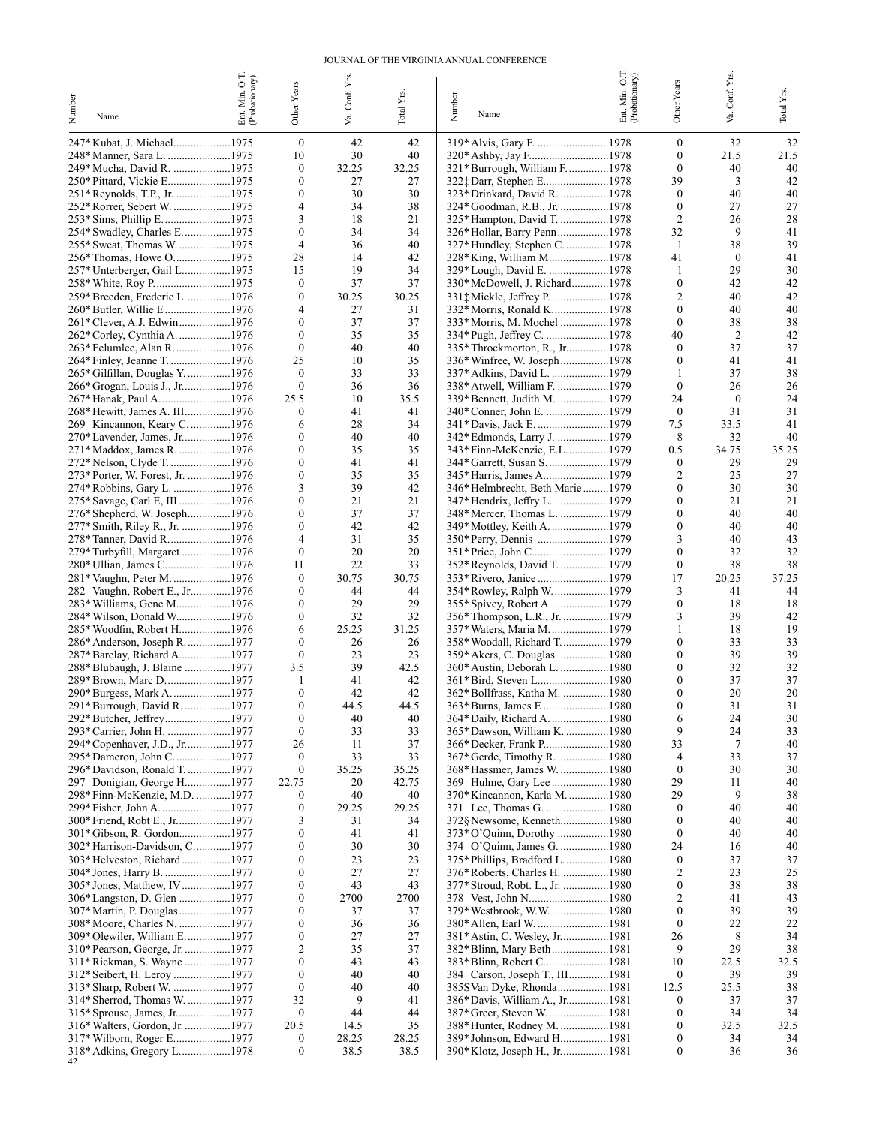#### JOURNAL OF THE VIRGINIA ANNUAL CONFERENCE

| Number<br>Name                                                 | Ent. Min. O.T.<br>(Probationary) | Other Years                          | Va. Conf. Yrs | Total Yrs.  | Number<br>Name                                           | Ent. Min. O.T.<br>(Probationary) | Other Years                  | Va. Conf. Yrs.         | Total Y <sub>IS</sub> |
|----------------------------------------------------------------|----------------------------------|--------------------------------------|---------------|-------------|----------------------------------------------------------|----------------------------------|------------------------------|------------------------|-----------------------|
| 247* Kubat, J. Michael1975                                     |                                  | $\boldsymbol{0}$                     | 42            | 42          | 319* Alvis, Gary F. 1978                                 |                                  | $\boldsymbol{0}$             | 32                     | 32                    |
| 248* Manner, Sara L. 1975                                      |                                  | 10                                   | 30            | 40          |                                                          |                                  | $\mathbf{0}$                 | 21.5                   | 21.5                  |
| 249* Mucha, David R. 1975                                      |                                  | $\boldsymbol{0}$                     | 32.25         | 32.25       | 321* Burrough, William F. 1978                           |                                  | $\mathbf{0}$                 | 40                     | 40                    |
| 250* Pittard, Vickie E1975                                     |                                  | $\mathbf{0}$                         | 27            | 27          |                                                          |                                  | 39                           | 3                      | 42                    |
| 251* Reynolds, T.P., Jr. 1975                                  |                                  | $\mathbf{0}$                         | 30            | 30          | 323* Drinkard, David R. 1978                             |                                  | $\boldsymbol{0}$             | 40                     | 40                    |
| 252* Rorrer, Sebert W. 1975<br>253* Sims, Phillip E1975        |                                  | $\overline{4}$<br>3                  | 34<br>18      | 38<br>21    | 324* Goodman, R.B., Jr. 1978                             |                                  | $\mathbf{0}$<br>2            | 27<br>26               | 27<br>28              |
| 254* Swadley, Charles E. 1975                                  |                                  | $\mathbf{0}$                         | 34            | 34          | 325* Hampton, David T. 1978                              |                                  | 32                           | 9                      | 41                    |
| 255* Sweat, Thomas W. 1975                                     |                                  | $\overline{4}$                       | 36            | 40          | 327* Hundley, Stephen C1978                              |                                  | 1                            | 38                     | 39                    |
| 256* Thomas, Howe O1975                                        |                                  | 28                                   | 14            | 42          | 328* King, William M1978                                 |                                  | 41                           | $\mathbf{0}$           | 41                    |
| 257* Unterberger, Gail L1975                                   |                                  | 15                                   | 19            | 34          |                                                          |                                  | 1                            | 29                     | 30                    |
|                                                                |                                  | $\mathbf{0}$                         | 37            | 37          | 330* McDowell, J. Richard1978                            |                                  | $\mathbf{0}$                 | 42                     | 42                    |
| 259* Breeden, Frederic L. 1976                                 |                                  | $\boldsymbol{0}$<br>4                | 30.25<br>27   | 30.25<br>31 |                                                          |                                  | 2<br>$\mathbf{0}$            | 40<br>40               | 42<br>40              |
| 260* Butler, Willie E 1976<br>261* Clever, A.J. Edwin1976      |                                  | $\mathbf{0}$                         | 37            | 37          | 332* Morris, Ronald K1978<br>333* Morris, M. Mochel 1978 |                                  | $\mathbf{0}$                 | 38                     | 38                    |
| 262* Corley, Cynthia A. 1976                                   |                                  | $\mathbf{0}$                         | 35            | 35          |                                                          |                                  | 40                           | $\overline{c}$         | 42                    |
| 263* Felumlee, Alan R. 1976                                    |                                  | $\mathbf{0}$                         | 40            | 40          | 335* Throckmorton, R., Jr1978                            |                                  | $\mathbf{0}$                 | 37                     | 37                    |
| 264* Finley, Jeanne T. 1976                                    |                                  | 25                                   | 10            | 35          |                                                          |                                  | $\boldsymbol{0}$             | 41                     | 41                    |
| 265* Gilfillan, Douglas Y. 1976                                |                                  | $\mathbf{0}$                         | 33            | 33          | 337* Adkins, David L. 1979                               |                                  | 1                            | 37                     | 38                    |
| 266* Grogan, Louis J., Jr1976                                  |                                  | $\boldsymbol{0}$                     | 36            | 36          | 338* Atwell, William F. 1979                             |                                  | $\mathbf{0}$                 | 26                     | 26                    |
| 267* Hanak, Paul A……………………1976                                 |                                  | 25.5<br>$\mathbf{0}$                 | 10<br>41      | 35.5<br>41  | 340* Conner, John E. 1979                                |                                  | 24<br>$\boldsymbol{0}$       | $\boldsymbol{0}$<br>31 | 24<br>31              |
| 268* Hewitt, James A. III1976<br>269 Kincannon, Keary C. 1976  |                                  | 6                                    | 28            | 34          | 341* Davis, Jack E. 1979                                 |                                  | 7.5                          | 33.5                   | 41                    |
| 270* Lavender, James, Jr1976                                   |                                  | $\theta$                             | 40            | 40          | 342* Edmonds, Larry J. 1979                              |                                  | 8                            | 32                     | 40                    |
| 271*Maddox, James R. 1976                                      |                                  | $\theta$                             | 35            | 35          | 343*Finn-McKenzie, E.L1979                               |                                  | 0.5                          | 34.75                  | 35.25                 |
| 272* Nelson, Clyde T. 1976                                     |                                  | $\mathbf{0}$                         | 41            | 41          | 344* Garrett, Susan S1979                                |                                  | $\boldsymbol{0}$             | 29                     | 29                    |
| 273* Porter, W. Forest, Jr. 1976                               |                                  | $\mathbf{0}$                         | 35            | 35          | 345* Harris, James A1979                                 |                                  | 2                            | 25                     | 27                    |
| 274* Robbins, Gary L. 1976                                     |                                  | 3                                    | 39            | 42          | 346* Helmbrecht, Beth Marie 1979                         |                                  | $\boldsymbol{0}$             | 30                     | 30                    |
| 275* Savage, Carl E, III 1976                                  |                                  | $\mathbf{0}$<br>$\mathbf{0}$         | 21<br>37      | 21<br>37    |                                                          |                                  | $\boldsymbol{0}$<br>$\theta$ | 21<br>40               | 21<br>40              |
| 276* Shepherd, W. Joseph1976<br>277* Smith, Riley R., Jr. 1976 |                                  | $\theta$                             | 42            | 42          |                                                          |                                  | $\mathbf{0}$                 | 40                     | 40                    |
| 278* Tanner, David R1976                                       |                                  | $\overline{4}$                       | 31            | 35          | 350* Perry, Dennis 1979                                  |                                  | 3                            | 40                     | 43                    |
| 279* Turbyfill, Margaret 1976                                  |                                  | $\mathbf{0}$                         | 20            | 20          |                                                          |                                  | $\boldsymbol{0}$             | 32                     | 32                    |
| 280* Ullian, James C1976                                       |                                  | 11                                   | 22            | 33          | 352* Reynolds, David T. 1979                             |                                  | $\mathbf{0}$                 | 38                     | 38                    |
| 281* Vaughn, Peter M. 1976                                     |                                  | $\mathbf{0}$                         | 30.75         | 30.75       |                                                          |                                  | 17                           | 20.25                  | 37.25                 |
| 282 Vaughn, Robert E., Jr1976                                  |                                  | $\mathbf{0}$                         | 44            | 44          | 354* Rowley, Ralph W1979                                 |                                  | 3                            | 41                     | 44                    |
| 283* Williams, Gene M1976<br>284* Wilson, Donald W1976         |                                  | $\mathbf{0}$<br>$\mathbf{0}$         | 29<br>32      | 29<br>32    |                                                          |                                  | $\mathbf{0}$<br>3            | 18<br>39               | 18<br>42              |
| 285* Woodfin, Robert H1976                                     |                                  | 6                                    | 25.25         | 31.25       | 357* Waters, Maria M1979                                 |                                  | 1                            | 18                     | 19                    |
| 286* Anderson, Joseph R. 1977                                  |                                  | $\mathbf{0}$                         | 26            | 26          | 358* Woodall, Richard T1979                              |                                  | $\mathbf{0}$                 | 33                     | 33                    |
| 287* Barclay, Richard A1977                                    |                                  | $\mathbf{0}$                         | 23            | 23          |                                                          |                                  | $\mathbf{0}$                 | 39                     | 39                    |
| 288* Blubaugh, J. Blaine 1977                                  |                                  | 3.5                                  | 39            | 42.5        | 360* Austin, Deborah L. 1980                             |                                  | $\boldsymbol{0}$             | 32                     | 32                    |
| 289* Brown, Marc D1977                                         |                                  | 1                                    | 41            | 42          |                                                          |                                  | $\boldsymbol{0}$             | 37                     | 37                    |
| 290* Burgess, Mark A…………………1977                                |                                  | $\mathbf{0}$                         | 42            | 42          | 362* Bollfrass, Katha M. 1980                            |                                  | $\mathbf{0}$                 | 20                     | 20                    |
| 291* Burrough, David R. 1977<br>292* Butcher, Jeffrey1977      |                                  | $\bf{0}$<br>$\boldsymbol{0}$         | 44.5<br>40    | 44.5<br>40  |                                                          |                                  | $\bf{0}$<br>6                | 31<br>24               | 31<br>30              |
| 293* Carrier, John H. 1977                                     |                                  | $\bf{0}$                             | 33            | 33          | 365* Dawson, William K. 1980                             |                                  | 9                            | 24                     | 33                    |
| 294* Copenhaver, J.D., Jr1977                                  |                                  | 26                                   | 11            | 37          |                                                          |                                  | 33                           | 7                      | 40                    |
| 295* Dameron, John C. 1977                                     |                                  | $\boldsymbol{0}$                     | 33            | 33          |                                                          |                                  | 4                            | 33                     | 37                    |
| 296* Davidson, Ronald T. 1977                                  |                                  | $\boldsymbol{0}$                     | 35.25         | 35.25       | 368* Hassmer, James W. 1980                              |                                  | $\boldsymbol{0}$             | 30                     | 30                    |
| 297 Donigian, George H1977                                     |                                  | 22.75                                | 20            | 42.75       |                                                          |                                  | 29                           | 11                     | 40                    |
| 298* Finn-McKenzie, M.D. 1977<br>299* Fisher, John A1977       |                                  | $\bf{0}$<br>$\boldsymbol{0}$         | 40<br>29.25   | 40<br>29.25 | 370* Kincannon, Karla M. 1980<br>371 Lee, Thomas G. 1980 |                                  | 29<br>$\boldsymbol{0}$       | 9<br>40                | 38<br>40              |
| 300* Friend, Robt E., Jr1977                                   |                                  | 3                                    | 31            | 34          | 372§ Newsome, Kenneth1980                                |                                  | $\boldsymbol{0}$             | 40                     | 40                    |
| 301*Gibson, R. Gordon1977                                      |                                  | $\boldsymbol{0}$                     | 41            | 41          |                                                          |                                  | $\boldsymbol{0}$             | 40                     | 40                    |
| 302* Harrison-Davidson, C1977                                  |                                  | $\boldsymbol{0}$                     | 30            | 30          |                                                          |                                  | 24                           | 16                     | 40                    |
| 303* Helveston, Richard 1977                                   |                                  | $\boldsymbol{0}$                     | 23            | 23          | 375* Phillips, Bradford L1980                            |                                  | $\boldsymbol{0}$             | 37                     | 37                    |
| 304* Jones, Harry B. 1977                                      |                                  | $\boldsymbol{0}$                     | 27            | 27          | 376* Roberts, Charles H. 1980                            |                                  | 2                            | 23                     | 25                    |
| 305* Jones, Matthew, IV 1977                                   |                                  | $\boldsymbol{0}$                     | 43            | 43          | 377* Stroud, Robt. L., Jr. 1980                          |                                  | 0                            | 38                     | 38                    |
| 306* Langston, D. Glen 1977<br>307* Martin, P. Douglas 1977    |                                  | $\boldsymbol{0}$<br>$\boldsymbol{0}$ | 2700<br>37    | 2700<br>37  | 379* Westbrook, W.W. 1980                                |                                  | 2<br>$\boldsymbol{0}$        | 41<br>39               | 43<br>39              |
| 308* Moore, Charles N. 1977                                    |                                  | $\boldsymbol{0}$                     | 36            | 36          |                                                          |                                  | $\boldsymbol{0}$             | 22                     | 22                    |
| 309* Olewiler, William E1977                                   |                                  | $\boldsymbol{0}$                     | 27            | 27          | 381* Astin, C. Wesley, Jr1981                            |                                  | 26                           | 8                      | 34                    |
| 310* Pearson, George, Jr. 1977                                 |                                  | $\overline{c}$                       | 35            | 37          | 382* Blinn, Mary Beth1981                                |                                  | 9                            | 29                     | 38                    |
| 311* Rickman, S. Wayne 1977                                    |                                  | $\boldsymbol{0}$                     | 43            | 43          |                                                          |                                  | 10                           | 22.5                   | 32.5                  |
| 312* Seibert, H. Leroy 1977                                    |                                  | $\boldsymbol{0}$                     | 40            | 40          | 384 Carson, Joseph T., III1981                           |                                  | $\boldsymbol{0}$             | 39                     | 39                    |
| 313* Sharp, Robert W. 1977                                     |                                  | $\boldsymbol{0}$                     | 40            | 40          | 385S Van Dyke, Rhonda1981                                |                                  | 12.5                         | 25.5                   | 38                    |
| 314* Sherrod, Thomas W. 1977                                   |                                  | 32                                   | 9             | 41          | 386* Davis, William A., Jr1981                           |                                  | $\boldsymbol{0}$             | 37                     | 37                    |
| 315* Sprouse, James, Jr1977<br>316* Walters, Gordon, Jr. 1977  |                                  | $\bf{0}$<br>20.5                     | 44<br>14.5    | 44<br>35    | 388* Hunter, Rodney M. 1981                              |                                  | 0<br>$\boldsymbol{0}$        | 34<br>32.5             | 34<br>32.5            |
| 317* Wilborn, Roger E1977                                      |                                  | $\boldsymbol{0}$                     | 28.25         | 28.25       | 389* Johnson, Edward H1981                               |                                  | 0                            | 34                     | 34                    |
| 318* Adkins, Gregory L1978                                     |                                  | $\boldsymbol{0}$                     | 38.5          | 38.5        | 390* Klotz, Joseph H., Jr1981                            |                                  | 0                            | 36                     | 36                    |
|                                                                |                                  |                                      |               |             |                                                          |                                  |                              |                        |                       |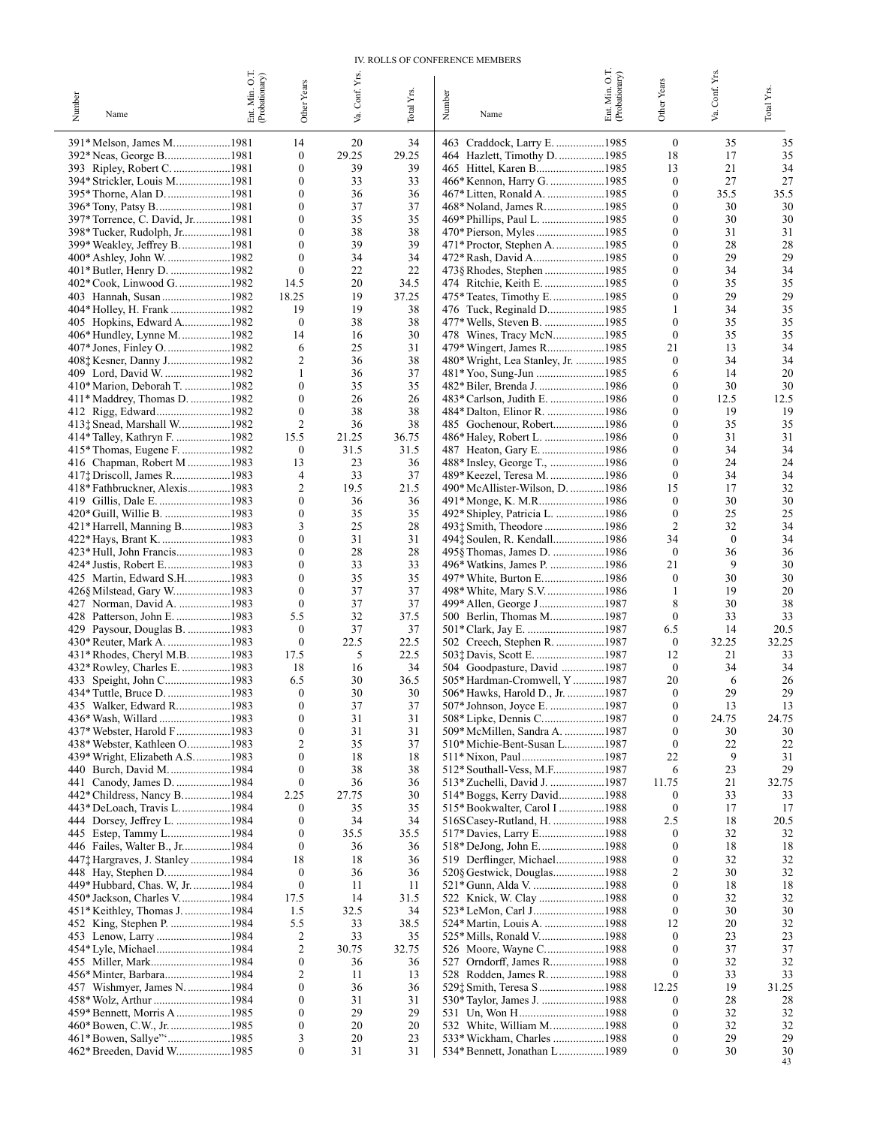#### IV. ROLLS OF CONFERENCE MEMBERS

|                                                                | Ent. Min. O.T.<br>(Probationary) |                                  |             |                        |                                                               | Ent. Min. O.T.<br>(Probationary) |                                      |             |             |
|----------------------------------------------------------------|----------------------------------|----------------------------------|-------------|------------------------|---------------------------------------------------------------|----------------------------------|--------------------------------------|-------------|-------------|
|                                                                |                                  | Other Years                      | Conf. Yrs.  |                        |                                                               |                                  | Other Years                          | Conf. Yrs.  | Total Yrs.  |
| Number<br>Name                                                 |                                  |                                  | ya.         | Total Y <sub>B</sub> . | Number<br>Name                                                |                                  |                                      | Š.          |             |
|                                                                |                                  |                                  |             |                        |                                                               |                                  |                                      |             |             |
| 391* Melson, James M1981                                       |                                  | 14                               | 20          | 34                     | 463 Craddock, Larry E. 1985                                   |                                  | $\bf{0}$                             | 35          | 35          |
| 392* Neas, George B1981                                        |                                  | $\boldsymbol{0}$                 | 29.25       | 29.25                  | 464 Hazlett, Timothy D. 1985                                  |                                  | 18                                   | 17          | 35          |
| 393 Ripley, Robert C. 1981                                     |                                  | $\theta$<br>$\mathbf{0}$         | 39<br>33    | 39<br>33               |                                                               |                                  | 13<br>$\boldsymbol{0}$               | 21<br>27    | 34<br>27    |
| 394* Strickler, Louis M1981<br>395* Thorne, Alan D. 1981       |                                  | $\mathbf{0}$                     | 36          | 36                     | 466* Kennon, Harry G. 1985                                    |                                  | $\boldsymbol{0}$                     | 35.5        | 35.5        |
| 396* Tony, Patsy B…1981                                        |                                  | $\mathbf{0}$                     | 37          | 37                     |                                                               |                                  | $\boldsymbol{0}$                     | 30          | 30          |
| 397* Torrence, C. David, Jr1981                                |                                  | $\mathbf{0}$                     | 35          | 35                     | 469* Phillips, Paul L. 1985                                   |                                  | $\boldsymbol{0}$                     | 30          | 30          |
| 398* Tucker, Rudolph, Jr1981                                   |                                  | $\mathbf{0}$                     | 38          | 38                     |                                                               |                                  | $\boldsymbol{0}$                     | 31          | 31          |
| 399* Weakley, Jeffrey B. 1981                                  |                                  | $\mathbf{0}$                     | 39          | 39                     |                                                               |                                  | $\boldsymbol{0}$                     | 28          | 28          |
| 400* Ashley, John W. 1982                                      |                                  | $\mathbf{0}$<br>$\boldsymbol{0}$ | 34<br>22    | 34<br>22               | 472* Rash, David A1985                                        |                                  | $\boldsymbol{0}$<br>$\boldsymbol{0}$ | 29          | 29<br>34    |
| 402* Cook, Linwood G. 1982                                     |                                  | 14.5                             | 20          | 34.5                   | 473§ Rhodes, Stephen 1985                                     |                                  | $\boldsymbol{0}$                     | 34<br>35    | 35          |
| 403 Hannah, Susan 1982                                         |                                  | 18.25                            | 19          | 37.25                  | 475* Teates, Timothy E1985                                    |                                  | $\boldsymbol{0}$                     | 29          | 29          |
| 404* Holley, H. Frank 1982                                     |                                  | 19                               | 19          | 38                     | 476 Tuck, Reginald D1985                                      |                                  | 1                                    | 34          | 35          |
| 405 Hopkins, Edward A1982                                      |                                  | $\boldsymbol{0}$                 | 38          | 38                     | 477* Wells, Steven B. 1985                                    |                                  | $\boldsymbol{0}$                     | 35          | 35          |
| 406* Hundley, Lynne M1982                                      |                                  | 14                               | 16          | 30                     | 478 Wines, Tracy McN1985                                      |                                  | $\mathbf{0}$                         | 35          | 35          |
| 407* Jones, Finley O. 1982                                     |                                  | 6<br>$\overline{c}$              | 25<br>36    | 31<br>38               | 479* Wingert, James R1985                                     |                                  | 21<br>$\mathbf{0}$                   | 13<br>34    | 34<br>34    |
| 409 Lord, David W. 1982                                        |                                  | $\mathbf{1}$                     | 36          | 37                     | 480* Wright, Lea Stanley, Jr. 1985<br>481* Yoo, Sung-Jun 1985 |                                  | 6                                    | 14          | 20          |
| 410* Marion, Deborah T. 1982                                   |                                  | $\mathbf{0}$                     | 35          | 35                     |                                                               |                                  | $\boldsymbol{0}$                     | 30          | 30          |
| 411* Maddrey, Thomas D. 1982                                   |                                  | $\mathbf{0}$                     | 26          | 26                     | 483* Carlson, Judith E. 1986                                  |                                  | $\boldsymbol{0}$                     | 12.5        | 12.5        |
| 412 Rigg, Edward1982                                           |                                  | $\mathbf{0}$                     | 38          | 38                     | 484* Dalton, Elinor R. 1986                                   |                                  | $\boldsymbol{0}$                     | 19          | 19          |
| 413‡ Snead, Marshall W1982                                     |                                  | $\overline{c}$                   | 36          | 38                     | 485 Gochenour, Robert1986                                     |                                  | $\boldsymbol{0}$                     | 35          | 35          |
| 414* Talley, Kathryn F. 1982                                   |                                  | 15.5                             | 21.25       | 36.75                  | 486* Haley, Robert L. 1986                                    |                                  | $\boldsymbol{0}$                     | 31          | 31          |
| 415* Thomas, Eugene F. 1982                                    |                                  | $\bf{0}$                         | 31.5        | 31.5                   | 487 Heaton, Gary E. 1986                                      |                                  | $\boldsymbol{0}$<br>$\mathbf{0}$     | 34<br>24    | 34<br>24    |
| 416 Chapman, Robert M 1983<br>417; Driscoll, James R1983       |                                  | 13<br>4                          | 23<br>33    | 36<br>37               | 488* Insley, George T., 1986<br>489* Keezel, Teresa M. 1986   |                                  | $\mathbf{0}$                         | 34          | 34          |
| 418* Fathbruckner, Alexis1983                                  |                                  | $\overline{2}$                   | 19.5        | 21.5                   | 490* McAllister-Wilson, D. 1986                               |                                  | 15                                   | 17          | 32          |
| 419 Gillis, Dale E. 1983                                       |                                  | $\mathbf{0}$                     | 36          | 36                     | 491*Monge, K. M.R1986                                         |                                  | $\mathbf{0}$                         | 30          | 30          |
|                                                                |                                  | $\boldsymbol{0}$                 | 35          | 35                     | 492* Shipley, Patricia L. 1986                                |                                  | $\mathbf{0}$                         | 25          | 25          |
| 421* Harrell, Manning B1983                                    |                                  | 3                                | 25          | 28                     | 493‡ Smith, Theodore 1986                                     |                                  | 2                                    | 32          | 34          |
| 422* Hays, Brant K. 1983                                       |                                  | $\mathbf{0}$                     | 31          | 31                     | 494‡ Soulen, R. Kendall1986                                   |                                  | 34                                   | $\bf{0}$    | 34          |
| 423* Hull, John Francis1983                                    |                                  | $\mathbf{0}$<br>$\mathbf{0}$     | 28<br>33    | 28<br>33               | 495§ Thomas, James D. 1986                                    |                                  | $\mathbf{0}$<br>21                   | 36<br>9     | 36<br>30    |
| 425 Martin, Edward S.H1983                                     |                                  | $\mathbf{0}$                     | 35          | 35                     | 496* Watkins, James P. 1986<br>497* White, Burton E1986       |                                  | $\mathbf{0}$                         | 30          | 30          |
| 426§ Milstead, Gary W1983                                      |                                  | $\mathbf{0}$                     | 37          | 37                     | 498* White, Mary S.V1986                                      |                                  | 1                                    | 19          | 20          |
| 427 Norman, David A. 1983                                      |                                  | $\mathbf{0}$                     | 37          | 37                     | 499* Allen, George J1987                                      |                                  | 8                                    | 30          | 38          |
|                                                                |                                  | 5.5                              | 32          | 37.5                   |                                                               |                                  | $\mathbf{0}$                         | 33          | 33          |
| 429 Paysour, Douglas B. 1983                                   |                                  | $\mathbf{0}$                     | 37          | 37                     |                                                               |                                  | 6.5                                  | 14          | 20.5        |
| 430* Reuter, Mark A. 1983                                      |                                  | $\boldsymbol{0}$<br>17.5         | 22.5<br>5   | 22.5                   | 502 Creech, Stephen R. 1987                                   |                                  | $\bf{0}$<br>12                       | 32.25<br>21 | 32.25<br>33 |
| 431* Rhodes, Cheryl M.B. 1983<br>432* Rowley, Charles E. 1983  |                                  | 18                               | 16          | 22.5<br>34             | 503‡ Davis, Scott E. 1987<br>504 Goodpasture, David 1987      |                                  | $\mathbf{0}$                         | 34          | 34          |
|                                                                |                                  | 6.5                              | 30          | 36.5                   | 505* Hardman-Cromwell, Y1987                                  |                                  | 20                                   | 6           | 26          |
| 434* Tuttle, Bruce D. 1983                                     |                                  | $\mathbf{0}$                     | 30          | 30                     | 506* Hawks, Harold D., Jr. 1987                               |                                  | $\mathbf{0}$                         | 29          | 29          |
| 435 Walker, Edward R1983                                       |                                  | $\Omega$                         | 37          | 37                     | 507* Johnson, Joyce E. 1987                                   |                                  | $\boldsymbol{0}$                     | 13          | 13          |
| 436* Wash, Willard 1983                                        |                                  | $\boldsymbol{0}$                 | 31          | 31                     | 508* Lipke, Dennis C1987                                      |                                  | $\boldsymbol{0}$                     | 24.75       | 24.75       |
| 437* Webster, Harold F………………1983                               |                                  | 0                                | 31          | 31                     | 509* McMillen, Sandra A. 1987                                 |                                  | $\mathbf{0}$                         | 30          | 30          |
| 438* Webster, Kathleen O1983<br>439* Wright, Elizabeth A.S1983 |                                  | 2<br>$\mathbf{0}$                | 35<br>18    | 37<br>18               | 510* Michie-Bent-Susan L1987                                  |                                  | $\mathbf{0}$<br>22                   | 22<br>9     | 22<br>31    |
| 440 Burch, David M. 1984                                       |                                  | $\theta$                         | 38          | 38                     | 512* Southall-Vess, M.F1987                                   |                                  | 6                                    | 23          | 29          |
| 441 Canody, James D. 1984                                      |                                  | $\boldsymbol{0}$                 | 36          | 36                     | 513* Zuchelli, David J. 1987                                  |                                  | 11.75                                | 21          | 32.75       |
| 442* Childress, Nancy B1984                                    |                                  | 2.25                             | 27.75       | 30                     | 514* Boggs, Kerry David1988                                   |                                  | 0                                    | 33          | 33          |
| 443* DeLoach, Travis L. 1984                                   |                                  | $\bf{0}$                         | 35          | 35                     | 515* Bookwalter, Carol I 1988                                 |                                  | $\boldsymbol{0}$                     | 17          | 17          |
| 444 Dorsey, Jeffrey L. 1984                                    |                                  | 0                                | 34          | 34                     | 516SCasey-Rutland, H. 1988                                    |                                  | 2.5                                  | 18          | 20.5        |
| 445 Estep, Tammy L1984<br>446 Failes, Walter B., Jr1984        |                                  | 0<br>$\boldsymbol{0}$            | 35.5<br>36  | 35.5<br>36             | 517* Davies, Larry E1988<br>518* DeJong, John E. 1988         |                                  | 0<br>0                               | 32<br>18    | 32<br>18    |
| 447† Hargraves, J. Stanley 1984                                |                                  | 18                               | 18          | 36                     | 519 Derflinger, Michael1988                                   |                                  | 0                                    | 32          | 32          |
| 448 Hay, Stephen D1984                                         |                                  | $\boldsymbol{0}$                 | 36          | 36                     | 520§ Gestwick, Douglas1988                                    |                                  | 2                                    | 30          | 32          |
| 449* Hubbard, Chas. W, Jr. 1984                                |                                  | $\boldsymbol{0}$                 | 11          | 11                     | 521* Gunn, Alda V. 1988                                       |                                  | 0                                    | 18          | 18          |
| 450* Jackson, Charles V1984                                    |                                  | 17.5                             | 14          | 31.5                   |                                                               |                                  | 0                                    | 32          | 32          |
| 451* Keithley, Thomas J. 1984                                  |                                  | 1.5                              | 32.5        | 34                     |                                                               |                                  | 0                                    | 30          | 30          |
|                                                                |                                  | 5.5                              | 33          | 38.5                   | 524* Martin, Louis A. 1988                                    |                                  | 12<br>0                              | 20          | 32          |
| 453 Lenow, Larry 1984                                          |                                  | 2<br>2                           | 33<br>30.75 | 35<br>32.75            | 526 Moore, Wayne C1988                                        |                                  | 0                                    | 23<br>37    | 23<br>37    |
|                                                                |                                  | $\boldsymbol{0}$                 | 36          | 36                     |                                                               |                                  | 0                                    | 32          | 32          |
| 456* Minter, Barbara1984                                       |                                  | 2                                | 11          | 13                     | 528 Rodden, James R. 1988                                     |                                  | 0                                    | 33          | 33          |
| 457 Wishmyer, James N. 1984                                    |                                  | 0                                | 36          | 36                     | 529‡ Smith, Teresa S 1988                                     |                                  | 12.25                                | 19          | 31.25       |
| 458* Wolz, Arthur 1984                                         |                                  | 0                                | 31          | 31                     | 530* Taylor, James J. 1988                                    |                                  | 0                                    | 28          | 28          |
| 459* Bennett, Morris A 1985                                    |                                  | 0                                | 29          | 29                     | 531 Un, Won H1988                                             |                                  | 0                                    | 32          | 32          |
| 460* Bowen, C.W., Jr. 1985                                     |                                  | 0<br>3                           | 20<br>20    | 20<br>23               | 532 White, William M1988                                      |                                  | 0<br>0                               | 32<br>29    | 32<br>29    |
| 462* Breeden, David W1985                                      |                                  | $\boldsymbol{0}$                 | 31          | 31                     | 533* Wickham, Charles 1988<br>534* Bennett, Jonathan L1989    |                                  | 0                                    | 30          | 30          |
|                                                                |                                  |                                  |             |                        |                                                               |                                  |                                      |             | 43          |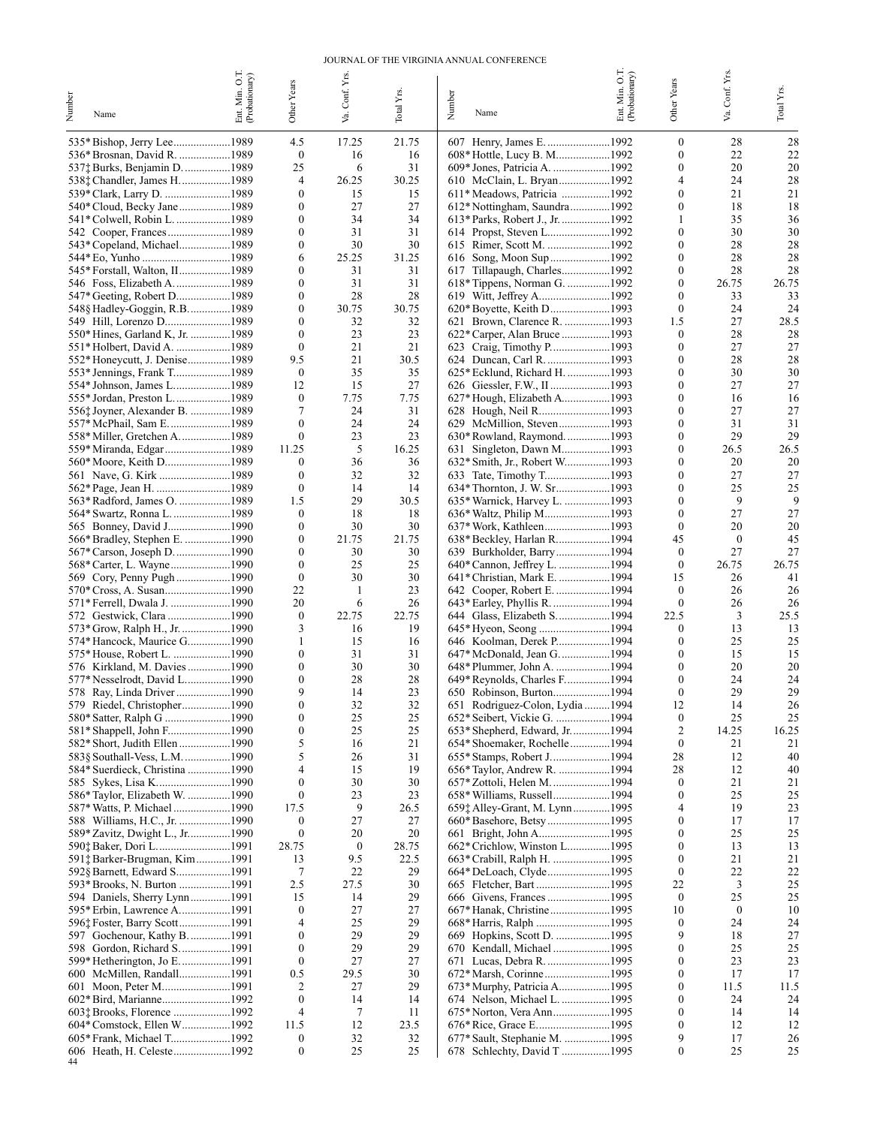#### JOURNAL OF THE VIRGINIA ANNUAL CONFERENCE

| Numbe<br>Name                                                | Ent. Min. O.T.<br>(Probationary) | Other Years                          | Conf. Yrs<br>Š.  | Total Yrs   | Number | Name                                                          | Ent. Min. O.T.<br>(Probationary) | Other Years                  | Conf. Yrs<br>Š   | $\operatorname{TotalYrs.}$ |
|--------------------------------------------------------------|----------------------------------|--------------------------------------|------------------|-------------|--------|---------------------------------------------------------------|----------------------------------|------------------------------|------------------|----------------------------|
| 535* Bishop, Jerry Lee1989                                   |                                  | 4.5                                  | 17.25            | 21.75       |        | 607 Henry, James E. 1992                                      |                                  | $\mathbf{0}$                 | 28               | 28                         |
| 536* Brosnan, David R. 1989                                  |                                  | $\boldsymbol{0}$<br>25               | 16<br>6          | 16<br>31    |        | 608* Hottle, Lucy B. M1992                                    |                                  | $\mathbf{0}$<br>$\mathbf{0}$ | 22<br>20         | 22<br>20                   |
| 537‡ Burks, Benjamin D. 1989<br>538‡ Chandler, James H1989   |                                  | 4                                    | 26.25            | 30.25       |        | 609* Jones, Patricia A. 1992<br>610 McClain, L. Bryan1992     |                                  | 4                            | 24               | 28                         |
| 539* Clark, Larry D. 1989                                    |                                  | $\mathbf{0}$                         | 15               | 15          |        | 611* Meadows, Patricia 1992                                   |                                  | $\mathbf{0}$                 | 21               | 21                         |
| 540* Cloud, Becky Jane1989                                   |                                  | $\boldsymbol{0}$                     | 27               | 27          |        | 612*Nottingham, Saundra1992                                   |                                  | $\mathbf{0}$                 | 18               | 18                         |
| 541* Colwell, Robin L. 1989                                  |                                  | $\mathbf{0}$                         | 34               | 34          |        | 613* Parks, Robert J., Jr. 1992                               |                                  | -1                           | 35               | 36                         |
|                                                              |                                  | $\boldsymbol{0}$                     | 31               | 31          |        | 614 Propst, Steven L1992                                      |                                  | $\mathbf{0}$                 | 30               | 30                         |
| 543* Copeland, Michael1989<br>544* Eo, Yunho 1989            |                                  | $\mathbf{0}$<br>6                    | 30<br>25.25      | 30<br>31.25 |        | 615 Rimer, Scott M. 1992<br>616 Song, Moon Sup 1992           |                                  | $\Omega$<br>$\mathbf{0}$     | 28<br>28         | 28<br>28                   |
|                                                              |                                  | 0                                    | 31               | 31          |        | 617 Tillapaugh, Charles1992                                   |                                  | $\mathbf{0}$                 | 28               | 28                         |
|                                                              |                                  | $\boldsymbol{0}$                     | 31               | 31          |        | 618* Tippens, Norman G. 1992                                  |                                  | $\mathbf{0}$                 | 26.75            | 26.75                      |
| 547* Geeting, Robert D1989                                   |                                  | $\mathbf{0}$                         | 28               | 28          |        | 619 Witt, Jeffrey A1992                                       |                                  | $\Omega$                     | 33               | 33                         |
| 548§ Hadley-Goggin, R.B1989                                  |                                  | $\boldsymbol{0}$                     | 30.75            | 30.75       |        |                                                               |                                  | $\mathbf{0}$                 | 24               | 24                         |
| 550* Hines, Garland K, Jr. 1989                              |                                  | $\mathbf{0}$<br>$\mathbf{0}$         | 32<br>23         | 32<br>23    |        | 621 Brown, Clarence R. 1993<br>622* Carper, Alan Bruce 1993   |                                  | 1.5<br>$\mathbf{0}$          | 27<br>28         | 28.5<br>28                 |
| 551* Holbert, David A. 1989                                  |                                  | $\mathbf{0}$                         | 21               | 21          |        | 623 Craig, Timothy P1993                                      |                                  | $\mathbf{0}$                 | 27               | 27                         |
| 552* Honeycutt, J. Denise1989                                |                                  | 9.5                                  | 21               | 30.5        |        |                                                               |                                  | $\mathbf{0}$                 | 28               | 28                         |
|                                                              |                                  | $\boldsymbol{0}$                     | 35               | 35          |        | 625* Ecklund, Richard H. 1993                                 |                                  | $\Omega$                     | 30               | 30                         |
|                                                              |                                  | 12                                   | 15               | 27          |        |                                                               |                                  | $\mathbf{0}$                 | 27               | 27                         |
| 555* Jordan, Preston L1989<br>556: Joyner, Alexander B. 1989 |                                  | $\boldsymbol{0}$<br>7                | 7.75<br>24       | 7.75<br>31  |        | 627* Hough, Elizabeth A1993<br>628 Hough, Neil R1993          |                                  | $\Omega$<br>$\mathbf{0}$     | 16<br>27         | 16<br>27                   |
| 557* McPhail, Sam E1989                                      |                                  | $\mathbf{0}$                         | 24               | 24          |        |                                                               |                                  | $\Omega$                     | 31               | 31                         |
| 558* Miller, Gretchen A. 1989                                |                                  | $\mathbf{0}$                         | 23               | 23          |        | 630* Rowland, Raymond. 1993                                   |                                  | $\mathbf{0}$                 | 29               | 29                         |
| 559* Miranda, Edgar 1989                                     |                                  | 11.25                                | 5                | 16.25       |        | 631 Singleton, Dawn M1993                                     |                                  | $\mathbf{0}$                 | 26.5             | 26.5                       |
|                                                              |                                  | $\boldsymbol{0}$                     | 36               | 36          |        | 632* Smith, Jr., Robert W1993                                 |                                  | $\mathbf{0}$                 | 20               | 20                         |
| 561 Nave, G. Kirk 1989                                       |                                  | $\mathbf{0}$<br>$\boldsymbol{0}$     | 32<br>14         | 32<br>14    |        |                                                               |                                  | $\Omega$<br>$\bf{0}$         | 27<br>25         | 27<br>25                   |
|                                                              |                                  | 1.5                                  | 29               | 30.5        |        | 635* Warnick, Harvey L. 1993                                  |                                  | $\Omega$                     | 9                | 9                          |
| 564* Swartz, Ronna L. 1989                                   |                                  | $\boldsymbol{0}$                     | 18               | 18          |        | 636* Waltz, Philip M1993                                      |                                  | $\mathbf{0}$                 | 27               | 27                         |
|                                                              |                                  | $\boldsymbol{0}$                     | 30               | 30          |        |                                                               |                                  | $\mathbf{0}$                 | 20               | 20                         |
| 566* Bradley, Stephen E. 1990                                |                                  | $\boldsymbol{0}$                     | 21.75            | 21.75       |        | 638* Beckley, Harlan R1994                                    |                                  | 45                           | $\boldsymbol{0}$ | 45                         |
| 567* Carson, Joseph D1990                                    |                                  | $\mathbf{0}$                         | 30               | 30          |        | 639 Burkholder, Barry1994                                     |                                  | $\mathbf{0}$                 | 27               | 27                         |
| 569 Cory, Penny Pugh 1990                                    |                                  | $\boldsymbol{0}$<br>$\boldsymbol{0}$ | 25<br>30         | 25<br>30    |        | 641* Christian, Mark E. 1994                                  |                                  | $\boldsymbol{0}$<br>15       | 26.75<br>26      | 26.75<br>41                |
|                                                              |                                  | 22                                   | 1                | 23          |        | 642 Cooper, Robert E. 1994                                    |                                  | $\mathbf{0}$                 | 26               | 26                         |
| 571* Ferrell, Dwala J. 1990                                  |                                  | 20                                   | 6                | 26          |        | 643* Earley, Phyllis R. 1994                                  |                                  | $\mathbf{0}$                 | 26               | 26                         |
| 572 Gestwick, Clara 1990                                     |                                  | $\boldsymbol{0}$                     | 22.75            | 22.75       |        | 644 Glass, Elizabeth S1994                                    |                                  | 22.5                         | 3                | 25.5                       |
| 573* Grow, Ralph H., Jr. 1990                                |                                  | 3                                    | 16               | 19          |        | 645* Hyeon, Seong 1994                                        |                                  | $\mathbf{0}$                 | 13               | 13                         |
| 574* Hancock, Maurice G1990                                  |                                  | 1<br>$\mathbf{0}$                    | 15<br>31         | 16<br>31    |        | 646 Koolman, Derek P1994<br>647* McDonald, Jean G. 1994       |                                  | $\mathbf{0}$<br>$\mathbf{0}$ | 25<br>15         | 25<br>15                   |
| 576 Kirkland, M. Davies 1990                                 |                                  | $\boldsymbol{0}$                     | 30               | 30          |        |                                                               |                                  | $\mathbf{0}$                 | 20               | 20                         |
| 577* Nesselrodt, David L1990                                 |                                  | $\mathbf{0}$                         | 28               | 28          |        | 649* Reynolds, Charles F1994                                  |                                  | $\mathbf{0}$                 | 24               | 24                         |
| 578 Ray, Linda Driver1990                                    |                                  | 9                                    | 14               | 23          |        |                                                               |                                  | $\mathbf{0}$                 | 29               | 29                         |
| 579 Riedel, Christopher1990                                  |                                  | 0                                    | 32               | 32          |        | 651 Rodriguez-Colon, Lydia 1994                               |                                  | 12                           | 14               | 26                         |
| 580* Satter, Ralph G 1990                                    |                                  | $\boldsymbol{0}$<br>$\boldsymbol{0}$ | 25<br>25         | 25<br>25    |        | 652* Seibert, Vickie G. 1994<br>653* Shepherd, Edward, Jr1994 |                                  | $\boldsymbol{0}$<br>2        | 25<br>14.25      | 25<br>16.25                |
|                                                              |                                  | 5                                    | 16               | 21          |        | 654* Shoemaker, Rochelle 1994                                 |                                  | $\boldsymbol{0}$             | 21               | 21                         |
| 583§ Southall-Vess, L.M. 1990                                |                                  | 5                                    | 26               | 31          |        |                                                               |                                  | 28                           | 12               | 40                         |
| 584* Suerdieck, Christina 1990                               |                                  | 4                                    | 15               | 19          |        | 656* Taylor, Andrew R. 1994                                   |                                  | 28                           | 12               | 40                         |
|                                                              |                                  | $\boldsymbol{0}$                     | 30               | 30          |        |                                                               |                                  | $\mathbf{0}$                 | 21               | 21                         |
| 586* Taylor, Elizabeth W. 1990                               |                                  | $\bf{0}$<br>17.5                     | 23<br>9          | 23<br>26.5  |        | 658* Williams, Russell1994<br>659; Alley-Grant, M. Lynn1995   |                                  | $\mathbf{0}$<br>4            | 25<br>19         | 25<br>23                   |
|                                                              |                                  | $\boldsymbol{0}$                     | 27               | 27          |        |                                                               |                                  | $\mathbf{0}$                 | 17               | 17                         |
| 589* Zavitz, Dwight L., Jr1990                               |                                  | $\boldsymbol{0}$                     | 20               | 20          |        |                                                               |                                  | $\mathbf{0}$                 | 25               | 25                         |
| 590‡ Baker, Dori L1991                                       |                                  | 28.75                                | $\boldsymbol{0}$ | 28.75       |        | 662* Crichlow, Winston L1995                                  |                                  | $\mathbf{0}$                 | 13               | 13                         |
| 591† Barker-Brugman, Kim 1991                                |                                  | 13                                   | 9.5              | 22.5        |        | 663* Crabill, Ralph H. 1995                                   |                                  | $\mathbf{0}$                 | 21               | 21                         |
| 592§ Barnett, Edward S1991<br>593* Brooks, N. Burton 1991    |                                  | 7<br>2.5                             | 22<br>27.5       | 29<br>30    |        | 664* DeLoach, Clyde1995                                       |                                  | $\mathbf{0}$<br>22           | 22<br>3          | 22<br>25                   |
| 594 Daniels, Sherry Lynn1991                                 |                                  | 15                                   | 14               | 29          |        |                                                               |                                  | $\boldsymbol{0}$             | 25               | 25                         |
| 595* Erbin, Lawrence A1991                                   |                                  | $\boldsymbol{0}$                     | 27               | 27          |        | 667* Hanak, Christine1995                                     |                                  | 10                           | $\boldsymbol{0}$ | 10                         |
|                                                              |                                  | 4                                    | 25               | 29          |        |                                                               |                                  | $\boldsymbol{0}$             | 24               | 24                         |
| 597 Gochenour, Kathy B. 1991                                 |                                  | $\boldsymbol{0}$                     | 29               | 29          |        |                                                               |                                  | 9                            | 18               | 27                         |
| 598 Gordon, Richard S1991                                    |                                  | $\boldsymbol{0}$<br>$\boldsymbol{0}$ | 29<br>27         | 29<br>27    |        | 670 Kendall, Michael 1995<br>671 Lucas, Debra R. 1995         |                                  | $\mathbf{0}$<br>0            | 25<br>23         | 25<br>23                   |
| 600 McMillen, Randall1991                                    |                                  | 0.5                                  | 29.5             | 30          |        |                                                               |                                  | $\mathbf{0}$                 | 17               | 17                         |
|                                                              |                                  | 2                                    | 27               | 29          |        | 673* Murphy, Patricia A1995                                   |                                  | $\mathbf{0}$                 | 11.5             | 11.5                       |
|                                                              |                                  | $\boldsymbol{0}$                     | 14               | 14          |        | 674 Nelson, Michael L. 1995                                   |                                  | $\mathbf{0}$                 | 24               | 24                         |
|                                                              |                                  | 4                                    | 7                | 11          |        |                                                               |                                  | $\theta$                     | 14               | 14                         |
| 604* Comstock, Ellen W1992                                   |                                  | 11.5                                 | 12               | 23.5        |        |                                                               |                                  | $\mathbf{0}$<br>9            | 12               | 12                         |
|                                                              |                                  | $\boldsymbol{0}$<br>$\boldsymbol{0}$ | 32<br>25         | 32<br>25    |        | 677* Sault, Stephanie M. 1995<br>678 Schlechty, David T 1995  |                                  | $\boldsymbol{0}$             | 17<br>25         | 26<br>25                   |
| 44                                                           |                                  |                                      |                  |             |        |                                                               |                                  |                              |                  |                            |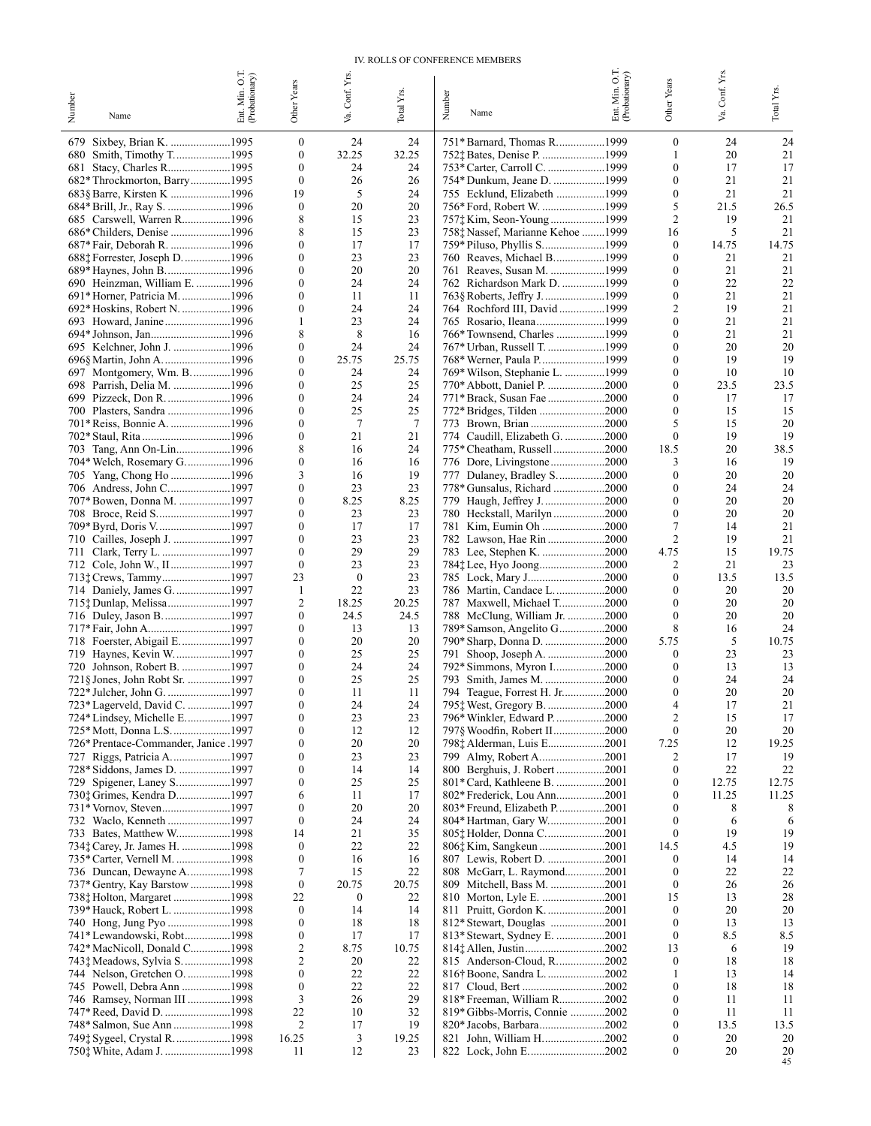#### IV. ROLLS OF CONFERENCE MEMBERS

|                                                                | Ent. Min. O.T.<br>(Probationary) |                                  | Conf. Yrs.             |                       |                                                              | Ent. Min. O.T.<br>(Probationary) |                                      | Conf. Yrs  |                          |
|----------------------------------------------------------------|----------------------------------|----------------------------------|------------------------|-----------------------|--------------------------------------------------------------|----------------------------------|--------------------------------------|------------|--------------------------|
| Number<br>Name                                                 |                                  | Other Years                      |                        | Total Y <sub>rs</sub> | Number<br>Name                                               |                                  | Other Years                          | Š.         | $\mbox{Total } \rm Yrs.$ |
|                                                                |                                  |                                  | Š.                     |                       |                                                              |                                  |                                      |            |                          |
| 679                                                            |                                  | $\boldsymbol{0}$<br>$\mathbf{0}$ | 24<br>32.25            | 24<br>32.25           | 751* Barnard, Thomas R1999<br>752† Bates, Denise P. 1999     |                                  | $\mathbf{0}$<br>1                    | 24<br>20   | 24<br>21                 |
|                                                                |                                  | $\mathbf{0}$                     | 24                     | 24                    |                                                              |                                  | $\theta$                             | 17         | 17                       |
| 682* Throckmorton, Barry1995                                   |                                  | $\mathbf{0}$                     | 26                     | 26                    | 754* Dunkum, Jeane D. 1999                                   |                                  | $\mathbf{0}$                         | 21         | 21                       |
| 683§ Barre, Kirsten K 1996                                     |                                  | 19                               | 5                      | 24                    | 755 Ecklund, Elizabeth 1999                                  |                                  | $\boldsymbol{0}$                     | 21         | 21                       |
|                                                                |                                  | $\mathbf{0}$<br>8                | 20<br>15               | 20<br>23              |                                                              |                                  | 5<br>$\overline{2}$                  | 21.5<br>19 | 26.5<br>21               |
| 685 Carswell, Warren R1996                                     |                                  | 8                                | 15                     | 23                    | 758; Nassef, Marianne Kehoe 1999                             |                                  | 16                                   | 5          | 21                       |
| 687* Fair, Deborah R. 1996                                     |                                  | $\theta$                         | 17                     | 17                    | 759* Piluso, Phyllis S1999                                   |                                  | $\mathbf{0}$                         | 14.75      | 14.75                    |
| 688† Forrester, Joseph D. 1996                                 |                                  | $\theta$                         | 23                     | 23                    | 760 Reaves, Michael B1999                                    |                                  | $\bf{0}$                             | 21         | 21                       |
| 689* Haynes, John B. 1996                                      |                                  | $\theta$                         | 20                     | 20                    | 761 Reaves, Susan M. 1999                                    |                                  | $\theta$                             | 21         | 21                       |
| 690 Heinzman, William E. 1996<br>691* Horner, Patricia M. 1996 |                                  | 0<br>$\theta$                    | 24<br>11               | 24<br>11              | 762 Richardson Mark D. 1999                                  |                                  | $\boldsymbol{0}$<br>$\boldsymbol{0}$ | 22<br>21   | 22<br>21                 |
| 692* Hoskins, Robert N. 1996                                   |                                  | $\mathbf{0}$                     | 24                     | 24                    | 764 Rochford III, David1999                                  |                                  | 2                                    | 19         | 21                       |
|                                                                |                                  | 1                                | 23                     | 24                    |                                                              |                                  | $\mathbf{0}$                         | 21         | 21                       |
|                                                                |                                  | 8                                | 8                      | 16                    | 766* Townsend, Charles 1999                                  |                                  | $\mathbf{0}$                         | 21         | 21                       |
| 695 Kelchner, John J. 1996<br>696§ Martin, John A. 1996        |                                  | $\mathbf{0}$<br>$\mathbf{0}$     | 24<br>25.75            | 24<br>25.75           | 767* Urban, Russell T. 1999                                  |                                  | $\theta$<br>$\mathbf{0}$             | 20<br>19   | 20<br>19                 |
| 697 Montgomery, Wm. B1996                                      |                                  | $\theta$                         | 24                     | 24                    | 769* Wilson, Stephanie L. 1999                               |                                  | $\boldsymbol{0}$                     | 10         | 10                       |
| 698 Parrish, Delia M. 1996                                     |                                  | 0                                | 25                     | 25                    | 770* Abbott, Daniel P. 2000                                  |                                  | $\boldsymbol{0}$                     | 23.5       | 23.5                     |
| 699 Pizzeck, Don R. 1996                                       |                                  | $\theta$                         | 24                     | 24                    | 771* Brack, Susan Fae 2000                                   |                                  | $\theta$                             | 17         | 17                       |
| 700 Plasters, Sandra 1996<br>701* Reiss, Bonnie A. 1996        |                                  | $\mathbf{0}$<br>0                | 25<br>$7\phantom{.0}$  | 25<br>7               | 772* Bridges, Tilden 2000                                    |                                  | $\mathbf{0}$<br>5                    | 15<br>15   | 15<br>20                 |
| 702* Staul, Rita 1996                                          |                                  | 0                                | 21                     | 21                    | 774 Caudill, Elizabeth G. 2000                               |                                  | $\mathbf{0}$                         | 19         | 19                       |
| 703 Tang, Ann On-Lin1996                                       |                                  | 8                                | 16                     | 24                    | 775* Cheatham, Russell 2000                                  |                                  | 18.5                                 | 20         | 38.5                     |
| 704* Welch, Rosemary G1996                                     |                                  | $\boldsymbol{0}$                 | 16                     | 16                    | 776 Dore, Livingstone2000                                    |                                  | 3                                    | 16         | 19                       |
| 705 Yang, Chong Ho 1996                                        |                                  | 3                                | 16                     | 19                    | 777 Dulaney, Bradley S. 2000                                 |                                  | $\mathbf{0}$                         | 20         | 20                       |
| 707* Bowen, Donna M. 1997                                      |                                  | 0<br>$\mathbf{0}$                | 23<br>8.25             | 23<br>8.25            | 778* Gunsalus, Richard 2000<br>779 Haugh, Jeffrey J2000      |                                  | $\bf{0}$<br>$\boldsymbol{0}$         | 24<br>20   | 24<br>20                 |
|                                                                |                                  | 0                                | 23                     | 23                    | 780 Heckstall, Marilyn2000                                   |                                  | $\mathbf{0}$                         | 20         | 20                       |
| 709* Byrd, Doris V1997                                         |                                  | $\theta$                         | 17                     | 17                    | 781 Kim, Eumin Oh 2000                                       |                                  | 7                                    | 14         | 21                       |
| 710 Cailles, Joseph J. 1997                                    |                                  | $\mathbf{0}$                     | 23                     | 23                    | 782 Lawson, Hae Rin2000                                      |                                  | $\overline{c}$                       | 19         | 21                       |
| 712 Cole, John W., II1997                                      |                                  | $\theta$<br>$\mathbf{0}$         | 29<br>23               | 29<br>23              | 783 Lee, Stephen K. 2000                                     |                                  | 4.75<br>2                            | 15<br>21   | 19.75<br>23              |
| 713: Crews, Tammy1997                                          |                                  | 23                               | $\boldsymbol{0}$       | 23                    | 785 Lock, Mary J2000                                         |                                  | $\mathbf{0}$                         | 13.5       | 13.5                     |
| 714 Daniely, James G1997                                       |                                  | 1                                | 22                     | 23                    | 786 Martin, Candace L2000                                    |                                  | $\bf{0}$                             | 20         | 20                       |
| 715: Dunlap, Melissa1997                                       |                                  | 2                                | 18.25                  | 20.25                 | 787 Maxwell, Michael T2000                                   |                                  | $\mathbf{0}$                         | 20         | 20                       |
|                                                                |                                  | $\mathbf{0}$<br>$\theta$         | 24.5<br>13             | 24.5<br>13            | 788 McClung, William Jr. 2000                                |                                  | $\mathbf{0}$<br>8                    | 20<br>16   | 20<br>24                 |
| 717* Fair, John A1997<br>718 Foerster, Abigail E1997           |                                  | 0                                | 20                     | 20                    | 789* Samson, Angelito G 2000<br>790* Sharp, Donna D. 2000    |                                  | 5.75                                 | 5          | 10.75                    |
| 719 Haynes, Kevin W1997                                        |                                  | $\theta$                         | 25                     | 25                    | 791 Shoop, Joseph A. 2000                                    |                                  | $\mathbf{0}$                         | 23         | 23                       |
| 720 Johnson, Robert B. 1997                                    |                                  | $\boldsymbol{0}$                 | 24                     | 24                    | 792* Simmons, Myron I2000                                    |                                  | $\mathbf{0}$                         | 13         | 13                       |
| 721§ Jones, John Robt Sr. 1997                                 |                                  | $\boldsymbol{0}$                 | 25                     | 25                    | 793 Smith, James M. 2000                                     |                                  | $\mathbf{0}$                         | 24         | 24                       |
| 722* Julcher, John G. 1997<br>723* Lagerveld, David C. 1997    |                                  | $\mathbf{0}$<br>$\Omega$         | 11<br>24               | 11<br>24              | 794 Teague, Forrest H. Jr2000<br>795: West, Gregory B.       | 2000                             | $\mathbf{0}$<br>Δ                    | 20<br>17   | 20<br>21                 |
| 724* Lindsey, Michelle E1997                                   |                                  | $\boldsymbol{0}$                 | 23                     | 23                    | 796* Winkler, Edward P2000                                   |                                  | $\overline{c}$                       | 15         | 17                       |
| 725* Mott, Donna L.S. 1997                                     |                                  | $\mathbf{0}$                     | 12                     | 12                    | 797§ Woodfin, Robert II………………2000                            |                                  | $\boldsymbol{0}$                     | 20         | 20                       |
| 726* Prentace-Commander, Janice .1997                          |                                  | $\mathbf{0}$                     | 20                     | 20                    | 798; Alderman, Luis E2001                                    |                                  | 7.25                                 | 12         | 19.25                    |
| 727 Riggs, Patricia A1997<br>728* Siddons, James D. 1997       |                                  | $\mathbf{0}$<br>0                | 23<br>14               | 23<br>14              | 799 Almy, Robert A2001<br>800 Berghuis, J. Robert 2001       |                                  | 2<br>$\boldsymbol{0}$                | 17<br>22   | 19<br>22                 |
| 729 Spigener, Laney S1997                                      |                                  | 0                                | 25                     | 25                    | 801* Card, Kathleene B. 2001                                 |                                  | $\boldsymbol{0}$                     | 12.75      | 12.75                    |
| 730; Grimes, Kendra D1997                                      |                                  | 6                                | 11                     | 17                    | 802* Frederick, Lou Ann2001                                  |                                  | $\theta$                             | 11.25      | 11.25                    |
| 731* Vornov, Steven1997                                        |                                  | $\mathbf{0}$                     | 20                     | 20                    | 803* Freund, Elizabeth P2001                                 |                                  | $\bf{0}$                             | 8          | 8                        |
| 733 Bates, Matthew W1998                                       |                                  | $\mathbf{0}$<br>14               | 24<br>21               | 24<br>35              | 804* Hartman, Gary W2001                                     |                                  | $\bf{0}$<br>$\bf{0}$                 | 6<br>19    | 6<br>19                  |
| 734‡ Carey, Jr. James H. 1998                                  |                                  | $\mathbf{0}$                     | 22                     | 22                    | 805: Holder, Donna C2001<br>806† Kim, Sangkeun 2001          |                                  | 14.5                                 | 4.5        | 19                       |
| 735* Carter, Vernell M. 1998                                   |                                  | $\mathbf{0}$                     | 16                     | 16                    | 807 Lewis, Robert D. 2001                                    |                                  | $\mathbf{0}$                         | 14         | 14                       |
| 736 Duncan, Dewayne A1998                                      |                                  | 7                                | 15                     | 22                    | 808 McGarr, L. Raymond2001                                   |                                  | $\mathbf{0}$                         | 22         | 22                       |
| 737* Gentry, Kay Barstow 1998                                  |                                  | $\mathbf{0}$                     | 20.75                  | 20.75                 | 809 Mitchell, Bass M. 2001                                   |                                  | $\boldsymbol{0}$                     | 26         | 26                       |
| 738‡ Holton, Margaret 1998<br>739* Hauck, Robert L. 1998       |                                  | 22<br>$\mathbf{0}$               | $\boldsymbol{0}$<br>14 | 22<br>14              | 811 Pruitt, Gordon K. 2001                                   |                                  | 15<br>$\boldsymbol{0}$               | 13<br>20   | 28<br>20                 |
|                                                                |                                  | $\mathbf{0}$                     | 18                     | 18                    | 812* Stewart, Douglas 2001                                   |                                  | $\bf{0}$                             | 13         | 13                       |
| 741* Lewandowski, Robt1998                                     |                                  | $\bf{0}$                         | 17                     | 17                    | 813* Stewart, Sydney E. 2001                                 |                                  | $\bf{0}$                             | 8.5        | 8.5                      |
| 742* MacNicoll, Donald C1998                                   |                                  | 2                                | 8.75                   | 10.75                 | 814† Allen, Justin2002                                       |                                  | 13                                   | 6          | 19                       |
| 743† Meadows, Sylvia S. 1998<br>744 Nelson, Gretchen O. 1998   |                                  | 2<br>$\mathbf{0}$                | 20<br>22               | 22<br>22              | 815 Anderson-Cloud, R2002<br>816† Boone, Sandra L…………………2002 |                                  | $\boldsymbol{0}$<br>-1               | 18<br>13   | 18<br>14                 |
| 745 Powell, Debra Ann 1998                                     |                                  | $\bf{0}$                         | 22                     | 22                    |                                                              |                                  | $\bf{0}$                             | 18         | 18                       |
| 746 Ramsey, Norman III 1998                                    |                                  | 3                                | 26                     | 29                    | 818* Freeman, William R2002                                  |                                  | $\bf{0}$                             | 11         | 11                       |
| 747* Reed, David D. 1998                                       |                                  | 22                               | 10                     | 32                    | 819* Gibbs-Morris, Connie 2002                               |                                  | $\bf{0}$                             | 11         | 11                       |
|                                                                |                                  | 2                                | 17                     | 19                    | 820* Jacobs, Barbara2002                                     |                                  | $\bf{0}$                             | 13.5       | 13.5                     |
| 749† Sygeel, Crystal R. 1998                                   |                                  | 16.25<br>11                      | 3<br>12                | 19.25<br>23           | 821 John, William H2002<br>822 Lock, John E2002              |                                  | $\bf{0}$<br>$\bf{0}$                 | 20<br>20   | 20<br>20                 |
|                                                                |                                  |                                  |                        |                       |                                                              |                                  |                                      |            | 45                       |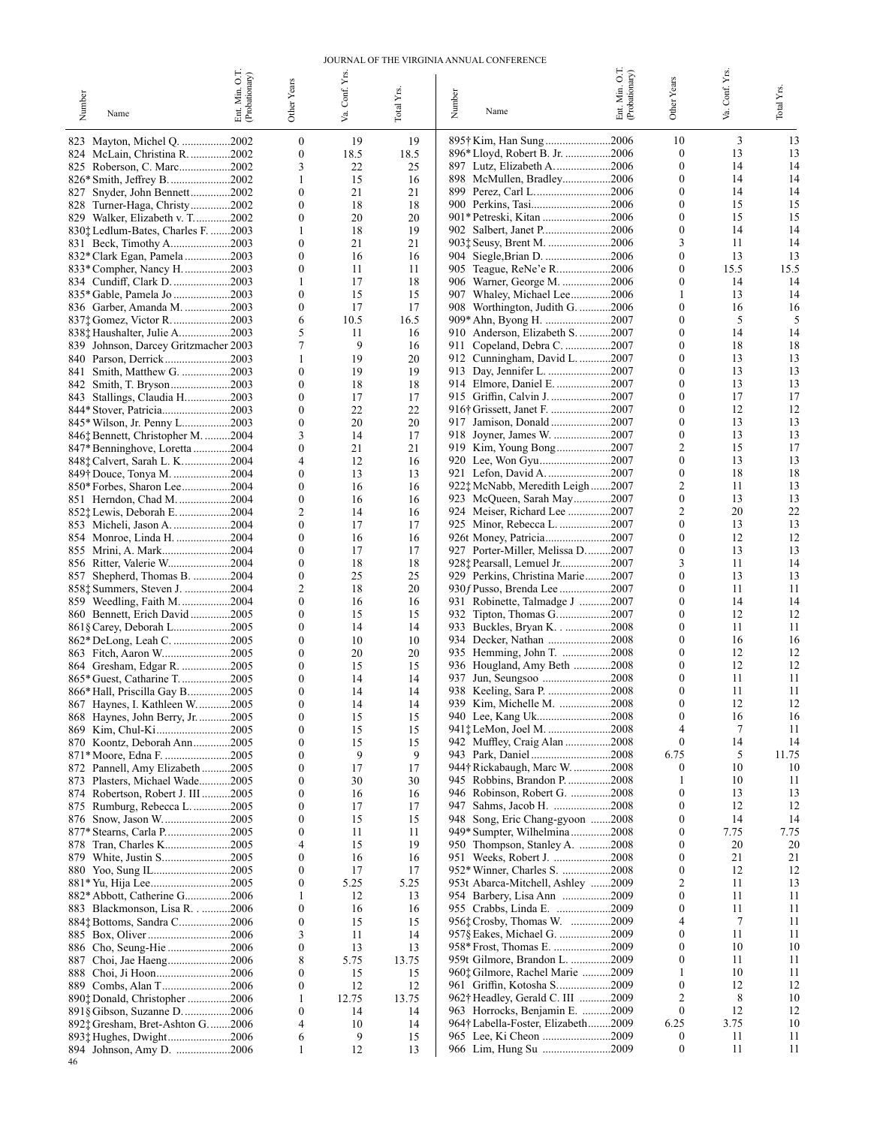#### JOURNAL OF THE VIRGINIA ANNUAL CONFERENCE

| Number | Name                                                                | Ent. Min. O.T.<br>(Probationary) | Other Years                          | Conf. Yrs.<br>Š | Total Yrs.  | Number<br>Name                                                  | Ent. Min. O.T.<br>(Probationary) | Other Years                      | Conf. Yrs.<br>Š. | Total Yrs. |
|--------|---------------------------------------------------------------------|----------------------------------|--------------------------------------|-----------------|-------------|-----------------------------------------------------------------|----------------------------------|----------------------------------|------------------|------------|
|        | 823 Mayton, Michel Q. 2002                                          |                                  | $\mathbf{0}$                         | 19              | 19          | 895† Kim, Han Sung 2006                                         |                                  | 10                               | 3                | 13         |
|        | 824 McLain, Christina R. 2002                                       |                                  | $\mathbf{0}$                         | 18.5            | 18.5        | 896* Lloyd, Robert B. Jr. 2006                                  |                                  | $\boldsymbol{0}$                 | 13               | 13         |
|        | 825 Roberson, C. Marc2002                                           |                                  | 3<br>1                               | 22<br>15        | 25<br>16    | 897 Lutz, Elizabeth A2006<br>898 McMullen, Bradley2006          |                                  | $\mathbf{0}$<br>$\boldsymbol{0}$ | 14<br>14         | 14<br>14   |
|        | 827 Snyder, John Bennett2002                                        |                                  | $\boldsymbol{0}$                     | 21              | 21          | 899 Perez, Carl L2006                                           |                                  | 0                                | 14               | 14         |
|        | 828 Turner-Haga, Christy2002                                        |                                  | $\boldsymbol{0}$                     | 18              | 18          | 900 Perkins, Tasi2006                                           |                                  | $\overline{0}$                   | 15               | 15         |
|        | 829 Walker, Elizabeth v. T2002                                      |                                  | 0                                    | 20              | 20          | 901* Petreski, Kitan 2006                                       |                                  | 0                                | 15               | 15         |
|        | 830; Ledlum-Bates, Charles F. 2003                                  |                                  | 1<br>$\mathbf{0}$                    | 18<br>21        | 19<br>21    | 903: Seusy, Brent M. 2006                                       |                                  | $\boldsymbol{0}$<br>3            | 14<br>11         | 14<br>14   |
|        | 831 Beck, Timothy A2003<br>832* Clark Egan, Pamela 2003             |                                  | $\boldsymbol{0}$                     | 16              | 16          | 904 Siegle, Brian D. 2006                                       |                                  | $\boldsymbol{0}$                 | 13               | 13         |
|        | 833* Compher, Nancy H2003                                           |                                  | 0                                    | 11              | 11          | 905 Teague, ReNe'e R2006                                        |                                  | $\mathbf{0}$                     | 15.5             | 15.5       |
|        | 834 Cundiff, Clark D. 2003                                          |                                  | 1                                    | 17              | 18          | 906 Warner, George M. 2006                                      |                                  | $\mathbf{0}$                     | 14               | 14         |
|        | 835* Gable, Pamela Jo 2003                                          |                                  | $\boldsymbol{0}$                     | 15              | 15          | 907 Whaley, Michael Lee2006                                     |                                  | 1                                | 13<br>16         | 14         |
|        | 836 Garber, Amanda M. 2003<br>837‡ Gomez, Victor R2003              |                                  | 0<br>6                               | 17<br>10.5      | 17<br>16.5  | 908 Worthington, Judith G. 2006<br>909* Ahn, Byong H. 2007      |                                  | $\mathbf{0}$<br>$\mathbf{0}$     | 5                | 16<br>5    |
|        | 838† Haushalter, Julie A2003                                        |                                  | 5                                    | 11              | 16          | 910 Anderson, Elizabeth S. 2007                                 |                                  | $\mathbf{0}$                     | 14               | 14         |
|        | 839 Johnson, Darcey Gritzmacher 2003                                |                                  | 7                                    | 9               | 16          | 911 Copeland, Debra C. 2007                                     |                                  | $\theta$                         | 18               | 18         |
|        | 840 Parson, Derrick2003                                             |                                  | 1                                    | 19              | 20          | 912 Cunningham, David L. 2007                                   |                                  | $\mathbf{0}$                     | 13               | 13         |
|        | 841 Smith, Matthew G. 2003                                          |                                  | $\mathbf{0}$<br>$\mathbf{0}$         | 19<br>18        | 19<br>18    | 913 Day, Jennifer L. 2007<br>914 Elmore, Daniel E. 2007         |                                  | 0<br>$\mathbf{0}$                | 13<br>13         | 13<br>13   |
|        | 843 Stallings, Claudia H2003                                        |                                  | 0                                    | 17              | 17          | 915 Griffin, Calvin J. 2007                                     |                                  | $\theta$                         | 17               | 17         |
|        | 844* Stover, Patricia2003                                           |                                  | $\mathbf{0}$                         | 22              | 22          | 916† Grissett, Janet F. 2007                                    |                                  | $\mathbf{0}$                     | 12               | 12         |
|        | 845* Wilson, Jr. Penny L2003                                        |                                  | 0                                    | 20              | 20          | 917 Jamison, Donald2007                                         |                                  | 0                                | 13               | 13         |
|        | 846† Bennett, Christopher M. 2004                                   |                                  | 3<br>0                               | 14<br>21        | 17<br>21    | 918 Joyner, James W. 2007<br>919 Kim, Young Bong2007            |                                  | $\boldsymbol{0}$<br>2            | 13<br>15         | 13<br>17   |
|        | 847* Benninghove, Loretta 2004<br>848‡ Calvert, Sarah L. K2004      |                                  | 4                                    | 12              | 16          | 920 Lee, Won Gyu2007                                            |                                  | $\mathbf{0}$                     | 13               | 13         |
|        | 849† Douce, Tonya M. 2004                                           |                                  | 0                                    | 13              | 13          | 921 Lefon, David A. 2007                                        |                                  | $\mathbf{0}$                     | 18               | 18         |
|        | 850* Forbes, Sharon Lee2004                                         |                                  | $\mathbf{0}$                         | 16              | 16          | 922‡ McNabb, Meredith Leigh2007                                 |                                  | 2                                | 11               | 13         |
|        | 851 Herndon, Chad M. 2004                                           |                                  | $\mathbf{0}$                         | 16              | 16          | 923 McQueen, Sarah May2007                                      |                                  | $\mathbf{0}$                     | 13<br>20         | 13         |
|        | 852; Lewis, Deborah E. 2004<br>853 Micheli, Jason A. 2004           |                                  | 2<br>0                               | 14<br>17        | 16<br>17    | 924 Meiser, Richard Lee 2007<br>925 Minor, Rebecca L. 2007      |                                  | 2<br>0                           | 13               | 22<br>13   |
|        | 854 Monroe, Linda H. 2004                                           |                                  | $\mathbf{0}$                         | 16              | 16          | 926t Money, Patricia2007                                        |                                  | $\mathbf{0}$                     | 12               | 12         |
|        | 855 Mrini, A. Mark2004                                              |                                  | 0                                    | 17              | 17          | 927 Porter-Miller, Melissa D2007                                |                                  | $\mathbf{0}$                     | 13               | 13         |
|        | 856 Ritter, Valerie W2004                                           |                                  | $\mathbf{0}$                         | 18              | 18          | 928‡ Pearsall, Lemuel Jr2007                                    |                                  | 3                                | 11               | 14         |
|        | 857 Shepherd, Thomas B. 2004                                        |                                  | 0<br>2                               | 25<br>18        | 25<br>20    | 929 Perkins, Christina Marie2007<br>930f Pusso, Brenda Lee 2007 |                                  | 0<br>$\mathbf{0}$                | 13<br>11         | 13<br>11   |
|        | 8581 Summers, Steven J. 2004<br>859 Weedling, Faith M2004           |                                  | 0                                    | 16              | 16          | 931 Robinette, Talmadge J 2007                                  |                                  | $\mathbf{0}$                     | 14               | 14         |
|        | 860 Bennett, Erich David2005                                        |                                  | $\mathbf{0}$                         | 15              | 15          | 932 Tipton, Thomas G2007                                        |                                  | $\mathbf{0}$                     | 12               | 12         |
|        | 861§ Carey, Deborah L2005                                           |                                  | $\mathbf{0}$                         | 14              | 14          | 933 Buckles, Bryan K2008                                        |                                  | 0                                | 11               | 11         |
|        | 862* DeLong, Leah C. 2005                                           |                                  | $\mathbf{0}$<br>$\mathbf{0}$         | 10<br>20        | 10<br>20    | 934 Decker, Nathan 2008<br>935 Hemming, John T. 2008            |                                  | $\mathbf{0}$<br>0                | 16<br>12         | 16<br>12   |
|        | 864 Gresham, Edgar R. 2005                                          |                                  | $\mathbf{0}$                         | 15              | 15          | 936 Hougland, Amy Beth 2008                                     |                                  | 0                                | 12               | 12         |
|        | 865* Guest, Catharine T2005                                         |                                  | 0                                    | 14              | 14          | 937 Jun, Seungsoo 2008                                          |                                  | 0                                | 11               | 11         |
|        | 866* Hall, Priscilla Gay B2005                                      |                                  | 0                                    | 14              | 14          |                                                                 |                                  | $\mathbf{0}$                     | 11               | 11         |
|        | 867 Haynes, I. Kathleen W2005                                       |                                  | ∩                                    | 14              | 14          | 939 Kim, Michelle M. 2008                                       |                                  | 0                                | 12               | 12         |
|        | 868 Haynes, John Berry, Jr. 2005                                    |                                  | $\boldsymbol{0}$<br>0                | 15<br>15        | 15<br>15    | 940 Lee, Kang Uk2008<br>941† LeMon, Joel M. 2008                |                                  | $\mathbf{0}$<br>4                | 16<br>7          | 16<br>11   |
|        | 870 Koontz, Deborah Ann2005                                         |                                  | 0                                    | 15              | 15          | 942 Muffley, Craig Alan 2008                                    |                                  | $\boldsymbol{0}$                 | 14               | 14         |
|        | 871* Moore, Edna F. 2005                                            |                                  | 0                                    | 9               | 9           |                                                                 |                                  | 6.75                             | 5                | 11.75      |
|        | 872 Pannell, Amy Elizabeth2005                                      |                                  | $\boldsymbol{0}$                     | 17              | 17          | 944† Rickabaugh, Marc W. 2008                                   |                                  | $\mathbf{0}$                     | 10               | 10         |
|        | 873 Plasters, Michael Wade2005<br>874 Robertson, Robert J. III 2005 |                                  | 0<br>0                               | 30<br>16        | 30<br>16    | 945 Robbins, Brandon P. 2008<br>946 Robinson, Robert G. 2008    |                                  | 1<br>$\bf{0}$                    | 10<br>13         | 11<br>13   |
|        | 875 Rumburg, Rebecca L2005                                          |                                  | 0                                    | 17              | 17          | 947 Sahms, Jacob H. 2008                                        |                                  | $\theta$                         | 12               | 12         |
|        |                                                                     |                                  | 0                                    | 15              | 15          | 948 Song, Eric Chang-gyoon 2008                                 |                                  | $\mathbf{0}$                     | 14               | 14         |
|        | 877* Stearns, Carla P2005                                           |                                  | 0                                    | 11              | 11          | 949* Sumpter, Wilhelmina2008                                    |                                  | 0                                | 7.75             | 7.75       |
|        | 878 Tran, Charles K2005<br>879 White, Justin S2005                  |                                  | 4<br>0                               | 15<br>16        | 19<br>16    | 950 Thompson, Stanley A. 2008<br>951 Weeks, Robert J. 2008      |                                  | $\theta$<br>0                    | 20<br>21         | 20<br>21   |
|        |                                                                     |                                  | 0                                    | 17              | 17          | 952* Winner, Charles S. 2008                                    |                                  | 0                                | 12               | 12         |
|        |                                                                     |                                  | 0                                    | 5.25            | 5.25        | 953t Abarca-Mitchell, Ashley 2009                               |                                  |                                  | 11               | 13         |
|        | 882* Abbott, Catherine G2006                                        |                                  | 1                                    | 12              | 13          | 954 Barbery, Lisa Ann 2009                                      |                                  | 0                                | 11               | 11         |
|        | 883 Blackmonson, Lisa R2006                                         |                                  | $\boldsymbol{0}$<br>$\boldsymbol{0}$ | 16              | 16          | 955 Crabbs, Linda E. 2009<br>956: Crosby, Thomas W. 2009        |                                  | 0                                | 11<br>7          | 11<br>11   |
|        | 884; Bottoms, Sandra C2006                                          |                                  | 3                                    | 15<br>11        | 15<br>14    | 957§ Eakes, Michael G. 2009                                     |                                  | $\mathbf{0}$                     | 11               | 11         |
|        |                                                                     |                                  | $\boldsymbol{0}$                     | 13              | 13          | 958* Frost, Thomas E. 2009                                      |                                  | $\mathbf{0}$                     | 10               | 10         |
|        | 887 Choi, Jae Haeng2006                                             |                                  | 8                                    | 5.75            | 13.75       | 959t Gilmore, Brandon L. 2009                                   |                                  | 0                                | 11               | 11         |
|        |                                                                     |                                  | 0                                    | 15              | 15          | 960‡ Gilmore, Rachel Marie 2009                                 |                                  |                                  | 10               | 11         |
|        | 890; Donald, Christopher 2006                                       |                                  | 0<br>1                               | 12<br>12.75     | 12<br>13.75 | 961 Griffin, Kotosha S2009<br>962† Headley, Gerald C. III 2009  |                                  | $\mathbf{0}$<br>2                | 12<br>8          | 12<br>10   |
|        | 891§ Gibson, Suzanne D. 2006                                        |                                  | 0                                    | 14              | 14          | 963 Horrocks, Benjamin E. 2009                                  |                                  | $\mathbf{0}$                     | 12               | 12         |
|        | 892: Gresham, Bret-Ashton G2006                                     |                                  | 4                                    | 10              | 14          | 964† Labella-Foster, Elizabeth2009                              |                                  | 6.25                             | 3.75             | 10         |
|        |                                                                     |                                  | 6                                    | 9               | 15          |                                                                 |                                  | $\mathbf{0}$                     | 11               | 11         |
| 46     | 894 Johnson, Amy D. 2006                                            |                                  | 1                                    | 12              | 13          | 966 Lim, Hung Su 2009                                           |                                  | $\boldsymbol{0}$                 | 11               | 11         |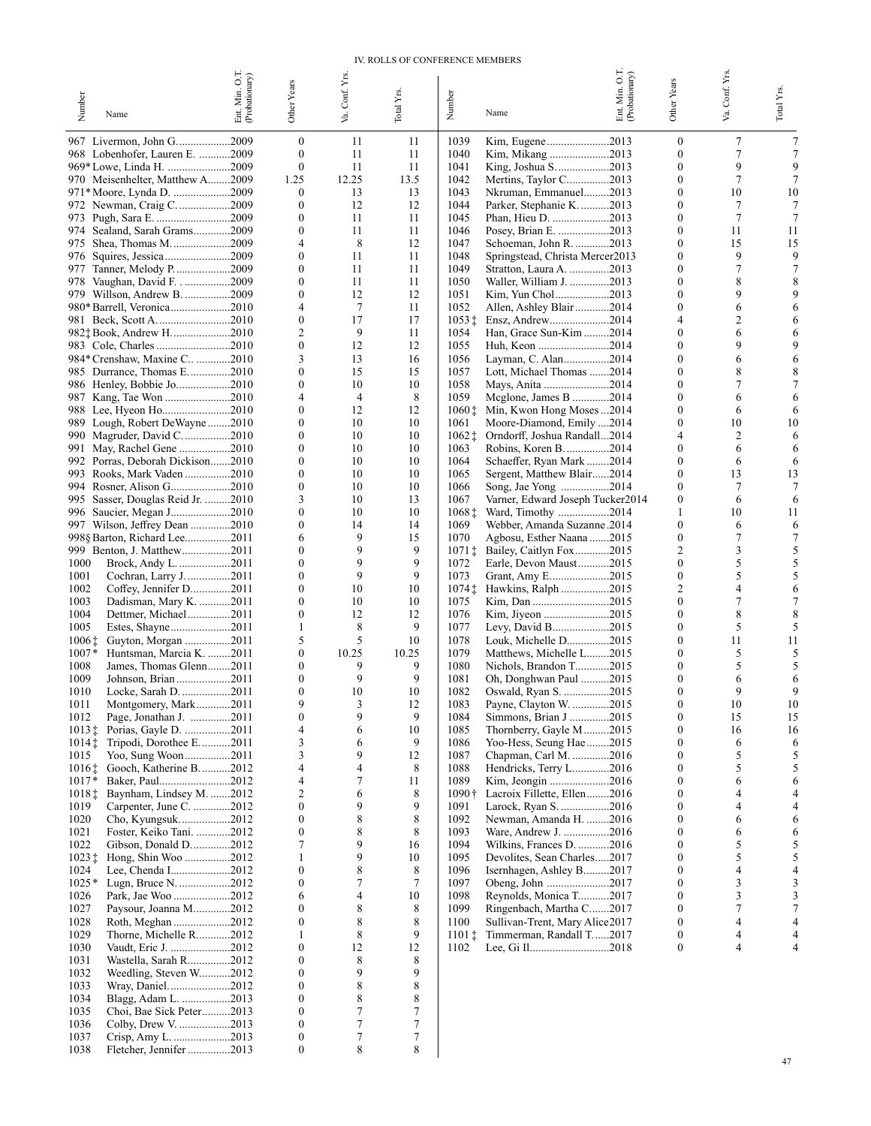#### IV. ROLLS OF CONFERENCE MEMBERS

| Number                                 | Name                                                          | Ent. Min. O.T.<br>(Probationary) | Other Years                          | Conf. Yrs | Total Y <sub>IS</sub> . | Number                       | 50<br>Ent. Min. O.T<br>(Probationary)<br>Name               | Other Years                          | Conf. Yrs.<br>Š. | Total Yrs. |
|----------------------------------------|---------------------------------------------------------------|----------------------------------|--------------------------------------|-----------|-------------------------|------------------------------|-------------------------------------------------------------|--------------------------------------|------------------|------------|
|                                        |                                                               |                                  |                                      | Š.        |                         |                              |                                                             |                                      |                  |            |
|                                        | 967 Livermon, John G2009<br>968 Lobenhofer, Lauren E. 2009    |                                  | $\boldsymbol{0}$<br>$\mathbf{0}$     | 11<br>11  | 11<br>11                | 1039<br>1040                 | Kim, Eugene2013                                             | $\boldsymbol{0}$<br>$\mathbf{0}$     | 7<br>7           | 7<br>7     |
|                                        | 969*Lowe, Linda H. 2009                                       |                                  | $\mathbf{0}$                         | 11        | 11                      | 1041                         | Kim, Mikang 2013<br>King, Joshua S2013                      | $\boldsymbol{0}$                     | 9                | 9          |
|                                        | 970 Meisenhelter, Matthew A2009                               |                                  | 1.25                                 | 12.25     | 13.5                    | 1042                         | Mertins, Taylor C2013                                       | $\boldsymbol{0}$                     | 7                |            |
|                                        | 971* Moore, Lynda D. 2009                                     |                                  | 0                                    | 13        | 13                      | 1043                         | Nkruman, Emmanuel2013                                       | $\theta$                             | 10               | 10         |
| 973                                    | 972 Newman, Craig C. 2009<br>Pugh, Sara E. 2009               |                                  | $\boldsymbol{0}$<br>$\boldsymbol{0}$ | 12<br>11  | 12<br>11                | 1044<br>1045                 | Parker, Stephanie K. 2013<br>Phan, Hieu D. 2013             | $\mathbf{0}$<br>0                    | 7<br>7           | 7          |
| 974                                    | Sealand, Sarah Grams2009                                      |                                  | $\boldsymbol{0}$                     | 11        | 11                      | 1046                         | Posey, Brian E. 2013                                        | $\boldsymbol{0}$                     | 11               | 11         |
|                                        | 975 Shea, Thomas M2009                                        |                                  | 4                                    | 8         | 12                      | 1047                         | Schoeman, John R. 2013                                      | $\boldsymbol{0}$                     | 15               | 15         |
|                                        | 976 Squires, Jessica2009                                      |                                  | $\boldsymbol{0}$<br>$\boldsymbol{0}$ | 11<br>11  | 11<br>11                | 1048<br>1049                 | Springstead, Christa Mercer2013                             | $\mathbf{0}$<br>0                    | 9<br>7           | 9          |
|                                        | 977 Tanner, Melody P2009<br>978 Vaughan, David F2009          |                                  | $\boldsymbol{0}$                     | 11        | 11                      | 1050                         | Stratton, Laura A. 2013<br>Waller, William J. 2013          | $\boldsymbol{0}$                     | 8                |            |
|                                        | 979 Willson, Andrew B. 2009                                   |                                  | $\boldsymbol{0}$                     | 12        | 12                      | 1051                         | Kim, Yun Chol2013                                           | $\theta$                             | 9                |            |
|                                        | 980* Barrell, Veronica2010                                    |                                  | 4                                    | 7         | 11                      | 1052                         | Allen, Ashley Blair 2014                                    | $\mathbf{0}$                         | 6                |            |
|                                        | 982; Book, Andrew H2010                                       |                                  | $\boldsymbol{0}$<br>2                | 17<br>9   | 17<br>11                | $1053 \,$ $\ddagger$<br>1054 | Ensz, Andrew2014<br>Han, Grace Sun-Kim 2014                 | 4<br>0                               | 2<br>6           |            |
|                                        |                                                               |                                  | $\boldsymbol{0}$                     | 12        | 12                      | 1055                         | Huh, Keon 2014                                              | $\theta$                             |                  |            |
|                                        | 984* Crenshaw, Maxine C 2010                                  |                                  | 3                                    | 13        | 16                      | 1056                         | Layman, C. Alan2014                                         | $\mathbf{0}$                         | 6                | 6          |
|                                        | 985 Durrance, Thomas E2010                                    |                                  | $\boldsymbol{0}$<br>$\boldsymbol{0}$ | 15<br>10  | 15<br>10                | 1057<br>1058                 | Lott, Michael Thomas 2014                                   | 0<br>0                               | 8                |            |
|                                        | 986 Henley, Bobbie Jo2010<br>987 Kang, Tae Won 2010           |                                  | 4                                    | 4         | 8                       | 1059                         | Mays, Anita 2014<br>Mcglone, James B 2014                   | $\theta$                             |                  |            |
|                                        | 988 Lee, Hyeon Ho2010                                         |                                  | $\boldsymbol{0}$                     | 12        | 12                      | 1060‡                        | Min, Kwon Hong Moses 2014                                   | 0                                    | 6                |            |
|                                        | 989 Lough, Robert DeWayne 2010                                |                                  | $\mathbf{0}$                         | 10        | 10                      | 1061                         | Moore-Diamond, Emily 2014                                   | 0                                    | 10               | 10         |
|                                        | 990 Magruder, David C2010                                     |                                  | $\boldsymbol{0}$<br>$\boldsymbol{0}$ | 10<br>10  | 10<br>10                | 1062‡<br>1063                | Orndorff, Joshua Randall2014                                | 4<br>0                               | 2<br>6           | 6<br>6     |
| 991<br>992                             | May, Rachel Gene 2010<br>Porras, Deborah Dickison2010         |                                  | $\boldsymbol{0}$                     | 10        | 10                      | 1064                         | Robins, Koren B. 2014<br>Schaeffer, Ryan Mark 2014          | $\boldsymbol{0}$                     | 6                | 6          |
|                                        | 993 Rooks, Mark Vaden 2010                                    |                                  | $\boldsymbol{0}$                     | 10        | 10                      | 1065                         | Sergent, Matthew Blair2014                                  | $\boldsymbol{0}$                     | 13               | 13         |
|                                        | 994 Rosner, Alison G2010                                      |                                  | $\boldsymbol{0}$                     | 10        | 10                      | 1066                         | Song, Jae Yong 2014                                         | $\boldsymbol{0}$                     | 7                | 7          |
|                                        | 995 Sasser, Douglas Reid Jr. 2010<br>996 Saucier, Megan J2010 |                                  | 3<br>$\boldsymbol{0}$                | 10<br>10  | 13<br>10                | 1067<br>1068‡                | Varner, Edward Joseph Tucker2014<br>Ward, Timothy 2014      | $\boldsymbol{0}$<br>1                | 6<br>10          | 6<br>11    |
|                                        | 997 Wilson, Jeffrey Dean 2010                                 |                                  | $\boldsymbol{0}$                     | 14        | 14                      | 1069                         | Webber, Amanda Suzanne.2014                                 | $\boldsymbol{0}$                     | 6                | 6          |
|                                        | 998§ Barton, Richard Lee2011                                  |                                  | 6                                    | 9         | 15                      | 1070                         | Agbosu, Esther Naana 2015                                   | $\boldsymbol{0}$                     | 7                |            |
|                                        | 999 Benton, J. Matthew2011                                    |                                  | $\boldsymbol{0}$                     | 9         | 9                       | $1071 \ddagger$              | Bailey, Caitlyn Fox2015                                     | 2                                    | 3                | 5          |
| 1000<br>1001                           | Brock, Andy L. 2011<br>Cochran, Larry J. 2011                 |                                  | $\boldsymbol{0}$<br>$\boldsymbol{0}$ | 9<br>9    | 9<br>9                  | 1072<br>1073                 | Earle, Devon Maust2015                                      | $\boldsymbol{0}$<br>$\boldsymbol{0}$ | 5<br>5           | 5<br>5     |
| 1002                                   | Coffey, Jennifer D2011                                        |                                  | $\boldsymbol{0}$                     | 10        | 10                      | $1074$ $\dagger$             | Hawkins, Ralph 2015                                         | 2                                    | 4                | 6          |
| 1003                                   | Dadisman, Mary K. 2011                                        |                                  | $\boldsymbol{0}$                     | 10        | 10                      | 1075                         |                                                             | 0                                    | 7                |            |
| 1004                                   | Dettmer, Michael2011                                          |                                  | $\boldsymbol{0}$                     | 12        | 12<br>9                 | 1076                         |                                                             | $\boldsymbol{0}$                     | 8                | 8          |
| 1005<br>$1006 \ddagger$                | Estes, Shayne2011<br>Guyton, Morgan 2011                      |                                  | 1<br>5                               | 8<br>5    | 10                      | 1077<br>1078                 | Levy, David B2015<br>Louk, Michelle D2015                   | $\boldsymbol{0}$<br>$\bf{0}$         | 5<br>11          | 5<br>11    |
| $1007*$                                | Huntsman, Marcia K. 2011                                      |                                  | $\boldsymbol{0}$                     | 10.25     | 10.25                   | 1079                         | Matthews, Michelle L2015                                    | $\theta$                             | 5                | 5          |
| 1008                                   | James, Thomas Glenn2011                                       |                                  | $\boldsymbol{0}$                     | 9         | 9                       | 1080                         | Nichols, Brandon T2015                                      | 0                                    | 5                |            |
| 1009<br>1010                           | Johnson, Brian2011<br>Locke, Sarah D. 2011                    |                                  | $\boldsymbol{0}$<br>$\boldsymbol{0}$ | 9<br>10   | 9<br>10                 | 1081<br>1082                 | Oh, Donghwan Paul 2015<br>Oswald, Ryan S. 2015              | 0<br>$\boldsymbol{0}$                | 6<br>9           | 6          |
| 1011                                   | Montgomery, Mark2011                                          |                                  | Q                                    | 3         | 12                      | 1083                         | Payne, Clayton W. 2015                                      | $\Omega$                             | 10               | 10         |
| 1012                                   | Page, Jonathan J. 2011                                        |                                  | $\boldsymbol{0}$                     | 9         | 9                       | 1084                         | Simmons, Brian J 2015                                       | $\boldsymbol{0}$                     | 15               | 15         |
| $1013 \,$ $\ddagger$                   | Porias, Gayle D. 2011                                         |                                  | 4                                    | 6         | 10                      | 1085                         | Thornberry, Gayle M2015                                     | $\boldsymbol{0}$                     | 16               | 16         |
| $1014$ $\dagger$<br>1015               | Tripodi, Dorothee E2011<br>Yoo, Sung Woon2011                 |                                  | 3<br>3                               | 6<br>9    | 9<br>12                 | 1086<br>1087                 | Yoo-Hess, Seung Hae 2015<br>Chapman, Carl M. 2016           | $\boldsymbol{0}$<br>$\boldsymbol{0}$ | 6<br>5           | 6<br>5     |
| $1016$ <sup><math>\dagger</math></sup> | Gooch, Katherine B2012                                        |                                  | 4                                    | 4         | 8                       | 1088                         | Hendricks, Terry L2016                                      | 0                                    | 5                | 5          |
| $1017*$                                | Baker, Paul2012                                               |                                  | 4                                    | 7         | 11                      | 1089                         | Kim, Jeongin 2016                                           | $\boldsymbol{0}$                     | 6                | 6          |
| 10181<br>1019                          | Baynham, Lindsey M. 2012                                      |                                  | $\overline{c}$<br>$\boldsymbol{0}$   | 6<br>9    | 8<br>9                  | $1090\dagger$<br>1091        | Lacroix Fillette, Ellen2016                                 | 0<br>$\boldsymbol{0}$                | 4<br>4           | 4          |
| 1020                                   | Carpenter, June C. 2012<br>Cho, Kyungsuk2012                  |                                  | $\boldsymbol{0}$                     | 8         | 8                       | 1092                         | Larock, Ryan S. 2016<br>Newman, Amanda H. 2016              | 0                                    | 6                | 6          |
| 1021                                   | Foster, Keiko Tani. 2012                                      |                                  | $\boldsymbol{0}$                     | 8         | 8                       | 1093                         | Ware, Andrew J. 2016                                        | $\boldsymbol{0}$                     | 6                | 6          |
| 1022                                   | Gibson, Donald D2012                                          |                                  | 7                                    | 9         | 16                      | 1094                         | Wilkins, Frances D. 2016                                    | 0                                    | 5                | 5          |
| $1023 \pm$<br>1024                     | Hong, Shin Woo 2012<br>Lee, Chenda I2012                      |                                  | 1<br>$\boldsymbol{0}$                | 9<br>8    | 10<br>8                 | 1095<br>1096                 | Devolites, Sean Charles2017<br>Isernhagen, Ashley B2017     | $\boldsymbol{0}$<br>0                | 5<br>4           | 5<br>4     |
| $1025*$                                |                                                               |                                  | $\boldsymbol{0}$                     | 7         | 7                       | 1097                         |                                                             | $\boldsymbol{0}$                     | 3                | 3          |
| 1026                                   | Park, Jae Woo 2012                                            |                                  | 6                                    | 4         | 10                      | 1098                         | Reynolds, Monica T2017                                      | $\boldsymbol{0}$                     | 3                | 3          |
| 1027                                   | Paysour, Joanna M2012                                         |                                  | $\boldsymbol{0}$                     | 8         | 8                       | 1099                         | Ringenbach, Martha C2017                                    | $\boldsymbol{0}$                     | 7                | 7          |
| 1028<br>1029                           | Roth, Meghan2012<br>Thorne, Michelle R2012                    |                                  | $\boldsymbol{0}$<br>1                | 8<br>8    | 8<br>9                  | 1100<br>$1101\ddagger$       | Sullivan-Trent, Mary Alice 2017<br>Timmerman, Randall T2017 | $\boldsymbol{0}$<br>$\boldsymbol{0}$ | 4<br>4           | 4<br>4     |
| 1030                                   | Vaudt, Eric J. 2012                                           |                                  | $\boldsymbol{0}$                     | 12        | 12                      | 1102                         | Lee, Gi Il2018                                              | $\boldsymbol{0}$                     | 4                | 4          |
| 1031                                   | Wastella, Sarah R2012                                         |                                  | $\boldsymbol{0}$                     | 8         | 8                       |                              |                                                             |                                      |                  |            |
| 1032                                   | Weedling, Steven W2012                                        |                                  | $\boldsymbol{0}$<br>$\boldsymbol{0}$ | 9<br>8    | 9<br>8                  |                              |                                                             |                                      |                  |            |
| 1033<br>1034                           | Wray, Daniel2012<br>Blagg, Adam L. 2013                       |                                  | $\boldsymbol{0}$                     | 8         | 8                       |                              |                                                             |                                      |                  |            |
| 1035                                   | Choi, Bae Sick Peter2013                                      |                                  | $\boldsymbol{0}$                     | 7         | 7                       |                              |                                                             |                                      |                  |            |
| 1036                                   | Colby, Drew V. 2013                                           |                                  | $\boldsymbol{0}$                     | $\tau$    | $\tau$                  |                              |                                                             |                                      |                  |            |
| 1037<br>1038                           | Fletcher, Jennifer 2013                                       |                                  | 0<br>$\boldsymbol{0}$                | 7<br>8    | 7<br>8                  |                              |                                                             |                                      |                  |            |
|                                        |                                                               |                                  |                                      |           |                         |                              |                                                             |                                      |                  |            |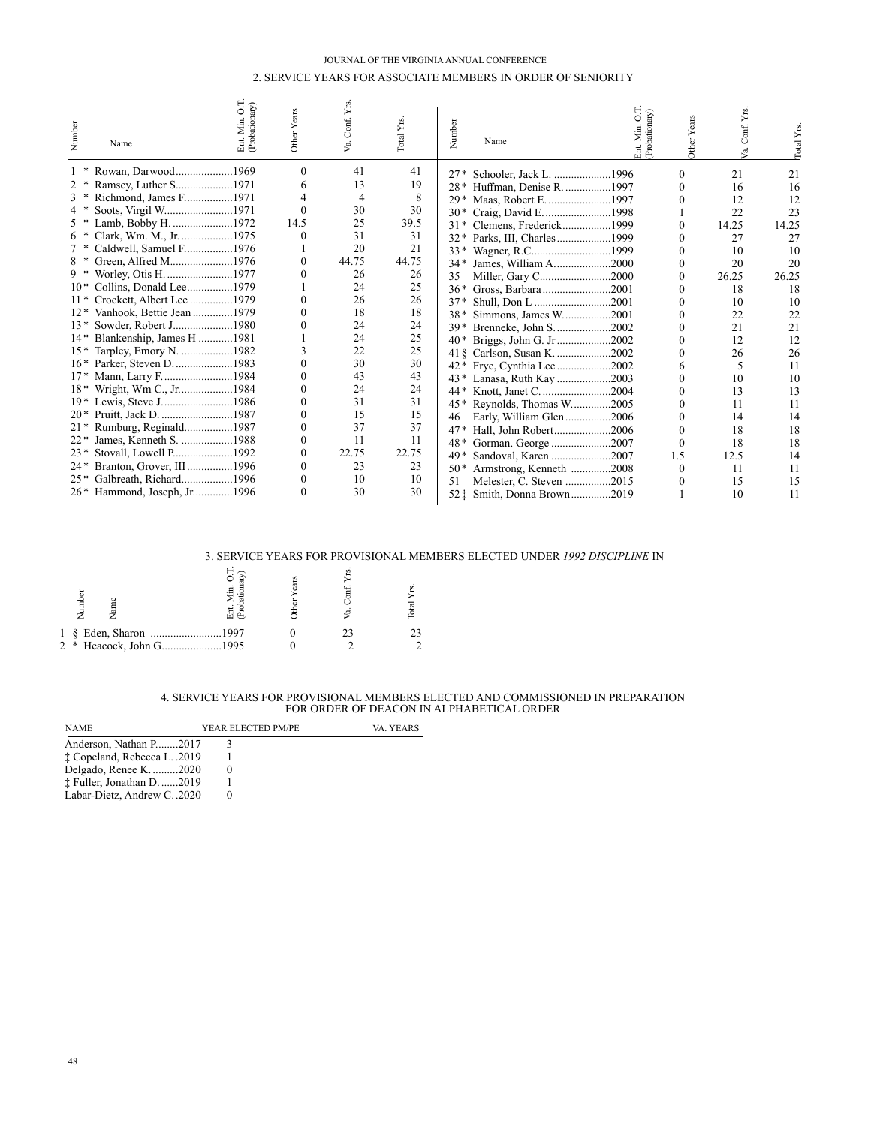## JOURNAL OF THE VIRGINIA ANNUAL CONFERENCE 2. SERVICE YEARS FOR ASSOCIATE MEMBERS IN ORDER OF SENIORITY

| Number | Ent. Min. O.T.<br>(Probationary)<br>Name | Other Years | Va. Conf. Yrs | Total Yrs. | Number | Name                        | int Min. | Other Years | Conf. Yrs | $_{\text{ntal}}$ Y <sub>rs</sub> |
|--------|------------------------------------------|-------------|---------------|------------|--------|-----------------------------|----------|-------------|-----------|----------------------------------|
|        | Rowan, Darwood1969                       | 0           | 41            | 41         | $27*$  | Schooler, Jack L. 1996      |          | 0           | 21        | 21                               |
|        | Ramsey, Luther S1971                     | 6           | 13            | 19         | $28*$  | Huffman, Denise R. 1997     |          |             | 16        | 16                               |
|        | Richmond, James F1971                    |             | 4             | 8          | $29*$  | Maas, Robert E. 1997        |          |             | 12        | 12                               |
|        | Soots, Virgil W1971                      | 0           | 30            | 30         | $30*$  | Craig, David E. 1998        |          |             | 22        | 23                               |
|        | Lamb, Bobby H. 1972                      | 14.5        | 25            | 39.5       | $31*$  | Clemens, Frederick1999      |          |             | 14.25     | 14.25                            |
| $6*$   | Clark, Wm. M., Jr. 1975                  |             | 31            | 31         | $32*$  | Parks, III, Charles1999     |          |             | 27        | 27                               |
|        | Caldwell, Samuel F1976                   |             | 20            | 21         |        |                             |          |             | 10        | 10                               |
| 8 *    | Green, Alfred M1976                      | 0           | 44.75         | 44.75      | $34*$  | James, William A2000        |          |             | 20        | 20                               |
|        | Worley, Otis H. 1977                     |             | 26            | 26         | 35     | Miller, Gary C2000          |          |             | 26.25     | 26.25                            |
|        | 10* Collins, Donald Lee1979              |             | 24            | 25         | $36*$  | Gross, Barbara2001          |          |             | 18        | 18                               |
| $11*$  | Crockett, Albert Lee 1979                |             | 26            | 26         | $37*$  | Shull, Don L 2001           |          |             | 10        | 10                               |
| $12*$  | Vanhook, Bettie Jean 1979                |             | 18            | 18         | $38*$  | Simmons, James W2001        |          |             | 22        | 22                               |
| $13*$  | Sowder, Robert J1980                     |             | 24            | 24         | $39*$  | Brenneke, John S2002        |          |             | 21        | 21                               |
|        | 14* Blankenship, James H 1981            |             | 24            | 25         | $40*$  | Briggs, John G. Jr2002      |          |             | 12        | 12                               |
| $15*$  | Tarpley, Emory N. 1982                   |             | 22            | 25         |        | 41 § Carlson, Susan K. 2002 |          |             | 26        | 26                               |
|        | 16* Parker, Steven D. 1983               |             | 30            | 30         | 42 *   | Frye, Cynthia Lee2002       |          |             | 5         | 11                               |
|        | 17* Mann, Larry F1984                    |             | 43            | 43         |        | Lanasa, Ruth Kay 2003       |          |             | 10        | 10                               |
| $18*$  | Wright, Wm C., Jr1984                    |             | 24            | 24         | 44*    |                             |          |             | 13        | 13                               |
|        | 19* Lewis, Steve J1986                   |             | 31            | 31         | 45*    | Reynolds, Thomas W2005      |          |             | 11        |                                  |
|        | 20* Pruitt, Jack D. 1987                 |             | 15            | 15         | 46     | Early, William Glen2006     |          |             | 14        | 14                               |
|        | 21* Rumburg, Reginald1987                | 0           | 37            | 37         | $47*$  | Hall, John Robert2006       |          |             | 18        | 18                               |
| $22*$  | James, Kenneth S. 1988                   | 0           | 11            | 11         | $48*$  | Gorman. George 2007         |          |             | 18        | 18                               |
| $23*$  | Stovall, Lowell P1992                    | 0           | 22.75         | 22.75      | 49*    | Sandoval, Karen 2007        |          | 1.5         | 12.5      | 14                               |
|        | 24* Branton, Grover, III1996             | 0           | 23            | 23         | $50*$  | Armstrong, Kenneth 2008     |          |             | 11        |                                  |
|        | 25* Galbreath, Richard1996               | 0           | 10            | 10         | 51     | Melester, C. Steven 2015    |          |             | 15        | 15                               |
|        | 26* Hammond, Joseph, Jr1996              |             | 30            | 30         |        | 52: Smith, Donna Brown2019  |          |             | 10        | 11                               |

#### 3. SERVICE YEARS FOR PROVISIONAL MEMBERS ELECTED UNDER *1992 DISCIPLINE* IN

|                         | л<br>뵭 |  |  |
|-------------------------|--------|--|--|
|                         |        |  |  |
| 2 * Heacock, John G1995 |        |  |  |

# 4. SERVICE YEARS FOR PROVISIONAL MEMBERS ELECTED AND COMMISSIONED IN PREPARATION FOR ORDER OF DEACON IN ALPHABETICAL ORDER

| <b>NAME</b>                  | YEAR ELECTED PM/PE | VA. YEARS |
|------------------------------|--------------------|-----------|
| Anderson, Nathan P2017       |                    |           |
| t Copeland, Rebecca L. .2019 |                    |           |
| Delgado, Renee K. 2020       |                    |           |
| ‡ Fuller, Jonathan D. 2019   |                    |           |
| Labar-Dietz, Andrew C. .2020 |                    |           |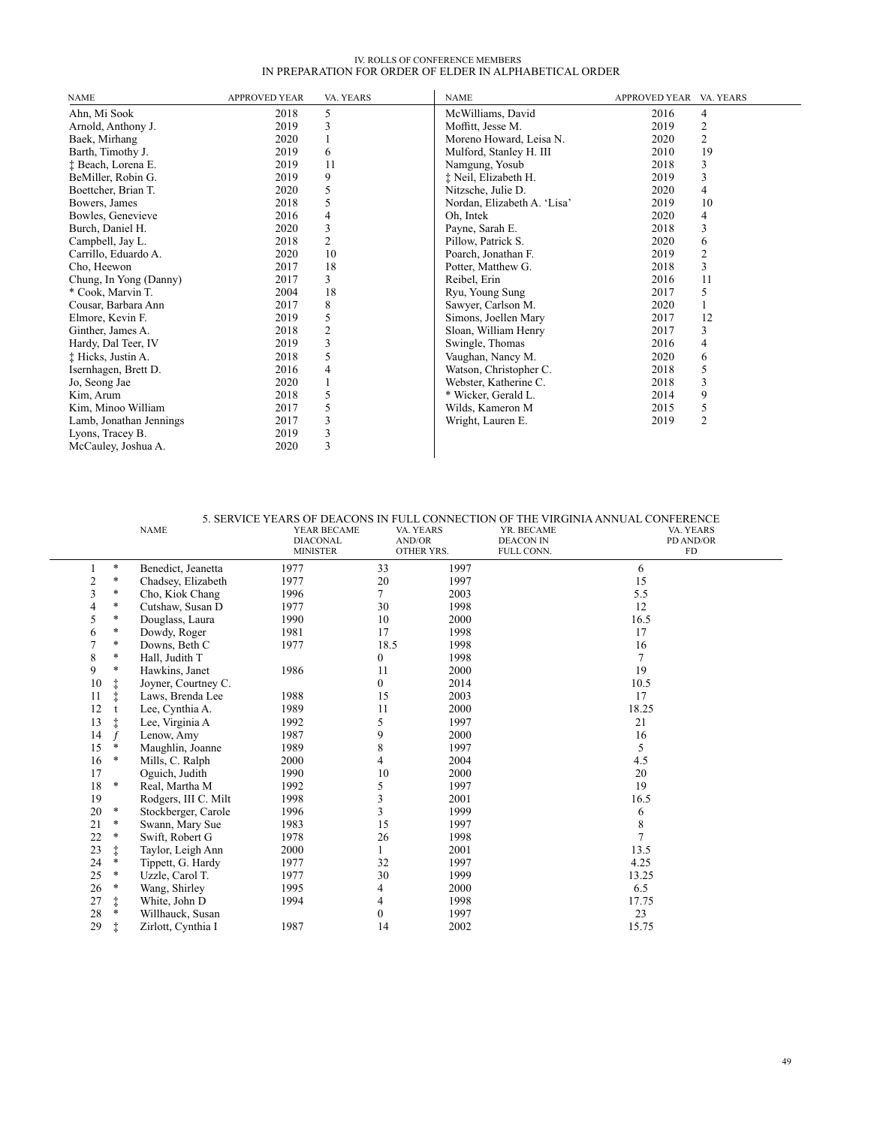# IV. ROLLS OF CONFERENCE MEMBERS<br>IN PREPARATION FOR ORDER OF ELDER IN ALPHABETICAL ORDER

| <b>NAME</b>             | <b>APPROVED YEAR</b> | VA. YEARS      | <b>NAME</b>                 | APPROVED YEAR VA. YEARS |                |
|-------------------------|----------------------|----------------|-----------------------------|-------------------------|----------------|
| Ahn, Mi Sook            | 2018                 | 5              | McWilliams, David           | 2016                    | 4              |
| Arnold, Anthony J.      | 2019                 | 3              | Moffitt, Jesse M.           | 2019                    | 2              |
| Baek, Mirhang           | 2020                 |                | Moreno Howard, Leisa N.     | 2020                    | 2              |
| Barth, Timothy J.       | 2019                 | 6              | Mulford, Stanley H. III     | 2010                    | 19             |
| ‡ Beach, Lorena E.      | 2019                 | 11             | Namgung, Yosub              | 2018                    | 3              |
| BeMiller, Robin G.      | 2019                 | 9              | † Neil, Elizabeth H.        | 2019                    | 3              |
| Boettcher, Brian T.     | 2020                 | 5              | Nitzsche, Julie D.          | 2020                    | 4              |
| Bowers, James           | 2018                 | 5              | Nordan, Elizabeth A. 'Lisa' | 2019                    | 10             |
| Bowles, Genevieve       | 2016                 | 4              | Oh, Intek                   | 2020                    | 4              |
| Burch, Daniel H.        | 2020                 | 3              | Payne, Sarah E.             | 2018                    | 3              |
| Campbell, Jay L.        | 2018                 | 2              | Pillow, Patrick S.          | 2020                    | 6              |
| Carrillo, Eduardo A.    | 2020                 | 10             | Poarch, Jonathan F.         | 2019                    | $\overline{c}$ |
| Cho, Heewon             | 2017                 | 18             | Potter, Matthew G.          | 2018                    | 3              |
| Chung, In Yong (Danny)  | 2017                 | 3              | Reibel, Erin                | 2016                    | 11             |
| * Cook, Marvin T.       | 2004                 | 18             | Ryu, Young Sung             | 2017                    | 5              |
| Cousar, Barbara Ann     | 2017                 | 8              | Sawyer, Carlson M.          | 2020                    |                |
| Elmore, Kevin F.        | 2019                 | 5              | Simons, Joellen Mary        | 2017                    | 12             |
| Ginther, James A.       | 2018                 | $\overline{c}$ | Sloan, William Henry        | 2017                    | 3              |
| Hardy, Dal Teer, IV     | 2019                 | 3              | Swingle, Thomas             | 2016                    | 4              |
| † Hicks, Justin A.      | 2018                 | 5              | Vaughan, Nancy M.           | 2020                    | 6              |
| Isernhagen, Brett D.    | 2016                 | 4              | Watson, Christopher C.      | 2018                    | 5              |
| Jo, Seong Jae           | 2020                 |                | Webster, Katherine C.       | 2018                    | 3              |
| Kim, Arum               | 2018                 | 5              | * Wicker, Gerald L.         | 2014                    | 9              |
| Kim, Minoo William      | 2017                 | 5              | Wilds, Kameron M            | 2015                    | 5              |
| Lamb, Jonathan Jennings | 2017                 | 3              | Wright, Lauren E.           | 2019                    | $\overline{2}$ |
| Lyons, Tracey B.        | 2019                 | 3              |                             |                         |                |
| McCauley, Joshua A.     | 2020                 | 3              |                             |                         |                |

|    |            | <b>NAME</b>          | YEAR BECAME<br><b>DIACONAL</b><br><b>MINISTER</b> | VA. YEARS<br>AND/OR | OTHER YRS. | YR. BECAME<br><b>DEACON IN</b><br>FULL CONN. | 5. SERVICE YEARS OF DEACONS IN FULL CONNECTION OF THE VIRGINIA ANNUAL CONFERENCE<br>VA. YEARS<br>PD AND/OR<br>FD |
|----|------------|----------------------|---------------------------------------------------|---------------------|------------|----------------------------------------------|------------------------------------------------------------------------------------------------------------------|
|    | $\ast$     | Benedict, Jeanetta   | 1977                                              | 33                  | 1997       |                                              | 6                                                                                                                |
| 2  | $\ast$     | Chadsey, Elizabeth   | 1977                                              | 20                  | 1997       |                                              | 15                                                                                                               |
| 3  | *          | Cho, Kiok Chang      | 1996                                              | 7                   | 2003       |                                              | 5.5                                                                                                              |
| 4  | *          | Cutshaw, Susan D     | 1977                                              | 30                  | 1998       |                                              | 12                                                                                                               |
| 5  | *          | Douglass, Laura      | 1990                                              | 10                  | 2000       |                                              | 16.5                                                                                                             |
| 6  | $\ast$     | Dowdy, Roger         | 1981                                              | 17                  | 1998       |                                              | 17                                                                                                               |
|    | *          | Downs, Beth C        | 1977                                              | 18.5                | 1998       |                                              | 16                                                                                                               |
| 8  | $\ast$     | Hall, Judith T       |                                                   | $\overline{0}$      | 1998       |                                              |                                                                                                                  |
| 9  | $\ast$     | Hawkins, Janet       | 1986                                              | 11                  | 2000       |                                              | 19                                                                                                               |
| 10 |            | Joyner, Courtney C.  |                                                   | $\overline{0}$      | 2014       |                                              | 10.5                                                                                                             |
| 11 |            | Laws, Brenda Lee     | 1988                                              | 15                  | 2003       |                                              | 17                                                                                                               |
| 12 |            | Lee, Cynthia A.      | 1989                                              | 11                  | 2000       |                                              | 18.25                                                                                                            |
| 13 |            | Lee, Virginia A      | 1992                                              | 5                   | 1997       |                                              | 21                                                                                                               |
| 14 |            | Lenow, Amy           | 1987                                              | 9                   | 2000       |                                              | 16                                                                                                               |
| 15 | *          | Maughlin, Joanne     | 1989                                              | 8                   | 1997       |                                              | 5                                                                                                                |
| 16 | $\ast$     | Mills, C. Ralph      | 2000                                              | 4                   | 2004       |                                              | 4.5                                                                                                              |
| 17 |            | Oguich, Judith       | 1990                                              | 10                  | 2000       |                                              | 20                                                                                                               |
| 18 | *          | Real, Martha M       | 1992                                              | 5                   | 1997       |                                              | 19                                                                                                               |
| 19 |            | Rodgers, III C. Milt | 1998                                              |                     | 2001       |                                              | 16.5                                                                                                             |
| 20 | $\ast$     | Stockberger, Carole  | 1996                                              | 3                   | 1999       |                                              | 6                                                                                                                |
| 21 | $\ast$     | Swann, Mary Sue      | 1983                                              | 15                  | 1997       |                                              | 8                                                                                                                |
| 22 | $\ast$     | Swift, Robert G      | 1978                                              | 26                  | 1998       |                                              |                                                                                                                  |
| 23 | $\ddagger$ | Taylor, Leigh Ann    | 2000                                              |                     | 2001       |                                              | 13.5                                                                                                             |
| 24 | *          | Tippett, G. Hardy    | 1977                                              | 32                  | 1997       |                                              | 4.25                                                                                                             |
| 25 | $\ast$     | Uzzle, Carol T.      | 1977                                              | 30                  | 1999       |                                              | 13.25                                                                                                            |
| 26 | *          | Wang, Shirley        | 1995                                              | 4                   | 2000       |                                              | 6.5                                                                                                              |
| 27 | $\ddagger$ | White, John D        | 1994                                              | 4                   | 1998       |                                              | 17.75                                                                                                            |
| 28 | *          | Willhauck, Susan     |                                                   | $\overline{0}$      | 1997       |                                              | 23                                                                                                               |
| 29 |            | Zirlott, Cynthia I   | 1987                                              | 14                  | 2002       |                                              | 15.75                                                                                                            |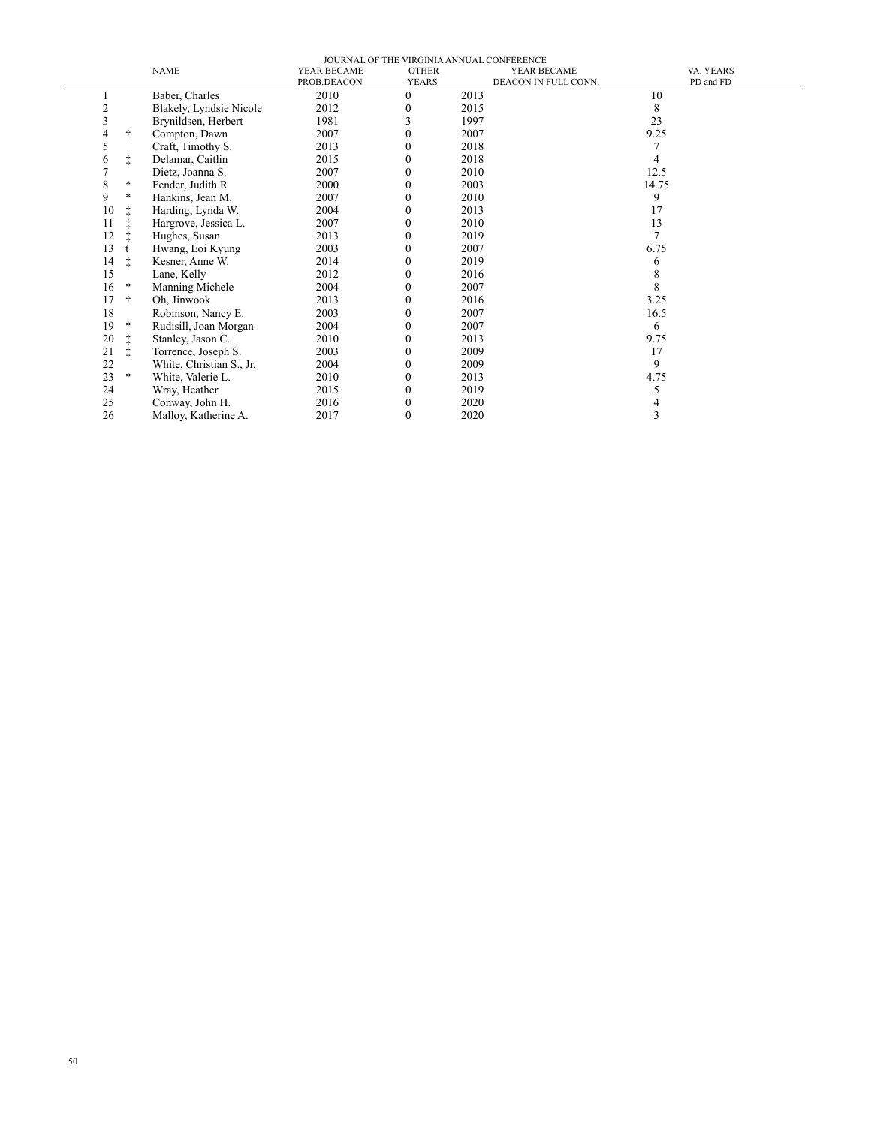| JOURNAL OF THE VIRGINIA ANNUAL CONFERENCE |               |                          |             |              |                      |           |  |
|-------------------------------------------|---------------|--------------------------|-------------|--------------|----------------------|-----------|--|
|                                           |               | <b>NAME</b>              | YEAR BECAME | <b>OTHER</b> | YEAR BECAME          | VA. YEARS |  |
|                                           |               |                          | PROB.DEACON | <b>YEARS</b> | DEACON IN FULL CONN. | PD and FD |  |
|                                           |               | Baber, Charles           | 2010        | $\Omega$     | 2013                 | 10        |  |
| 2                                         |               | Blakely, Lyndsie Nicole  | 2012        |              | 2015                 | 8         |  |
| 3                                         |               | Brynildsen, Herbert      | 1981        |              | 1997                 | 23        |  |
| 4                                         |               | Compton, Dawn            | 2007        | 0            | 2007                 | 9.25      |  |
| 5                                         |               | Craft, Timothy S.        | 2013        |              | 2018                 |           |  |
| 6                                         | ŧ             | Delamar, Caitlin         | 2015        | 0            | 2018                 |           |  |
|                                           |               | Dietz, Joanna S.         | 2007        | 0            | 2010                 | 12.5      |  |
| 8                                         | $\ast$        | Fender, Judith R         | 2000        |              | 2003                 | 14.75     |  |
| 9                                         | $\ast$        | Hankins, Jean M.         | 2007        | $\Omega$     | 2010                 | 9         |  |
| 10                                        |               | Harding, Lynda W.        | 2004        | 0            | 2013                 | 17        |  |
| 11                                        |               | Hargrove, Jessica L.     | 2007        | 0            | 2010                 | 13        |  |
| 12                                        |               | Hughes, Susan            | 2013        | $^{(1)}$     | 2019                 |           |  |
| 13                                        |               | Hwang, Eoi Kyung         | 2003        | 0            | 2007                 | 6.75      |  |
| 14                                        | $\ddagger$    | Kesner, Anne W.          | 2014        | 0            | 2019                 | 6         |  |
| 15                                        |               | Lane, Kelly              | 2012        |              | 2016                 | 8         |  |
| 16                                        | $\ast$        | Manning Michele          | 2004        | $^{(1)}$     | 2007                 | 8         |  |
| 17                                        | $\ddot{\tau}$ | Oh, Jinwook              | 2013        | 0            | 2016                 | 3.25      |  |
| 18                                        |               | Robinson, Nancy E.       | 2003        |              | 2007                 | 16.5      |  |
| 19                                        | $\ast$        | Rudisill, Joan Morgan    | 2004        | $^{(1)}$     | 2007                 | 6         |  |
| 20                                        |               | Stanley, Jason C.        | 2010        | 0            | 2013                 | 9.75      |  |
| 21                                        | ŧ             | Torrence, Joseph S.      | 2003        |              | 2009                 | 17        |  |
| 22                                        |               | White, Christian S., Jr. | 2004        | 0            | 2009                 | 9         |  |
| 23                                        | $\ast$        | White, Valerie L.        | 2010        | 0            | 2013                 | 4.75      |  |
| 24                                        |               | Wray, Heather            | 2015        | 0            | 2019                 | 5         |  |
| 25                                        |               | Conway, John H.          | 2016        |              | 2020                 |           |  |
| 26                                        |               | Malloy, Katherine A.     | 2017        | 0            | 2020                 | 3         |  |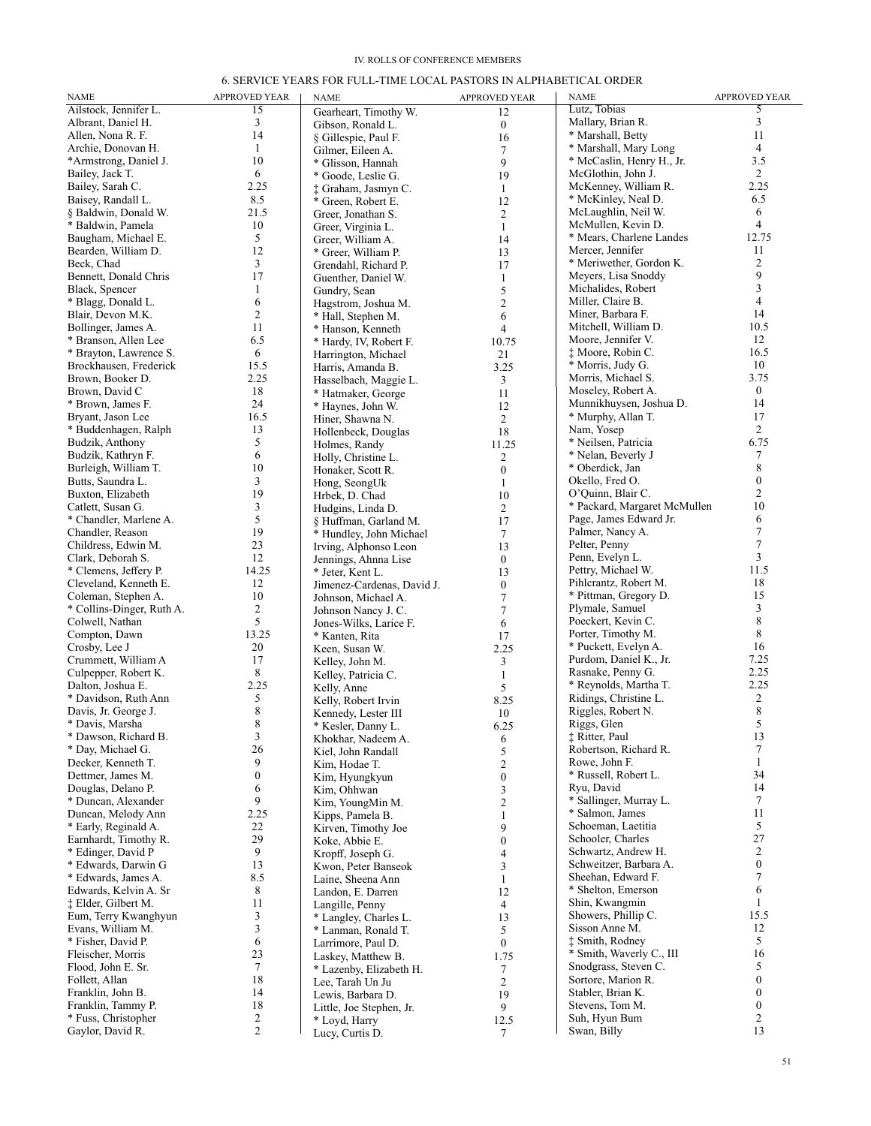## IV. ROLLS OF CONFERENCE MEMBERS

# 6. SERVICE YEARS FOR FULL-TIME LOCAL PASTORS IN ALPHABETICAL ORDER

| <b>NAME</b>                                      | <b>APPROVED YEAR</b> | NAME                                          | <b>APPROVED YEAR</b>             | <b>NAME</b>                                   | APPROVED YEAR        |
|--------------------------------------------------|----------------------|-----------------------------------------------|----------------------------------|-----------------------------------------------|----------------------|
| Ailstock, Jennifer L.                            | $\overline{15}$      | Gearheart, Timothy W.                         | 12                               | Lutz, Tobias                                  | 5                    |
| Albrant, Daniel H.                               | 3                    | Gibson, Ronald L.                             | $\boldsymbol{0}$                 | Mallary, Brian R.                             | 3                    |
| Allen, Nona R. F.                                | 14                   | § Gillespie, Paul F.                          | 16                               | * Marshall, Betty                             | 11                   |
| Archie, Donovan H.                               | 1                    | Gilmer, Eileen A.                             | $\tau$                           | * Marshall, Mary Long                         | $\overline{4}$       |
| *Armstrong, Daniel J.                            | 10                   | * Glisson, Hannah                             | 9                                | * McCaslin, Henry H., Jr.                     | 3.5                  |
| Bailey, Jack T.                                  | 6                    | * Goode, Leslie G.                            | 19                               | McGlothin, John J.                            | 2                    |
| Bailey, Sarah C.                                 | 2.25                 | † Graham, Jasmyn C.                           | $\mathbf{1}$                     | McKenney, William R.                          | 2.25                 |
| Baisey, Randall L.                               | 8.5                  | * Green, Robert E.                            | 12                               | * McKinley, Neal D.                           | 6.5<br>6             |
| § Baldwin, Donald W.<br>* Baldwin, Pamela        | 21.5                 | Greer, Jonathan S.                            | $\mathfrak{2}$                   | McLaughlin, Neil W.<br>McMullen, Kevin D.     | $\overline{4}$       |
| Baugham, Michael E.                              | 10<br>5              | Greer, Virginia L.                            | $\mathbf{1}$                     | * Mears, Charlene Landes                      | 12.75                |
| Bearden, William D.                              | 12                   | Greer, William A.<br>* Greer, William P.      | 14<br>13                         | Mercer, Jennifer                              | 11                   |
| Beck, Chad                                       | 3                    | Grendahl, Richard P.                          | 17                               | * Meriwether, Gordon K.                       | $\overline{c}$       |
| Bennett, Donald Chris                            | 17                   | Guenther, Daniel W.                           | $\mathbf{1}$                     | Meyers, Lisa Snoddy                           | 9                    |
| Black, Spencer                                   | 1                    | Gundry, Sean                                  | 5                                | Michalides, Robert                            | 3                    |
| * Blagg, Donald L.                               | 6                    | Hagstrom, Joshua M.                           | $\overline{2}$                   | Miller, Claire B.                             | $\overline{4}$       |
| Blair, Devon M.K.                                | 2                    | * Hall, Stephen M.                            | 6                                | Miner, Barbara F.                             | 14                   |
| Bollinger, James A.                              | 11                   | * Hanson, Kenneth                             | 4                                | Mitchell, William D.                          | 10.5                 |
| * Branson, Allen Lee                             | 6.5                  | * Hardy, IV, Robert F.                        | 10.75                            | Moore, Jennifer V.                            | 12                   |
| * Brayton, Lawrence S.                           | 6                    | Harrington, Michael                           | 21                               | # Moore, Robin C.                             | 16.5                 |
| Brockhausen, Frederick                           | 15.5                 | Harris, Amanda B.                             | 3.25                             | * Morris, Judy G.                             | 10                   |
| Brown, Booker D.                                 | 2.25                 | Hasselbach, Maggie L.                         | 3                                | Morris, Michael S.                            | 3.75<br>$\mathbf{0}$ |
| Brown, David C<br>* Brown, James F.              | 18<br>24             | * Hatmaker, George                            | 11                               | Moseley, Robert A.<br>Munnikhuysen, Joshua D. | 14                   |
| Bryant, Jason Lee                                | 16.5                 | * Haynes, John W.                             | 12                               | * Murphy, Allan T.                            | 17                   |
| * Buddenhagen, Ralph                             | 13                   | Hiner, Shawna N.                              | 2<br>18                          | Nam, Yosep                                    | 2                    |
| Budzik, Anthony                                  | 5                    | Hollenbeck, Douglas<br>Holmes, Randy          | 11.25                            | * Neilsen, Patricia                           | 6.75                 |
| Budzik, Kathryn F.                               | 6                    | Holly, Christine L.                           | $\overline{c}$                   | * Nelan, Beverly J                            | 7                    |
| Burleigh, William T.                             | 10                   | Honaker, Scott R.                             | $\boldsymbol{0}$                 | * Oberdick, Jan                               | 8                    |
| Butts, Saundra L.                                | 3                    | Hong, SeongUk                                 | 1                                | Okello, Fred O.                               | $\mathbf{0}$         |
| Buxton, Elizabeth                                | 19                   | Hrbek, D. Chad                                | 10                               | O'Quinn, Blair C.                             | $\overline{2}$       |
| Catlett, Susan G.                                | 3                    | Hudgins, Linda D.                             | 2                                | * Packard, Margaret McMullen                  | 10                   |
| * Chandler, Marlene A.                           | 5                    | § Huffman, Garland M.                         | 17                               | Page, James Edward Jr.                        | 6                    |
| Chandler, Reason                                 | 19                   | * Hundley, John Michael                       | $\tau$                           | Palmer, Nancy A.                              | 7                    |
| Childress, Edwin M.                              | 23                   | Irving, Alphonso Leon                         | 13                               | Pelter, Penny                                 | $\overline{7}$       |
| Clark, Deborah S.                                | 12                   | Jennings, Ahnna Lise                          | $\mathbf{0}$                     | Penn, Evelyn L.                               | 3                    |
| * Clemens, Jeffery P.                            | 14.25                | * Jeter, Kent L.                              | 13                               | Pettry, Michael W.<br>Pihlcrantz, Robert M.   | 11.5<br>18           |
| Cleveland, Kenneth E.                            | 12<br>10             | Jimenez-Cardenas, David J.                    | $\mathbf{0}$                     | * Pittman, Gregory D.                         | 15                   |
| Coleman, Stephen A.<br>* Collins-Dinger, Ruth A. | 2                    | Johnson, Michael A.                           | $\overline{7}$<br>$\overline{7}$ | Plymale, Samuel                               | 3                    |
| Colwell, Nathan                                  | 5                    | Johnson Nancy J. C.<br>Jones-Wilks, Larice F. | 6                                | Poeckert, Kevin C.                            | 8                    |
| Compton, Dawn                                    | 13.25                | * Kanten, Rita                                | 17                               | Porter, Timothy M.                            | 8                    |
| Crosby, Lee J                                    | 20                   | Keen, Susan W.                                | 2.25                             | * Puckett, Evelyn A.                          | 16                   |
| Crummett, William A                              | 17                   | Kelley, John M.                               | 3                                | Purdom, Daniel K., Jr.                        | 7.25                 |
| Culpepper, Robert K.                             | 8                    | Kelley, Patricia C.                           | $\mathbf{1}$                     | Rasnake, Penny G.                             | 2.25                 |
| Dalton, Joshua E.                                | 2.25                 | Kelly, Anne                                   | 5                                | * Reynolds, Martha T.                         | 2.25                 |
| * Davidson, Ruth Ann                             | 5                    | Kelly, Robert Irvin                           | 8.25                             | Ridings, Christine L.                         | 2                    |
| Davis, Jr. George J.                             | 8                    | Kennedy, Lester III                           | 10                               | Riggles, Robert N.                            | 8                    |
| * Davis, Marsha                                  | $\,$ 8 $\,$          | * Kesler, Danny L.                            | 6.25                             | Riggs, Glen                                   | 5                    |
| * Dawson, Richard B.<br>* Day, Michael G.        | 3<br>26              | Khokhar, Nadeem A.                            | 6                                | ‡ Ritter, Paul<br>Robertson, Richard R.       | 13<br>$\tau$         |
| Decker, Kenneth T.                               | 9                    | Kiel, John Randall                            | 5<br>$\mathbf{2}$                | Rowe, John F.                                 | $\mathbf{1}$         |
| Dettmer, James M.                                | $\boldsymbol{0}$     | Kim, Hodae T.<br>Kim, Hyungkyun               | $\boldsymbol{0}$                 | * Russell, Robert L.                          | 34                   |
| Douglas, Delano P.                               | 6                    | Kim, Ohhwan                                   | 3                                | Ryu, David                                    | 14                   |
| * Duncan, Alexander                              | 9                    | Kim, YoungMin M.                              | $\overline{c}$                   | * Sallinger, Murray L.                        | 7                    |
| Duncan, Melody Ann                               | 2.25                 | Kipps, Pamela B.                              | $\mathbf{1}$                     | * Salmon, James                               | 11                   |
| * Early, Reginald A.                             | 22                   | Kirven, Timothy Joe                           | 9                                | Schoeman, Laetitia                            | 5                    |
| Earnhardt, Timothy R.                            | 29                   | Koke, Abbie E.                                | $\mathbf{0}$                     | Schooler, Charles                             | $27\,$               |
| * Edinger, David P                               | 9                    | Kropff, Joseph G.                             | 4                                | Schwartz, Andrew H.                           | $\overline{c}$       |
| * Edwards, Darwin G                              | 13                   | Kwon, Peter Banseok                           | 3                                | Schweitzer, Barbara A.                        | $\boldsymbol{0}$     |
| * Edwards, James A.                              | 8.5                  | Laine, Sheena Ann                             | $\mathbf{1}$                     | Sheehan, Edward F.                            | $\tau$               |
| Edwards, Kelvin A. Sr                            | 8                    | Landon, E. Darren                             | 12                               | * Shelton, Emerson                            | 6                    |
| ‡ Elder, Gilbert M.                              | 11                   | Langille, Penny                               | 4                                | Shin, Kwangmin<br>Showers, Phillip C.         | $\mathbf{1}$<br>15.5 |
| Eum, Terry Kwanghyun<br>Evans, William M.        | 3<br>3               | * Langley, Charles L.                         | 13                               | Sisson Anne M.                                | 12                   |
| * Fisher, David P.                               | 6                    | * Lanman, Ronald T.                           | 5<br>$\boldsymbol{0}$            | ‡ Smith, Rodney                               | 5                    |
| Fleischer, Morris                                | 23                   | Larrimore, Paul D.<br>Laskey, Matthew B.      | 1.75                             | * Smith, Waverly C., III                      | 16                   |
| Flood, John E. Sr.                               | 7                    | * Lazenby, Elizabeth H.                       | 7                                | Snodgrass, Steven C.                          | 5                    |
| Follett, Allan                                   | 18                   | Lee, Tarah Un Ju                              | $\overline{c}$                   | Sortore, Marion R.                            | $\boldsymbol{0}$     |
| Franklin, John B.                                | 14                   | Lewis, Barbara D.                             | 19                               | Stabler, Brian K.                             | $\boldsymbol{0}$     |
| Franklin, Tammy P.                               | 18                   | Little, Joe Stephen, Jr.                      | 9                                | Stevens, Tom M.                               | $\boldsymbol{0}$     |
| * Fuss, Christopher                              | 2                    | * Loyd, Harry                                 | 12.5                             | Suh, Hyun Bum                                 | $\mathbf{2}$         |
| Gaylor, David R.                                 | 2                    | Lucy, Curtis D.                               | $\tau$                           | Swan, Billy                                   | 13                   |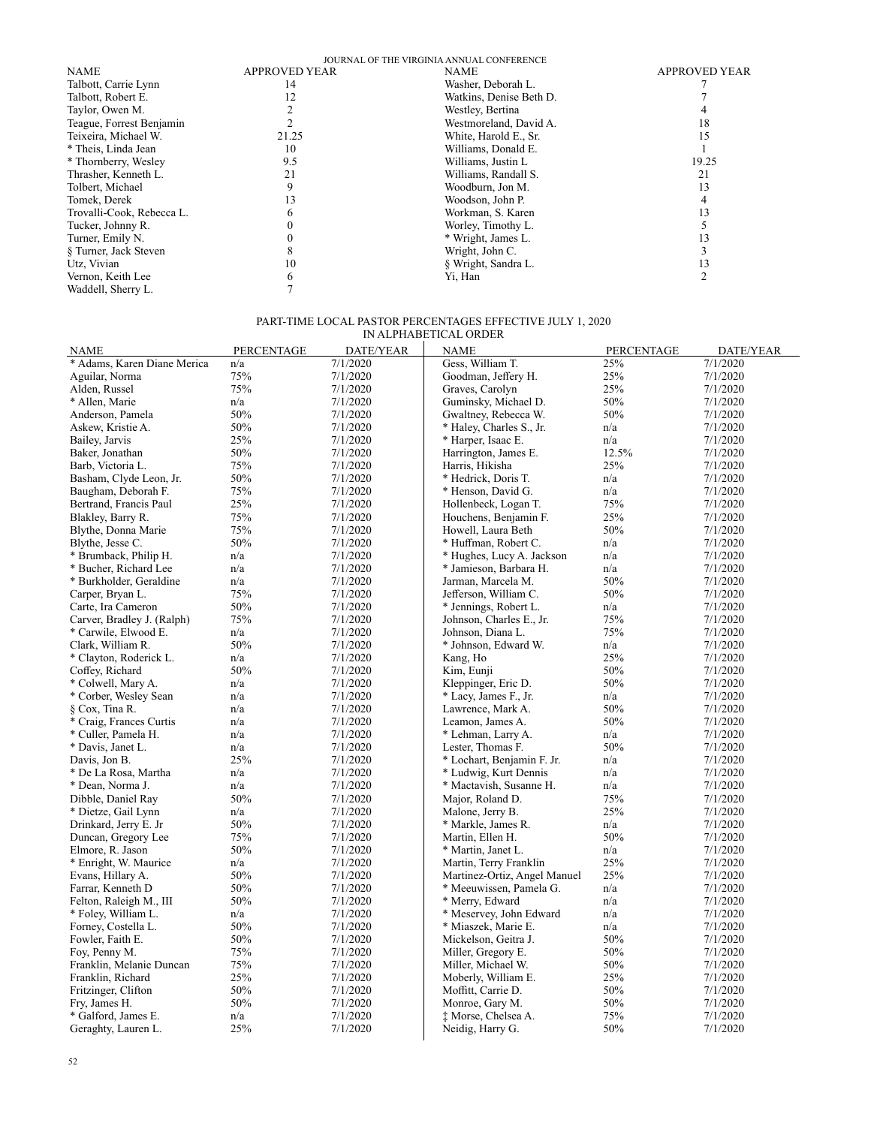|                           |                      | JOURNAL OF THE VIRGINIA ANNUAL CONFERENCE |                      |
|---------------------------|----------------------|-------------------------------------------|----------------------|
| <b>NAME</b>               | <b>APPROVED YEAR</b> | <b>NAME</b>                               | <b>APPROVED YEAR</b> |
| Talbott, Carrie Lynn      | 14                   | Washer, Deborah L.                        |                      |
| Talbott, Robert E.        |                      | Watkins, Denise Beth D.                   |                      |
| Taylor, Owen M.           |                      | Westley, Bertina                          |                      |
| Teague, Forrest Benjamin  |                      | Westmoreland, David A.                    | 18                   |
| Teixeira, Michael W.      | 21.25                | White, Harold E., Sr.                     | 15                   |
| * Theis, Linda Jean       | 10                   | Williams, Donald E.                       |                      |
| * Thornberry, Wesley      | 9.5                  | Williams, Justin L                        | 19.25                |
| Thrasher, Kenneth L.      | 21                   | Williams, Randall S.                      | 21                   |
| Tolbert, Michael          |                      | Woodburn, Jon M.                          | 13                   |
| Tomek, Derek              |                      | Woodson, John P.                          |                      |
| Trovalli-Cook, Rebecca L. |                      | Workman, S. Karen                         | 13                   |
| Tucker, Johnny R.         |                      | Worley, Timothy L.                        |                      |
| Turner, Emily N.          |                      | * Wright, James L.                        | 13                   |
| § Turner, Jack Steven     |                      | Wright, John C.                           |                      |
| Utz, Vivian               | 10                   | § Wright, Sandra L.                       | 13                   |
| Vernon, Keith Lee         |                      | Yi, Han                                   |                      |
| Waddell, Sherry L.        |                      |                                           |                      |
|                           |                      |                                           |                      |

#### PART-TIME LOCAL PASTOR PERCENTAGES EFFECTIVE JULY 1, 2020 IN ALPHABETICAL ORDER

| <b>NAME</b>                 | <b>PERCENTAGE</b> | DATE/YEAR | <b>NAME</b>                  | PERCENTAGE | DATE/YEAR |
|-----------------------------|-------------------|-----------|------------------------------|------------|-----------|
| * Adams, Karen Diane Merica | n/a               | 7/1/2020  | Gess, William T.             | 25%        | 7/1/2020  |
| Aguilar, Norma              | 75%               | 7/1/2020  | Goodman, Jeffery H.          | 25%        | 7/1/2020  |
| Alden, Russel               | 75%               | 7/1/2020  | Graves, Carolyn              | 25%        | 7/1/2020  |
| * Allen, Marie              | n/a               | 7/1/2020  | Guminsky, Michael D.         | 50%        | 7/1/2020  |
| Anderson, Pamela            | 50%               | 7/1/2020  | Gwaltney, Rebecca W.         | 50%        | 7/1/2020  |
| Askew, Kristie A.           | 50%               | 7/1/2020  | * Haley, Charles S., Jr.     | n/a        | 7/1/2020  |
| Bailey, Jarvis              | 25%               | 7/1/2020  | * Harper, Isaac E.           | n/a        | 7/1/2020  |
| Baker, Jonathan             | 50%               | 7/1/2020  | Harrington, James E.         | 12.5%      | 7/1/2020  |
| Barb, Victoria L.           | 75%               | 7/1/2020  | Harris, Hikisha              | 25%        | 7/1/2020  |
| Basham, Clyde Leon, Jr.     | 50%               | 7/1/2020  | * Hedrick, Doris T.          | n/a        | 7/1/2020  |
| Baugham, Deborah F.         | 75%               | 7/1/2020  | * Henson, David G.           | n/a        | 7/1/2020  |
| Bertrand, Francis Paul      | 25%               | 7/1/2020  | Hollenbeck, Logan T.         | 75%        | 7/1/2020  |
| Blakley, Barry R.           | 75%               | 7/1/2020  | Houchens, Benjamin F.        | 25%        | 7/1/2020  |
| Blythe, Donna Marie         | 75%               | 7/1/2020  | Howell, Laura Beth           | 50%        | 7/1/2020  |
| Blythe, Jesse C.            | 50%               | 7/1/2020  | * Huffman, Robert C.         | n/a        | 7/1/2020  |
| * Brumback, Philip H.       | n/a               | 7/1/2020  | * Hughes, Lucy A. Jackson    | n/a        | 7/1/2020  |
| * Bucher, Richard Lee       | n/a               | 7/1/2020  | * Jamieson, Barbara H.       | n/a        | 7/1/2020  |
| * Burkholder, Geraldine     | n/a               | 7/1/2020  | Jarman, Marcela M.           | 50%        | 7/1/2020  |
| Carper, Bryan L.            | 75%               | 7/1/2020  | Jefferson, William C.        | 50%        | 7/1/2020  |
| Carte, Ira Cameron          | 50%               | 7/1/2020  | * Jennings, Robert L.        | n/a        | 7/1/2020  |
| Carver, Bradley J. (Ralph)  | 75%               | 7/1/2020  | Johnson, Charles E., Jr.     | 75%        | 7/1/2020  |
| * Carwile, Elwood E.        | n/a               | 7/1/2020  | Johnson, Diana L.            | 75%        | 7/1/2020  |
| Clark, William R.           | 50%               | 7/1/2020  | * Johnson, Edward W.         | n/a        | 7/1/2020  |
| * Clayton, Roderick L.      | n/a               | 7/1/2020  | Kang, Ho                     | 25%        | 7/1/2020  |
| Coffey, Richard             | 50%               | 7/1/2020  | Kim, Eunji                   | 50%        | 7/1/2020  |
| * Colwell, Mary A.          | n/a               | 7/1/2020  | Kleppinger, Eric D.          | 50%        | 7/1/2020  |
| * Corber, Wesley Sean       | n/a               | 7/1/2020  | * Lacy, James F., Jr.        | n/a        | 7/1/2020  |
| § Cox, Tina R.              | n/a               | 7/1/2020  | Lawrence, Mark A.            | 50%        | 7/1/2020  |
| * Craig, Frances Curtis     | n/a               | 7/1/2020  | Leamon, James A.             | 50%        | 7/1/2020  |
| * Culler, Pamela H.         | n/a               | 7/1/2020  | * Lehman, Larry A.           | n/a        | 7/1/2020  |
| * Davis, Janet L.           | n/a               | 7/1/2020  | Lester, Thomas F.            | 50%        | 7/1/2020  |
| Davis, Jon B.               | 25%               | 7/1/2020  | * Lochart, Benjamin F. Jr.   | n/a        | 7/1/2020  |
| * De La Rosa, Martha        | n/a               | 7/1/2020  | * Ludwig, Kurt Dennis        | n/a        | 7/1/2020  |
| * Dean, Norma J.            | n/a               | 7/1/2020  | * Mactavish, Susanne H.      | n/a        | 7/1/2020  |
| Dibble, Daniel Ray          | 50%               | 7/1/2020  | Major, Roland D.             | 75%        | 7/1/2020  |
| * Dietze, Gail Lynn         | n/a               | 7/1/2020  | Malone, Jerry B.             | 25%        | 7/1/2020  |
| Drinkard, Jerry E. Jr       | 50%               | 7/1/2020  | * Markle, James R.           | n/a        | 7/1/2020  |
| Duncan, Gregory Lee         | 75%               | 7/1/2020  | Martin, Ellen H.             | 50%        | 7/1/2020  |
| Elmore, R. Jason            | 50%               | 7/1/2020  | * Martin, Janet L.           | n/a        | 7/1/2020  |
| * Enright, W. Maurice       | n/a               | 7/1/2020  | Martin, Terry Franklin       | 25%        | 7/1/2020  |
| Evans, Hillary A.           | 50%               | 7/1/2020  | Martinez-Ortiz, Angel Manuel | 25%        | 7/1/2020  |
| Farrar, Kenneth D           | 50%               | 7/1/2020  | * Meeuwissen, Pamela G.      | n/a        | 7/1/2020  |
| Felton, Raleigh M., III     | 50%               | 7/1/2020  | * Merry, Edward              | n/a        | 7/1/2020  |
| * Foley, William L.         | n/a               | 7/1/2020  | * Meservey, John Edward      | n/a        | 7/1/2020  |
| Forney, Costella L.         | 50%               | 7/1/2020  | * Miaszek, Marie E.          | n/a        | 7/1/2020  |
| Fowler, Faith E.            | 50%               | 7/1/2020  | Mickelson, Geitra J.         | 50%        | 7/1/2020  |
| Foy, Penny M.               | 75%               | 7/1/2020  | Miller, Gregory E.           | 50%        | 7/1/2020  |
| Franklin, Melanie Duncan    | 75%               | 7/1/2020  | Miller, Michael W.           | 50%        | 7/1/2020  |
| Franklin, Richard           | 25%               | 7/1/2020  | Moberly, William E.          | 25%        | 7/1/2020  |
| Fritzinger, Clifton         | 50%               | 7/1/2020  | Moffitt, Carrie D.           | 50%        | 7/1/2020  |
| Fry, James H.               | 50%               | 7/1/2020  | Monroe, Gary M.              | 50%        | 7/1/2020  |
| * Galford, James E.         | n/a               | 7/1/2020  | ‡ Morse, Chelsea A.          | 75%        | 7/1/2020  |
| Geraghty, Lauren L.         | 25%               | 7/1/2020  | Neidig, Harry G.             | 50%        | 7/1/2020  |